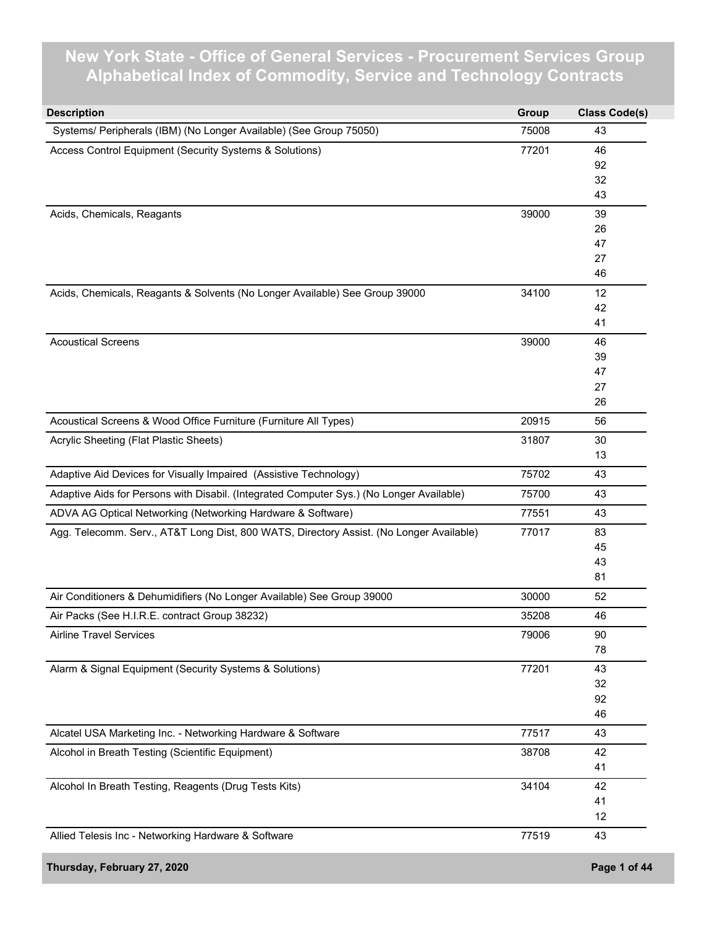## **New York State - Office of General Services - Procurement Services Group Alphabetical Index of Commodity, Service and Technology Contracts**

| <b>Description</b>                                                                       | Group | <b>Class Code(s)</b> |
|------------------------------------------------------------------------------------------|-------|----------------------|
| Systems/ Peripherals (IBM) (No Longer Available) (See Group 75050)                       | 75008 | 43                   |
| Access Control Equipment (Security Systems & Solutions)                                  | 77201 | 46                   |
|                                                                                          |       | 92                   |
|                                                                                          |       | 32                   |
|                                                                                          |       | 43                   |
| Acids, Chemicals, Reagants                                                               | 39000 | 39                   |
|                                                                                          |       | 26                   |
|                                                                                          |       | 47                   |
|                                                                                          |       | 27                   |
|                                                                                          |       | 46                   |
| Acids, Chemicals, Reagants & Solvents (No Longer Available) See Group 39000              | 34100 | 12                   |
|                                                                                          |       | 42                   |
|                                                                                          |       | 41                   |
| <b>Acoustical Screens</b>                                                                | 39000 | 46                   |
|                                                                                          |       | 39                   |
|                                                                                          |       | 47                   |
|                                                                                          |       | 27                   |
|                                                                                          |       | 26                   |
| Acoustical Screens & Wood Office Furniture (Furniture All Types)                         | 20915 | 56                   |
| Acrylic Sheeting (Flat Plastic Sheets)                                                   | 31807 | 30                   |
|                                                                                          |       | 13                   |
| Adaptive Aid Devices for Visually Impaired (Assistive Technology)                        | 75702 | 43                   |
| Adaptive Aids for Persons with Disabil. (Integrated Computer Sys.) (No Longer Available) | 75700 | 43                   |
| ADVA AG Optical Networking (Networking Hardware & Software)                              | 77551 | 43                   |
| Agg. Telecomm. Serv., AT&T Long Dist, 800 WATS, Directory Assist. (No Longer Available)  | 77017 | 83                   |
|                                                                                          |       | 45                   |
|                                                                                          |       | 43                   |
|                                                                                          |       | 81                   |
| Air Conditioners & Dehumidifiers (No Longer Available) See Group 39000                   | 30000 | 52                   |
| Air Packs (See H.I.R.E. contract Group 38232)                                            | 35208 | 46                   |
| <b>Airline Travel Services</b>                                                           | 79006 | 90                   |
|                                                                                          |       | 78                   |
| Alarm & Signal Equipment (Security Systems & Solutions)                                  | 77201 | 43                   |
|                                                                                          |       | 32                   |
|                                                                                          |       | 92                   |
|                                                                                          |       | 46                   |
| Alcatel USA Marketing Inc. - Networking Hardware & Software                              | 77517 | 43                   |
| Alcohol in Breath Testing (Scientific Equipment)                                         | 38708 | 42                   |
|                                                                                          |       | 41                   |
| Alcohol In Breath Testing, Reagents (Drug Tests Kits)                                    | 34104 | 42                   |
|                                                                                          |       | 41                   |
|                                                                                          |       | 12                   |
| Allied Telesis Inc - Networking Hardware & Software                                      | 77519 | 43                   |
| Thursday, February 27, 2020                                                              |       | Page 1 of 44         |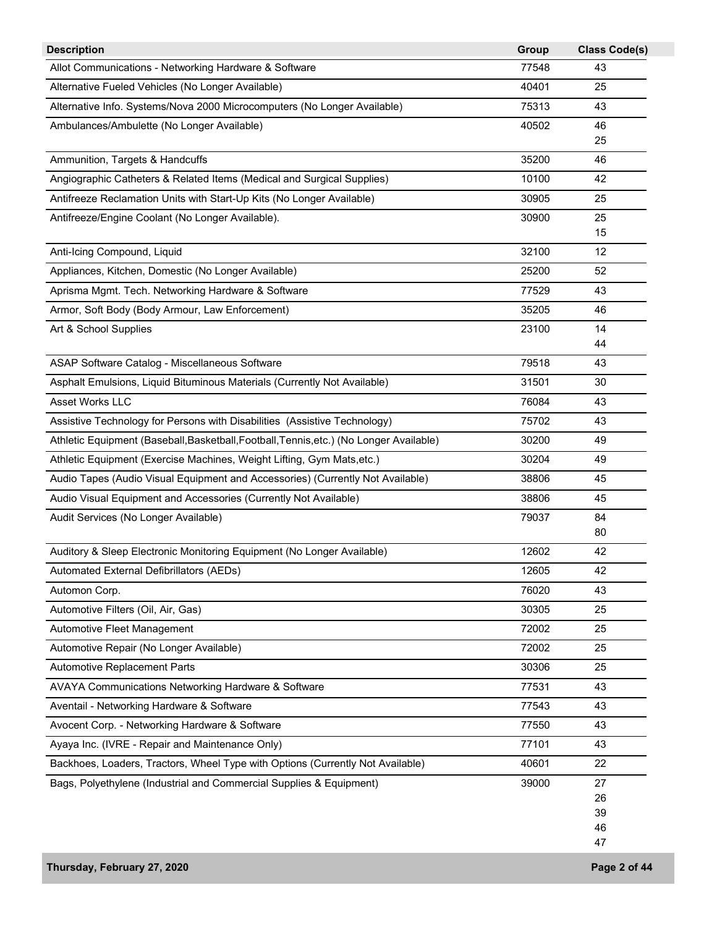| <b>Description</b>                                                                      | Group | <b>Class Code(s)</b> |
|-----------------------------------------------------------------------------------------|-------|----------------------|
| Allot Communications - Networking Hardware & Software                                   | 77548 | 43                   |
| Alternative Fueled Vehicles (No Longer Available)                                       | 40401 | 25                   |
| Alternative Info. Systems/Nova 2000 Microcomputers (No Longer Available)                | 75313 | 43                   |
| Ambulances/Ambulette (No Longer Available)                                              | 40502 | 46                   |
|                                                                                         |       | 25                   |
| Ammunition, Targets & Handcuffs                                                         | 35200 | 46                   |
| Angiographic Catheters & Related Items (Medical and Surgical Supplies)                  | 10100 | 42                   |
| Antifreeze Reclamation Units with Start-Up Kits (No Longer Available)                   | 30905 | 25                   |
| Antifreeze/Engine Coolant (No Longer Available).                                        | 30900 | 25                   |
|                                                                                         |       | 15                   |
| Anti-Icing Compound, Liquid                                                             | 32100 | 12                   |
| Appliances, Kitchen, Domestic (No Longer Available)                                     | 25200 | 52                   |
| Aprisma Mgmt. Tech. Networking Hardware & Software                                      | 77529 | 43                   |
| Armor, Soft Body (Body Armour, Law Enforcement)                                         | 35205 | 46                   |
| Art & School Supplies                                                                   | 23100 | 14                   |
|                                                                                         |       | 44                   |
| ASAP Software Catalog - Miscellaneous Software                                          | 79518 | 43                   |
| Asphalt Emulsions, Liquid Bituminous Materials (Currently Not Available)                | 31501 | 30                   |
| Asset Works LLC                                                                         | 76084 | 43                   |
| Assistive Technology for Persons with Disabilities (Assistive Technology)               | 75702 | 43                   |
| Athletic Equipment (Baseball, Basketball, Football, Tennis, etc.) (No Longer Available) | 30200 | 49                   |
| Athletic Equipment (Exercise Machines, Weight Lifting, Gym Mats, etc.)                  | 30204 | 49                   |
| Audio Tapes (Audio Visual Equipment and Accessories) (Currently Not Available)          | 38806 | 45                   |
| Audio Visual Equipment and Accessories (Currently Not Available)                        | 38806 | 45                   |
| Audit Services (No Longer Available)                                                    | 79037 | 84                   |
|                                                                                         |       | 80                   |
| Auditory & Sleep Electronic Monitoring Equipment (No Longer Available)                  | 12602 | 42                   |
| Automated External Defibrillators (AEDs)                                                | 12605 | 42                   |
| Automon Corp.                                                                           | 76020 | 43                   |
| Automotive Filters (Oil, Air, Gas)                                                      | 30305 | 25                   |
| Automotive Fleet Management                                                             | 72002 | 25                   |
| Automotive Repair (No Longer Available)                                                 | 72002 | 25                   |
| Automotive Replacement Parts                                                            | 30306 | 25                   |
| AVAYA Communications Networking Hardware & Software                                     | 77531 | 43                   |
| Aventail - Networking Hardware & Software                                               | 77543 | 43                   |
| Avocent Corp. - Networking Hardware & Software                                          | 77550 | 43                   |
| Ayaya Inc. (IVRE - Repair and Maintenance Only)                                         | 77101 | 43                   |
| Backhoes, Loaders, Tractors, Wheel Type with Options (Currently Not Available)          | 40601 | 22                   |
| Bags, Polyethylene (Industrial and Commercial Supplies & Equipment)                     | 39000 | 27                   |
|                                                                                         |       | 26                   |
|                                                                                         |       | 39                   |
|                                                                                         |       | 46                   |
|                                                                                         |       | 47                   |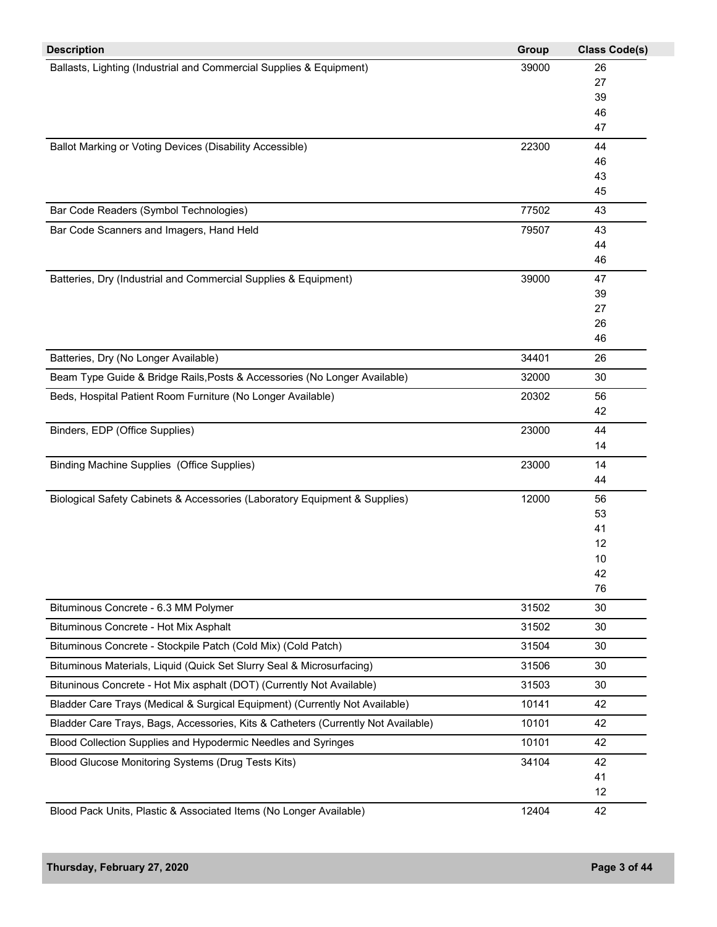| <b>Description</b>                                                                | Group | <b>Class Code(s)</b> |
|-----------------------------------------------------------------------------------|-------|----------------------|
| Ballasts, Lighting (Industrial and Commercial Supplies & Equipment)               | 39000 | 26                   |
|                                                                                   |       | 27                   |
|                                                                                   |       | 39                   |
|                                                                                   |       | 46                   |
|                                                                                   |       | 47                   |
| Ballot Marking or Voting Devices (Disability Accessible)                          | 22300 | 44<br>46             |
|                                                                                   |       | 43                   |
|                                                                                   |       | 45                   |
| Bar Code Readers (Symbol Technologies)                                            | 77502 | 43                   |
| Bar Code Scanners and Imagers, Hand Held                                          | 79507 | 43                   |
|                                                                                   |       | 44                   |
|                                                                                   |       | 46                   |
| Batteries, Dry (Industrial and Commercial Supplies & Equipment)                   | 39000 | 47                   |
|                                                                                   |       | 39                   |
|                                                                                   |       | 27                   |
|                                                                                   |       | 26                   |
|                                                                                   |       | 46                   |
| Batteries, Dry (No Longer Available)                                              | 34401 | 26                   |
| Beam Type Guide & Bridge Rails, Posts & Accessories (No Longer Available)         | 32000 | 30                   |
| Beds, Hospital Patient Room Furniture (No Longer Available)                       | 20302 | 56                   |
|                                                                                   |       | 42                   |
| Binders, EDP (Office Supplies)                                                    | 23000 | 44                   |
|                                                                                   |       | 14                   |
| <b>Binding Machine Supplies (Office Supplies)</b>                                 | 23000 | 14                   |
|                                                                                   |       | 44                   |
| Biological Safety Cabinets & Accessories (Laboratory Equipment & Supplies)        | 12000 | 56                   |
|                                                                                   |       | 53                   |
|                                                                                   |       | 41                   |
|                                                                                   |       | 12<br>10             |
|                                                                                   |       | 42                   |
|                                                                                   |       | 76                   |
| Bituminous Concrete - 6.3 MM Polymer                                              | 31502 | 30                   |
| Bituminous Concrete - Hot Mix Asphalt                                             | 31502 | 30                   |
| Bituminous Concrete - Stockpile Patch (Cold Mix) (Cold Patch)                     | 31504 | 30                   |
| Bituminous Materials, Liquid (Quick Set Slurry Seal & Microsurfacing)             | 31506 | 30                   |
| Bituninous Concrete - Hot Mix asphalt (DOT) (Currently Not Available)             | 31503 | 30                   |
| Bladder Care Trays (Medical & Surgical Equipment) (Currently Not Available)       | 10141 | 42                   |
| Bladder Care Trays, Bags, Accessories, Kits & Catheters (Currently Not Available) | 10101 | 42                   |
| Blood Collection Supplies and Hypodermic Needles and Syringes                     | 10101 | 42                   |
| Blood Glucose Monitoring Systems (Drug Tests Kits)                                | 34104 | 42                   |
|                                                                                   |       | 41                   |
|                                                                                   |       | 12                   |
| Blood Pack Units, Plastic & Associated Items (No Longer Available)                | 12404 | 42                   |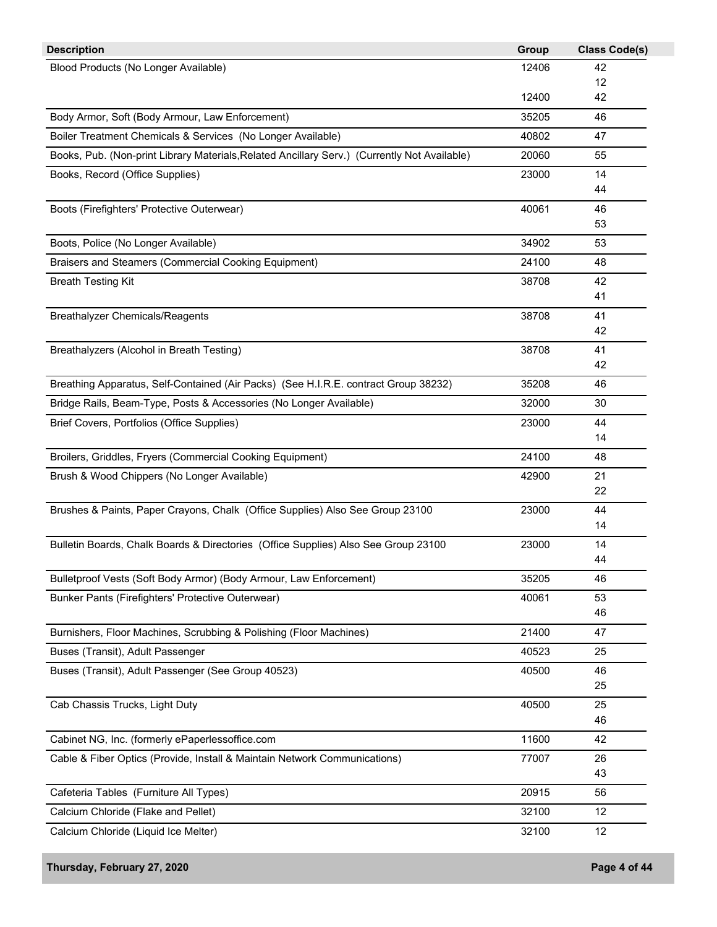| <b>Description</b>                                                                           | Group | <b>Class Code(s)</b> |
|----------------------------------------------------------------------------------------------|-------|----------------------|
| Blood Products (No Longer Available)                                                         | 12406 | 42                   |
|                                                                                              |       | 12                   |
|                                                                                              | 12400 | 42                   |
| Body Armor, Soft (Body Armour, Law Enforcement)                                              | 35205 | 46                   |
| Boiler Treatment Chemicals & Services (No Longer Available)                                  | 40802 | 47                   |
| Books, Pub. (Non-print Library Materials, Related Ancillary Serv.) (Currently Not Available) | 20060 | 55                   |
| Books, Record (Office Supplies)                                                              | 23000 | 14                   |
|                                                                                              |       | 44                   |
| Boots (Firefighters' Protective Outerwear)                                                   | 40061 | 46                   |
|                                                                                              |       | 53                   |
| Boots, Police (No Longer Available)                                                          | 34902 | 53                   |
| Braisers and Steamers (Commercial Cooking Equipment)                                         | 24100 | 48                   |
| <b>Breath Testing Kit</b>                                                                    | 38708 | 42                   |
|                                                                                              |       | 41                   |
| <b>Breathalyzer Chemicals/Reagents</b>                                                       | 38708 | 41                   |
|                                                                                              |       | 42                   |
| Breathalyzers (Alcohol in Breath Testing)                                                    | 38708 | 41                   |
|                                                                                              |       | 42                   |
| Breathing Apparatus, Self-Contained (Air Packs) (See H.I.R.E. contract Group 38232)          | 35208 | 46                   |
| Bridge Rails, Beam-Type, Posts & Accessories (No Longer Available)                           | 32000 | 30                   |
| Brief Covers, Portfolios (Office Supplies)                                                   | 23000 | 44                   |
|                                                                                              |       | 14                   |
| Broilers, Griddles, Fryers (Commercial Cooking Equipment)                                    | 24100 | 48                   |
| Brush & Wood Chippers (No Longer Available)                                                  | 42900 | 21                   |
|                                                                                              |       | 22                   |
| Brushes & Paints, Paper Crayons, Chalk (Office Supplies) Also See Group 23100                | 23000 | 44                   |
|                                                                                              |       | 14                   |
| Bulletin Boards, Chalk Boards & Directories (Office Supplies) Also See Group 23100           | 23000 | 14                   |
|                                                                                              |       | 44                   |
| Bulletproof Vests (Soft Body Armor) (Body Armour, Law Enforcement)                           | 35205 | 46                   |
| Bunker Pants (Firefighters' Protective Outerwear)                                            | 40061 | 53                   |
|                                                                                              |       | 46                   |
| Burnishers, Floor Machines, Scrubbing & Polishing (Floor Machines)                           | 21400 | 47                   |
| Buses (Transit), Adult Passenger                                                             | 40523 | 25                   |
| Buses (Transit), Adult Passenger (See Group 40523)                                           | 40500 | 46                   |
|                                                                                              |       | 25                   |
| Cab Chassis Trucks, Light Duty                                                               | 40500 | 25                   |
|                                                                                              |       | 46                   |
| Cabinet NG, Inc. (formerly ePaperlessoffice.com                                              | 11600 | 42                   |
| Cable & Fiber Optics (Provide, Install & Maintain Network Communications)                    | 77007 | 26                   |
|                                                                                              |       | 43                   |
| Cafeteria Tables (Furniture All Types)                                                       | 20915 | 56                   |
| Calcium Chloride (Flake and Pellet)                                                          | 32100 | 12                   |
| Calcium Chloride (Liquid Ice Melter)                                                         | 32100 | 12                   |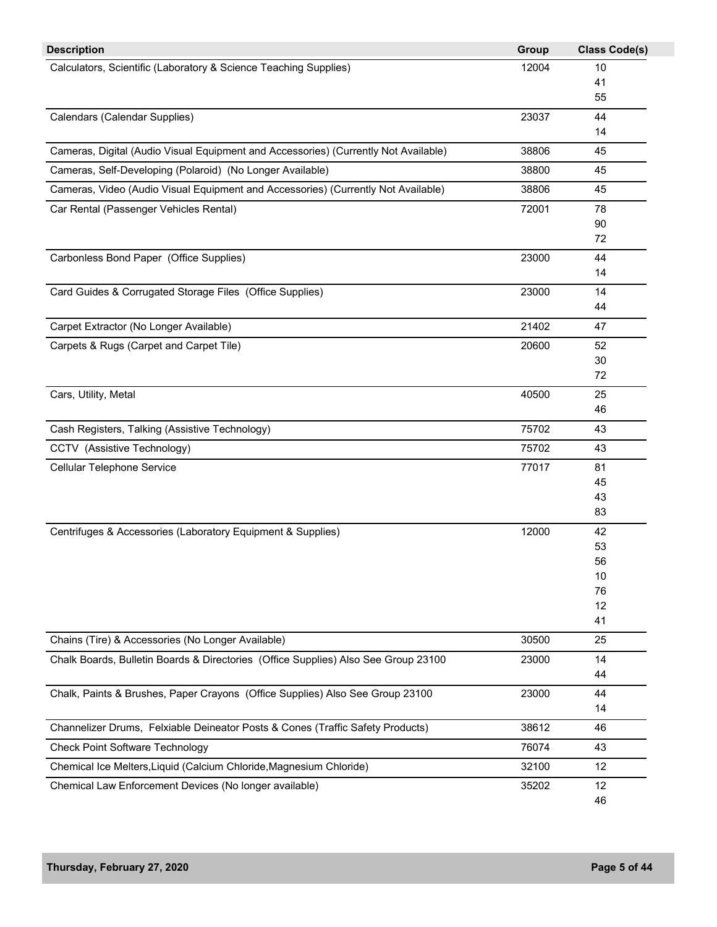| <b>Description</b>                                                                  | Group | <b>Class Code(s)</b> |
|-------------------------------------------------------------------------------------|-------|----------------------|
| Calculators, Scientific (Laboratory & Science Teaching Supplies)                    | 12004 | 10                   |
|                                                                                     |       | 41                   |
|                                                                                     |       | 55                   |
| Calendars (Calendar Supplies)                                                       | 23037 | 44                   |
|                                                                                     |       | 14                   |
| Cameras, Digital (Audio Visual Equipment and Accessories) (Currently Not Available) | 38806 | 45                   |
| Cameras, Self-Developing (Polaroid) (No Longer Available)                           | 38800 | 45                   |
| Cameras, Video (Audio Visual Equipment and Accessories) (Currently Not Available)   | 38806 | 45                   |
| Car Rental (Passenger Vehicles Rental)                                              | 72001 | 78                   |
|                                                                                     |       | 90                   |
|                                                                                     |       | 72                   |
| Carbonless Bond Paper (Office Supplies)                                             | 23000 | 44                   |
|                                                                                     |       | 14                   |
| Card Guides & Corrugated Storage Files (Office Supplies)                            | 23000 | 14                   |
|                                                                                     |       | 44                   |
| Carpet Extractor (No Longer Available)                                              | 21402 | 47                   |
| Carpets & Rugs (Carpet and Carpet Tile)                                             | 20600 | 52                   |
|                                                                                     |       | 30                   |
|                                                                                     |       | 72                   |
| Cars, Utility, Metal                                                                | 40500 | 25                   |
|                                                                                     |       | 46                   |
| Cash Registers, Talking (Assistive Technology)                                      | 75702 | 43                   |
| CCTV (Assistive Technology)                                                         | 75702 | 43                   |
| Cellular Telephone Service                                                          | 77017 | 81                   |
|                                                                                     |       | 45                   |
|                                                                                     |       | 43                   |
|                                                                                     |       | 83                   |
| Centrifuges & Accessories (Laboratory Equipment & Supplies)                         | 12000 | 42                   |
|                                                                                     |       | 53                   |
|                                                                                     |       | 56                   |
|                                                                                     |       | 10                   |
|                                                                                     |       | 76                   |
|                                                                                     |       | 12                   |
|                                                                                     |       | 41                   |
| Chains (Tire) & Accessories (No Longer Available)                                   | 30500 | 25                   |
| Chalk Boards, Bulletin Boards & Directories (Office Supplies) Also See Group 23100  | 23000 | 14                   |
|                                                                                     |       | 44                   |
| Chalk, Paints & Brushes, Paper Crayons (Office Supplies) Also See Group 23100       | 23000 | 44                   |
|                                                                                     |       | 14                   |
| Channelizer Drums, Felxiable Deineator Posts & Cones (Traffic Safety Products)      | 38612 | 46                   |
| <b>Check Point Software Technology</b>                                              | 76074 | 43                   |
| Chemical Ice Melters, Liquid (Calcium Chloride, Magnesium Chloride)                 | 32100 | 12                   |
| Chemical Law Enforcement Devices (No longer available)                              | 35202 | 12                   |
|                                                                                     |       | 46                   |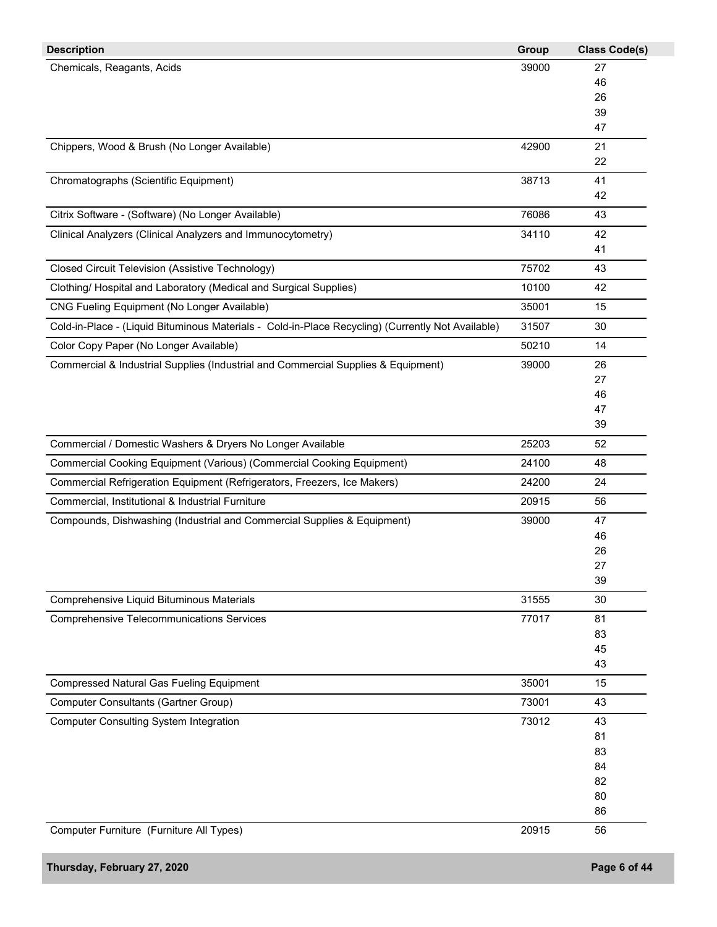| <b>Description</b>                                                                                | Group | <b>Class Code(s)</b> |
|---------------------------------------------------------------------------------------------------|-------|----------------------|
| Chemicals, Reagants, Acids                                                                        | 39000 | 27                   |
|                                                                                                   |       | 46                   |
|                                                                                                   |       | 26                   |
|                                                                                                   |       | 39                   |
|                                                                                                   |       | 47                   |
| Chippers, Wood & Brush (No Longer Available)                                                      | 42900 | 21                   |
|                                                                                                   |       | 22                   |
| Chromatographs (Scientific Equipment)                                                             | 38713 | 41<br>42             |
| Citrix Software - (Software) (No Longer Available)                                                | 76086 | 43                   |
|                                                                                                   |       |                      |
| Clinical Analyzers (Clinical Analyzers and Immunocytometry)                                       | 34110 | 42<br>41             |
|                                                                                                   |       |                      |
| Closed Circuit Television (Assistive Technology)                                                  | 75702 | 43                   |
| Clothing/ Hospital and Laboratory (Medical and Surgical Supplies)                                 | 10100 | 42                   |
| CNG Fueling Equipment (No Longer Available)                                                       | 35001 | 15                   |
| Cold-in-Place - (Liquid Bituminous Materials - Cold-in-Place Recycling) (Currently Not Available) | 31507 | 30                   |
| Color Copy Paper (No Longer Available)                                                            | 50210 | 14                   |
| Commercial & Industrial Supplies (Industrial and Commercial Supplies & Equipment)                 | 39000 | 26                   |
|                                                                                                   |       | 27                   |
|                                                                                                   |       | 46                   |
|                                                                                                   |       | 47                   |
|                                                                                                   |       | 39                   |
| Commercial / Domestic Washers & Dryers No Longer Available                                        | 25203 | 52                   |
| Commercial Cooking Equipment (Various) (Commercial Cooking Equipment)                             | 24100 | 48                   |
| Commercial Refrigeration Equipment (Refrigerators, Freezers, Ice Makers)                          | 24200 | 24                   |
| Commercial, Institutional & Industrial Furniture                                                  | 20915 | 56                   |
| Compounds, Dishwashing (Industrial and Commercial Supplies & Equipment)                           | 39000 | 47                   |
|                                                                                                   |       | 46                   |
|                                                                                                   |       | 26                   |
|                                                                                                   |       | 27<br>39             |
| Comprehensive Liquid Bituminous Materials                                                         | 31555 | 30                   |
|                                                                                                   |       |                      |
| <b>Comprehensive Telecommunications Services</b>                                                  | 77017 | 81<br>83             |
|                                                                                                   |       | 45                   |
|                                                                                                   |       | 43                   |
| <b>Compressed Natural Gas Fueling Equipment</b>                                                   | 35001 | 15                   |
| <b>Computer Consultants (Gartner Group)</b>                                                       | 73001 | 43                   |
| <b>Computer Consulting System Integration</b>                                                     | 73012 | 43                   |
|                                                                                                   |       | 81                   |
|                                                                                                   |       | 83                   |
|                                                                                                   |       | 84                   |
|                                                                                                   |       | 82                   |
|                                                                                                   |       | 80                   |
|                                                                                                   |       | 86                   |
| Computer Furniture (Furniture All Types)                                                          | 20915 | 56                   |
| Thursday, February 27, 2020                                                                       |       | Page 6 of 44         |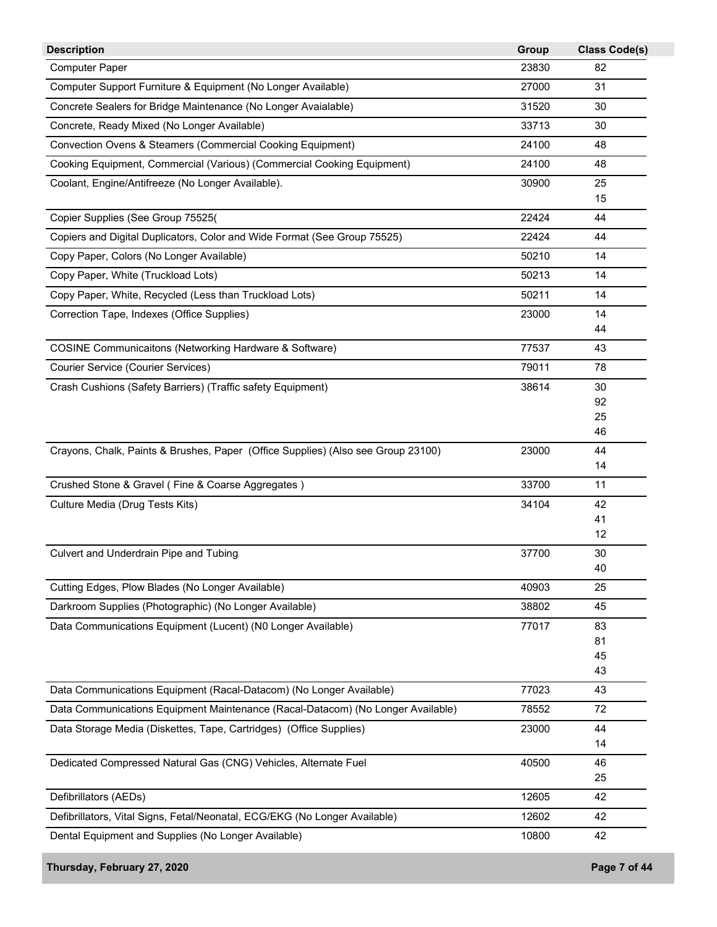| <b>Description</b>                                                               | Group | <b>Class Code(s)</b> |
|----------------------------------------------------------------------------------|-------|----------------------|
| <b>Computer Paper</b>                                                            | 23830 | 82                   |
| Computer Support Furniture & Equipment (No Longer Available)                     | 27000 | 31                   |
| Concrete Sealers for Bridge Maintenance (No Longer Avaialable)                   | 31520 | 30                   |
| Concrete, Ready Mixed (No Longer Available)                                      | 33713 | 30                   |
| Convection Ovens & Steamers (Commercial Cooking Equipment)                       | 24100 | 48                   |
| Cooking Equipment, Commercial (Various) (Commercial Cooking Equipment)           | 24100 | 48                   |
| Coolant, Engine/Antifreeze (No Longer Available).                                | 30900 | 25                   |
|                                                                                  |       | 15                   |
| Copier Supplies (See Group 75525(                                                | 22424 | 44                   |
| Copiers and Digital Duplicators, Color and Wide Format (See Group 75525)         | 22424 | 44                   |
| Copy Paper, Colors (No Longer Available)                                         | 50210 | 14                   |
| Copy Paper, White (Truckload Lots)                                               | 50213 | 14                   |
| Copy Paper, White, Recycled (Less than Truckload Lots)                           | 50211 | 14                   |
| Correction Tape, Indexes (Office Supplies)                                       | 23000 | 14                   |
|                                                                                  |       | 44                   |
| <b>COSINE Communicaitons (Networking Hardware &amp; Software)</b>                | 77537 | 43                   |
| <b>Courier Service (Courier Services)</b>                                        | 79011 | 78                   |
| Crash Cushions (Safety Barriers) (Traffic safety Equipment)                      | 38614 | 30                   |
|                                                                                  |       | 92<br>25             |
|                                                                                  |       | 46                   |
| Crayons, Chalk, Paints & Brushes, Paper (Office Supplies) (Also see Group 23100) | 23000 | 44                   |
|                                                                                  |       | 14                   |
| Crushed Stone & Gravel (Fine & Coarse Aggregates)                                | 33700 | 11                   |
| Culture Media (Drug Tests Kits)                                                  | 34104 | 42                   |
|                                                                                  |       | 41                   |
|                                                                                  |       | 12                   |
| Culvert and Underdrain Pipe and Tubing                                           | 37700 | 30<br>40             |
| Cutting Edges, Plow Blades (No Longer Available)                                 | 40903 | 25                   |
| Darkroom Supplies (Photographic) (No Longer Available)                           | 38802 | 45                   |
| Data Communications Equipment (Lucent) (N0 Longer Available)                     | 77017 | 83                   |
|                                                                                  |       | 81                   |
|                                                                                  |       | 45                   |
|                                                                                  |       | 43                   |
| Data Communications Equipment (Racal-Datacom) (No Longer Available)              | 77023 | 43                   |
| Data Communications Equipment Maintenance (Racal-Datacom) (No Longer Available)  | 78552 | 72                   |
| Data Storage Media (Diskettes, Tape, Cartridges) (Office Supplies)               | 23000 | 44                   |
|                                                                                  |       | 14                   |
| Dedicated Compressed Natural Gas (CNG) Vehicles, Alternate Fuel                  | 40500 | 46                   |
|                                                                                  |       | 25                   |
| Defibrillators (AEDs)                                                            | 12605 | 42                   |
| Defibrillators, Vital Signs, Fetal/Neonatal, ECG/EKG (No Longer Available)       | 12602 | 42                   |
| Dental Equipment and Supplies (No Longer Available)                              | 10800 | 42                   |
| Thursday, February 27, 2020                                                      |       | Page 7 of 44         |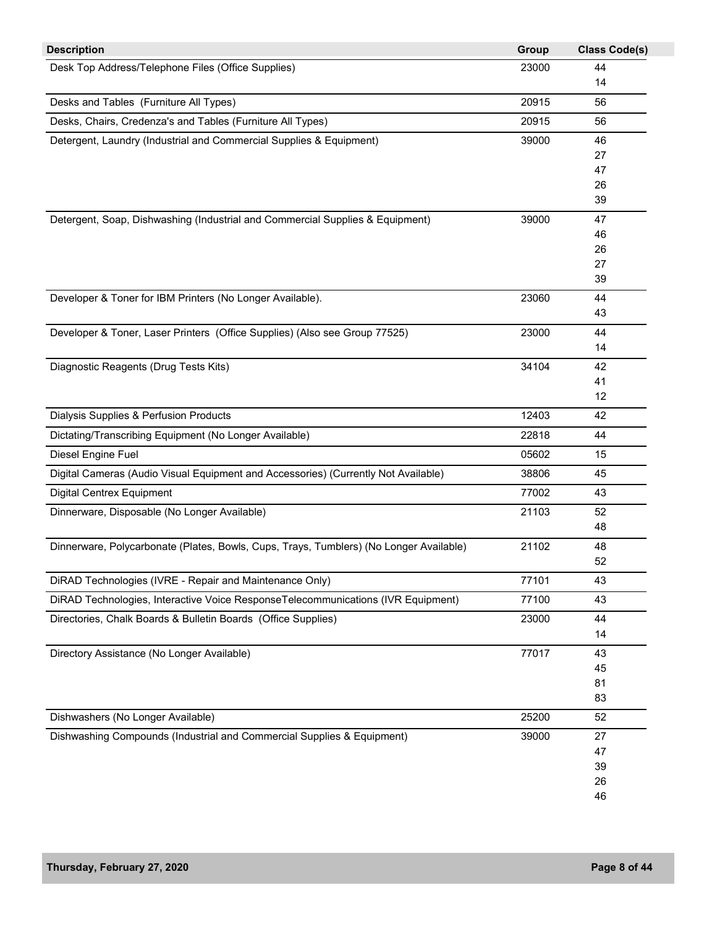| <b>Description</b>                                                                     | Group | <b>Class Code(s)</b> |
|----------------------------------------------------------------------------------------|-------|----------------------|
| Desk Top Address/Telephone Files (Office Supplies)                                     | 23000 | 44                   |
|                                                                                        |       | 14                   |
| Desks and Tables (Furniture All Types)                                                 | 20915 | 56                   |
| Desks, Chairs, Credenza's and Tables (Furniture All Types)                             | 20915 | 56                   |
| Detergent, Laundry (Industrial and Commercial Supplies & Equipment)                    | 39000 | 46                   |
|                                                                                        |       | 27                   |
|                                                                                        |       | 47                   |
|                                                                                        |       | 26                   |
|                                                                                        |       | 39                   |
| Detergent, Soap, Dishwashing (Industrial and Commercial Supplies & Equipment)          | 39000 | 47                   |
|                                                                                        |       | 46                   |
|                                                                                        |       | 26                   |
|                                                                                        |       | 27                   |
|                                                                                        |       | 39                   |
| Developer & Toner for IBM Printers (No Longer Available).                              | 23060 | 44                   |
|                                                                                        |       | 43                   |
| Developer & Toner, Laser Printers (Office Supplies) (Also see Group 77525)             | 23000 | 44                   |
|                                                                                        |       | 14                   |
| Diagnostic Reagents (Drug Tests Kits)                                                  | 34104 | 42                   |
|                                                                                        |       | 41                   |
|                                                                                        |       | 12                   |
| Dialysis Supplies & Perfusion Products                                                 | 12403 | 42                   |
| Dictating/Transcribing Equipment (No Longer Available)                                 | 22818 | 44                   |
| Diesel Engine Fuel                                                                     | 05602 | 15                   |
| Digital Cameras (Audio Visual Equipment and Accessories) (Currently Not Available)     | 38806 | 45                   |
| <b>Digital Centrex Equipment</b>                                                       | 77002 | 43                   |
| Dinnerware, Disposable (No Longer Available)                                           | 21103 | 52                   |
|                                                                                        |       | 48                   |
| Dinnerware, Polycarbonate (Plates, Bowls, Cups, Trays, Tumblers) (No Longer Available) | 21102 | 48                   |
|                                                                                        |       | 52                   |
| DiRAD Technologies (IVRE - Repair and Maintenance Only)                                | 77101 | 43                   |
| DiRAD Technologies, Interactive Voice ResponseTelecommunications (IVR Equipment)       | 77100 | 43                   |
| Directories, Chalk Boards & Bulletin Boards (Office Supplies)                          | 23000 | 44                   |
|                                                                                        |       | 14                   |
| Directory Assistance (No Longer Available)                                             | 77017 | 43                   |
|                                                                                        |       | 45                   |
|                                                                                        |       | 81                   |
|                                                                                        |       | 83                   |
| Dishwashers (No Longer Available)                                                      | 25200 | 52                   |
| Dishwashing Compounds (Industrial and Commercial Supplies & Equipment)                 | 39000 | 27                   |
|                                                                                        |       | 47                   |
|                                                                                        |       | 39                   |
|                                                                                        |       | 26                   |
|                                                                                        |       | 46                   |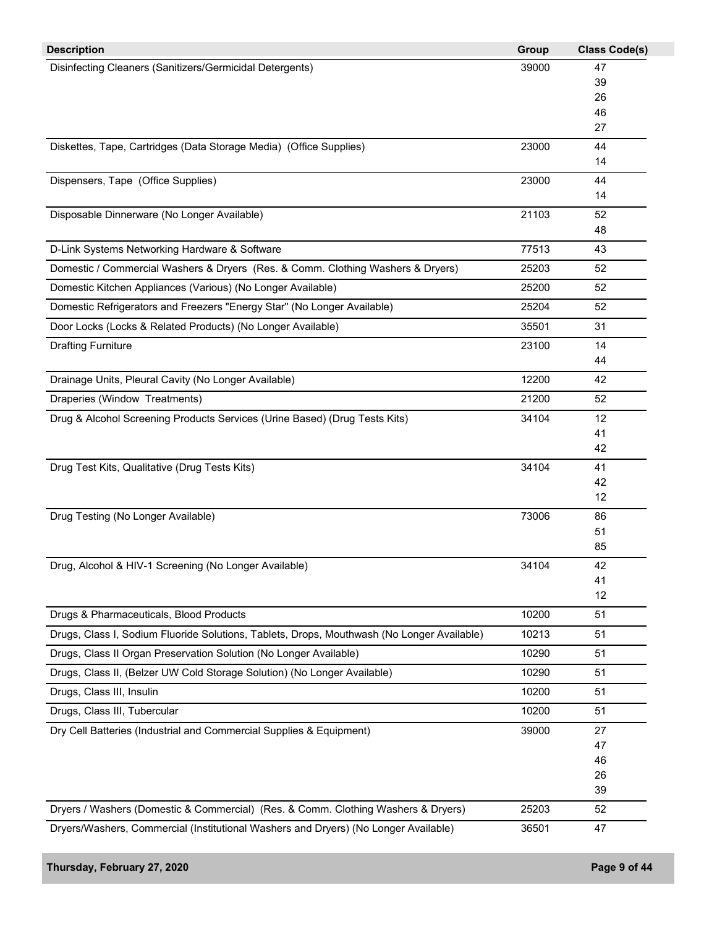| <b>Description</b>                                                                         | Group | <b>Class Code(s)</b> |
|--------------------------------------------------------------------------------------------|-------|----------------------|
| Disinfecting Cleaners (Sanitizers/Germicidal Detergents)                                   | 39000 | 47                   |
|                                                                                            |       | 39                   |
|                                                                                            |       | 26                   |
|                                                                                            |       | 46<br>27             |
| Diskettes, Tape, Cartridges (Data Storage Media) (Office Supplies)                         | 23000 | 44                   |
|                                                                                            |       | 14                   |
| Dispensers, Tape (Office Supplies)                                                         | 23000 | 44                   |
|                                                                                            |       | 14                   |
| Disposable Dinnerware (No Longer Available)                                                | 21103 | 52                   |
|                                                                                            |       | 48                   |
| D-Link Systems Networking Hardware & Software                                              | 77513 | 43                   |
| Domestic / Commercial Washers & Dryers (Res. & Comm. Clothing Washers & Dryers)            | 25203 | 52                   |
| Domestic Kitchen Appliances (Various) (No Longer Available)                                | 25200 | 52                   |
| Domestic Refrigerators and Freezers "Energy Star" (No Longer Available)                    | 25204 | 52                   |
| Door Locks (Locks & Related Products) (No Longer Available)                                | 35501 | 31                   |
| <b>Drafting Furniture</b>                                                                  | 23100 | 14                   |
|                                                                                            |       | 44                   |
| Drainage Units, Pleural Cavity (No Longer Available)                                       | 12200 | 42                   |
| Draperies (Window Treatments)                                                              | 21200 | 52                   |
| Drug & Alcohol Screening Products Services (Urine Based) (Drug Tests Kits)                 | 34104 | 12                   |
|                                                                                            |       | 41                   |
|                                                                                            |       | 42                   |
| Drug Test Kits, Qualitative (Drug Tests Kits)                                              | 34104 | 41                   |
|                                                                                            |       | 42<br>12             |
| Drug Testing (No Longer Available)                                                         | 73006 | 86                   |
|                                                                                            |       | 51                   |
|                                                                                            |       | 85                   |
| Drug, Alcohol & HIV-1 Screening (No Longer Available)                                      | 34104 | 42                   |
|                                                                                            |       | 41                   |
|                                                                                            |       | 12                   |
| Drugs & Pharmaceuticals, Blood Products                                                    | 10200 | 51                   |
| Drugs, Class I, Sodium Fluoride Solutions, Tablets, Drops, Mouthwash (No Longer Available) | 10213 | 51                   |
| Drugs, Class II Organ Preservation Solution (No Longer Available)                          | 10290 | 51                   |
| Drugs, Class II, (Belzer UW Cold Storage Solution) (No Longer Available)                   | 10290 | 51                   |
| Drugs, Class III, Insulin                                                                  | 10200 | 51                   |
| Drugs, Class III, Tubercular                                                               | 10200 | 51                   |
| Dry Cell Batteries (Industrial and Commercial Supplies & Equipment)                        | 39000 | 27                   |
|                                                                                            |       | 47                   |
|                                                                                            |       | 46                   |
|                                                                                            |       | 26                   |
|                                                                                            |       | 39                   |
| Dryers / Washers (Domestic & Commercial) (Res. & Comm. Clothing Washers & Dryers)          | 25203 | 52                   |
| Dryers/Washers, Commercial (Institutional Washers and Dryers) (No Longer Available)        | 36501 | 47                   |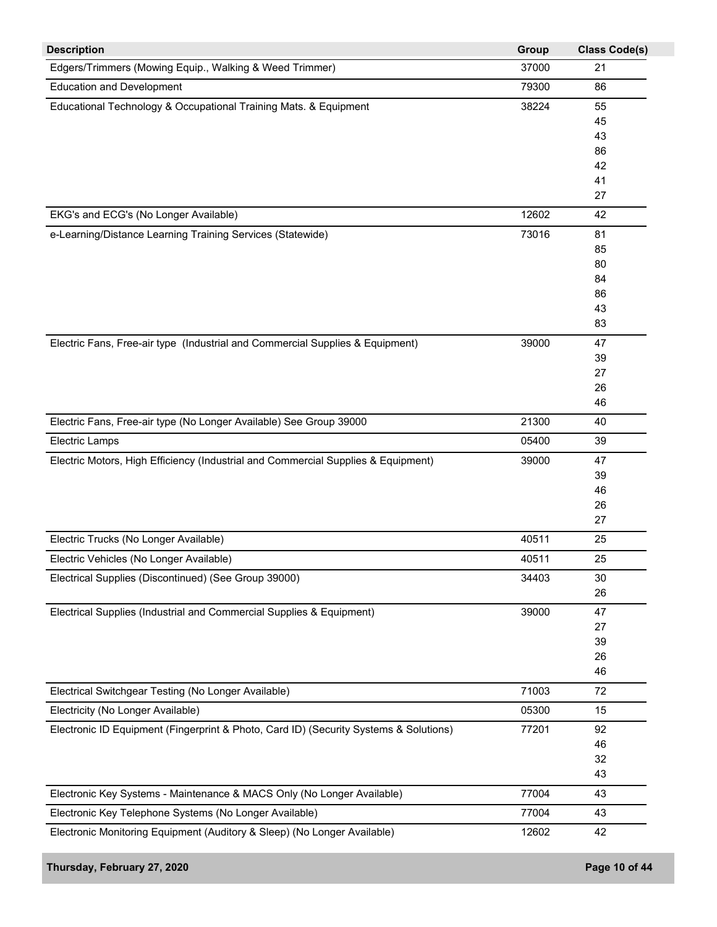| <b>Description</b>                                                                    | Group | <b>Class Code(s)</b> |
|---------------------------------------------------------------------------------------|-------|----------------------|
| Edgers/Trimmers (Mowing Equip., Walking & Weed Trimmer)                               | 37000 | 21                   |
| <b>Education and Development</b>                                                      | 79300 | 86                   |
| Educational Technology & Occupational Training Mats. & Equipment                      | 38224 | 55                   |
|                                                                                       |       | 45                   |
|                                                                                       |       | 43                   |
|                                                                                       |       | 86                   |
|                                                                                       |       | 42                   |
|                                                                                       |       | 41                   |
|                                                                                       |       | 27                   |
| EKG's and ECG's (No Longer Available)                                                 | 12602 | 42                   |
| e-Learning/Distance Learning Training Services (Statewide)                            | 73016 | 81                   |
|                                                                                       |       | 85                   |
|                                                                                       |       | 80                   |
|                                                                                       |       | 84                   |
|                                                                                       |       | 86                   |
|                                                                                       |       | 43                   |
|                                                                                       |       | 83                   |
| Electric Fans, Free-air type (Industrial and Commercial Supplies & Equipment)         | 39000 | 47                   |
|                                                                                       |       | 39                   |
|                                                                                       |       | 27                   |
|                                                                                       |       | 26                   |
|                                                                                       |       | 46                   |
| Electric Fans, Free-air type (No Longer Available) See Group 39000                    | 21300 | 40                   |
| <b>Electric Lamps</b>                                                                 | 05400 | 39                   |
| Electric Motors, High Efficiency (Industrial and Commercial Supplies & Equipment)     | 39000 | 47                   |
|                                                                                       |       | 39                   |
|                                                                                       |       | 46                   |
|                                                                                       |       | 26                   |
|                                                                                       |       | 27                   |
| Electric Trucks (No Longer Available)                                                 | 40511 | 25                   |
| Electric Vehicles (No Longer Available)                                               | 40511 | 25                   |
| Electrical Supplies (Discontinued) (See Group 39000)                                  | 34403 | 30                   |
|                                                                                       |       | 26                   |
| Electrical Supplies (Industrial and Commercial Supplies & Equipment)                  | 39000 | 47                   |
|                                                                                       |       | 27                   |
|                                                                                       |       | 39                   |
|                                                                                       |       | 26                   |
|                                                                                       |       | 46                   |
| Electrical Switchgear Testing (No Longer Available)                                   | 71003 | 72                   |
| Electricity (No Longer Available)                                                     | 05300 | 15                   |
| Electronic ID Equipment (Fingerprint & Photo, Card ID) (Security Systems & Solutions) | 77201 | 92                   |
|                                                                                       |       | 46                   |
|                                                                                       |       | 32                   |
|                                                                                       |       | 43                   |
|                                                                                       |       |                      |
| Electronic Key Systems - Maintenance & MACS Only (No Longer Available)                | 77004 | 43                   |
| Electronic Key Telephone Systems (No Longer Available)                                | 77004 | 43                   |
| Electronic Monitoring Equipment (Auditory & Sleep) (No Longer Available)              | 12602 | 42                   |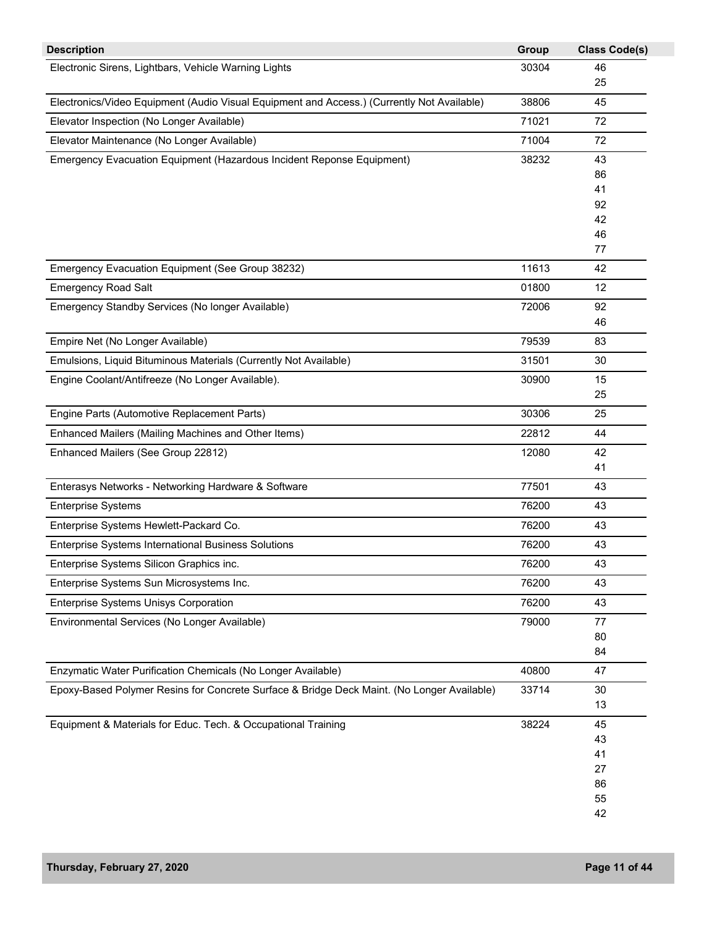| <b>Description</b>                                                                         | Group | <b>Class Code(s)</b> |
|--------------------------------------------------------------------------------------------|-------|----------------------|
| Electronic Sirens, Lightbars, Vehicle Warning Lights                                       | 30304 | 46                   |
|                                                                                            |       | 25                   |
| Electronics/Video Equipment (Audio Visual Equipment and Access.) (Currently Not Available) | 38806 | 45                   |
| Elevator Inspection (No Longer Available)                                                  | 71021 | 72                   |
| Elevator Maintenance (No Longer Available)                                                 | 71004 | 72                   |
| Emergency Evacuation Equipment (Hazardous Incident Reponse Equipment)                      | 38232 | 43                   |
|                                                                                            |       | 86                   |
|                                                                                            |       | 41                   |
|                                                                                            |       | 92                   |
|                                                                                            |       | 42<br>46             |
|                                                                                            |       | 77                   |
| Emergency Evacuation Equipment (See Group 38232)                                           | 11613 | 42                   |
| <b>Emergency Road Salt</b>                                                                 | 01800 | 12                   |
| Emergency Standby Services (No longer Available)                                           | 72006 | 92                   |
|                                                                                            |       | 46                   |
| Empire Net (No Longer Available)                                                           | 79539 | 83                   |
| Emulsions, Liquid Bituminous Materials (Currently Not Available)                           | 31501 | 30                   |
| Engine Coolant/Antifreeze (No Longer Available).                                           | 30900 | 15                   |
|                                                                                            |       | 25                   |
| Engine Parts (Automotive Replacement Parts)                                                | 30306 | 25                   |
| Enhanced Mailers (Mailing Machines and Other Items)                                        | 22812 | 44                   |
| Enhanced Mailers (See Group 22812)                                                         | 12080 | 42                   |
|                                                                                            |       | 41                   |
| Enterasys Networks - Networking Hardware & Software                                        | 77501 | 43                   |
| <b>Enterprise Systems</b>                                                                  | 76200 | 43                   |
| Enterprise Systems Hewlett-Packard Co.                                                     | 76200 | 43                   |
| Enterprise Systems International Business Solutions                                        | 76200 | 43                   |
| Enterprise Systems Silicon Graphics inc.                                                   | 76200 | 43                   |
| Enterprise Systems Sun Microsystems Inc.                                                   | 76200 | 43                   |
| Enterprise Systems Unisys Corporation                                                      | 76200 | 43                   |
| Environmental Services (No Longer Available)                                               | 79000 | 77                   |
|                                                                                            |       | 80                   |
|                                                                                            |       | 84                   |
| Enzymatic Water Purification Chemicals (No Longer Available)                               | 40800 | 47                   |
| Epoxy-Based Polymer Resins for Concrete Surface & Bridge Deck Maint. (No Longer Available) | 33714 | 30                   |
|                                                                                            |       | 13                   |
| Equipment & Materials for Educ. Tech. & Occupational Training                              | 38224 | 45                   |
|                                                                                            |       | 43                   |
|                                                                                            |       | 41                   |
|                                                                                            |       | 27                   |
|                                                                                            |       | 86                   |
|                                                                                            |       | 55                   |
|                                                                                            |       | 42                   |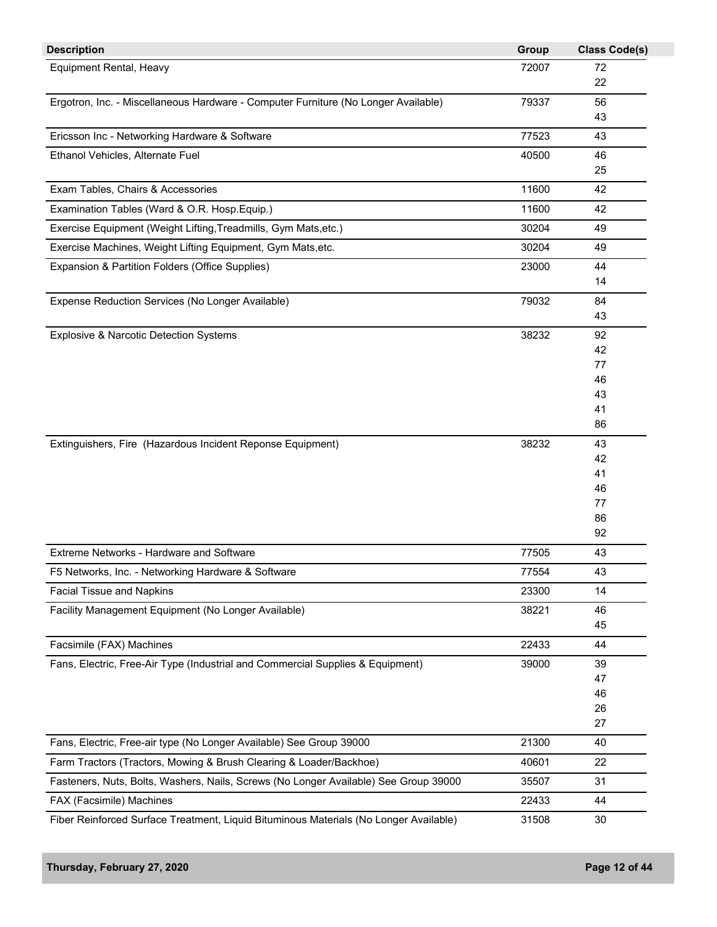| <b>Description</b>                                                                    | Group | <b>Class Code(s)</b> |
|---------------------------------------------------------------------------------------|-------|----------------------|
| Equipment Rental, Heavy                                                               | 72007 | 72                   |
|                                                                                       |       | 22                   |
| Ergotron, Inc. - Miscellaneous Hardware - Computer Furniture (No Longer Available)    | 79337 | 56                   |
|                                                                                       |       | 43                   |
| Ericsson Inc - Networking Hardware & Software                                         | 77523 | 43                   |
| Ethanol Vehicles, Alternate Fuel                                                      | 40500 | 46                   |
|                                                                                       |       | 25                   |
| Exam Tables, Chairs & Accessories                                                     | 11600 | 42                   |
| Examination Tables (Ward & O.R. Hosp.Equip.)                                          | 11600 | 42                   |
| Exercise Equipment (Weight Lifting, Treadmills, Gym Mats, etc.)                       | 30204 | 49                   |
| Exercise Machines, Weight Lifting Equipment, Gym Mats,etc.                            | 30204 | 49                   |
| Expansion & Partition Folders (Office Supplies)                                       | 23000 | 44                   |
|                                                                                       |       | 14                   |
| Expense Reduction Services (No Longer Available)                                      | 79032 | 84                   |
|                                                                                       |       | 43                   |
| Explosive & Narcotic Detection Systems                                                | 38232 | 92                   |
|                                                                                       |       | 42                   |
|                                                                                       |       | 77                   |
|                                                                                       |       | 46                   |
|                                                                                       |       | 43                   |
|                                                                                       |       | 41                   |
|                                                                                       |       | 86                   |
| Extinguishers, Fire (Hazardous Incident Reponse Equipment)                            | 38232 | 43                   |
|                                                                                       |       | 42<br>41             |
|                                                                                       |       | 46                   |
|                                                                                       |       | 77                   |
|                                                                                       |       | 86                   |
|                                                                                       |       | 92                   |
| Extreme Networks - Hardware and Software                                              | 77505 | 43                   |
| F5 Networks, Inc. - Networking Hardware & Software                                    | 77554 | 43                   |
| <b>Facial Tissue and Napkins</b>                                                      | 23300 | 14                   |
| Facility Management Equipment (No Longer Available)                                   | 38221 | 46                   |
|                                                                                       |       | 45                   |
| Facsimile (FAX) Machines                                                              | 22433 | 44                   |
| Fans, Electric, Free-Air Type (Industrial and Commercial Supplies & Equipment)        | 39000 | 39                   |
|                                                                                       |       | 47                   |
|                                                                                       |       | 46                   |
|                                                                                       |       | 26                   |
|                                                                                       |       | 27                   |
| Fans, Electric, Free-air type (No Longer Available) See Group 39000                   | 21300 | 40                   |
| Farm Tractors (Tractors, Mowing & Brush Clearing & Loader/Backhoe)                    | 40601 | 22                   |
| Fasteners, Nuts, Bolts, Washers, Nails, Screws (No Longer Available) See Group 39000  | 35507 | 31                   |
| FAX (Facsimile) Machines                                                              | 22433 | 44                   |
| Fiber Reinforced Surface Treatment, Liquid Bituminous Materials (No Longer Available) | 31508 | 30                   |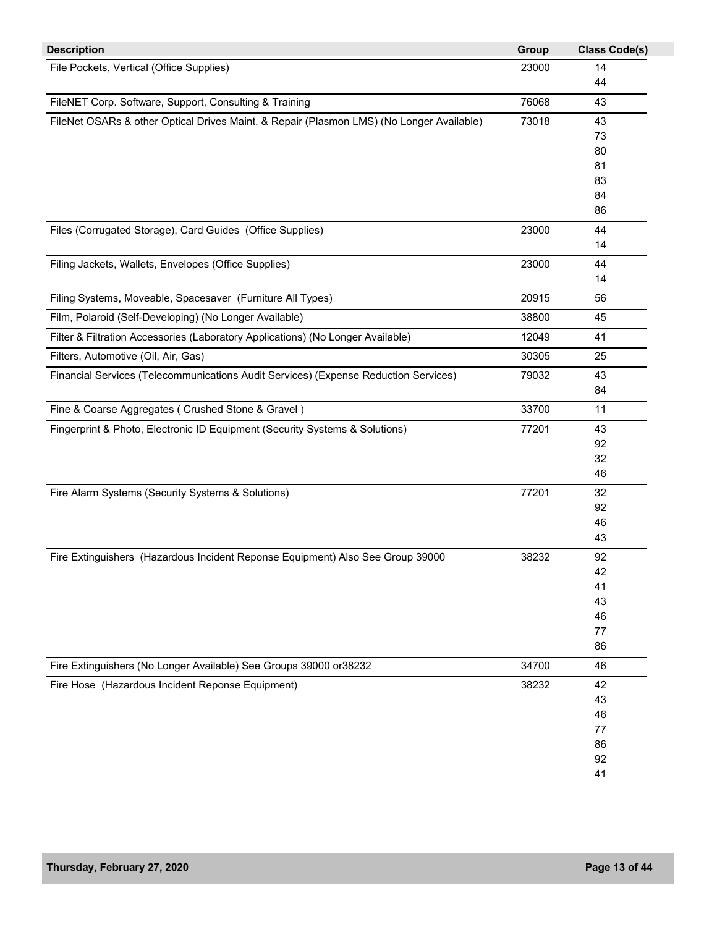| <b>Description</b>                                                                       | Group | <b>Class Code(s)</b> |
|------------------------------------------------------------------------------------------|-------|----------------------|
| File Pockets, Vertical (Office Supplies)                                                 | 23000 | 14                   |
|                                                                                          |       | 44                   |
| FileNET Corp. Software, Support, Consulting & Training                                   | 76068 | 43                   |
| FileNet OSARs & other Optical Drives Maint. & Repair (Plasmon LMS) (No Longer Available) | 73018 | 43                   |
|                                                                                          |       | 73                   |
|                                                                                          |       | 80                   |
|                                                                                          |       | 81                   |
|                                                                                          |       | 83                   |
|                                                                                          |       | 84<br>86             |
|                                                                                          |       |                      |
| Files (Corrugated Storage), Card Guides (Office Supplies)                                | 23000 | 44<br>14             |
|                                                                                          |       |                      |
| Filing Jackets, Wallets, Envelopes (Office Supplies)                                     | 23000 | 44                   |
|                                                                                          |       | 14                   |
| Filing Systems, Moveable, Spacesaver (Furniture All Types)                               | 20915 | 56                   |
| Film, Polaroid (Self-Developing) (No Longer Available)                                   | 38800 | 45                   |
| Filter & Filtration Accessories (Laboratory Applications) (No Longer Available)          | 12049 | 41                   |
| Filters, Automotive (Oil, Air, Gas)                                                      | 30305 | 25                   |
| Financial Services (Telecommunications Audit Services) (Expense Reduction Services)      | 79032 | 43                   |
|                                                                                          |       | 84                   |
| Fine & Coarse Aggregates (Crushed Stone & Gravel)                                        | 33700 | 11                   |
| Fingerprint & Photo, Electronic ID Equipment (Security Systems & Solutions)              | 77201 | 43                   |
|                                                                                          |       | 92                   |
|                                                                                          |       | 32                   |
|                                                                                          |       | 46                   |
| Fire Alarm Systems (Security Systems & Solutions)                                        | 77201 | 32                   |
|                                                                                          |       | 92                   |
|                                                                                          |       | 46                   |
|                                                                                          |       | 43                   |
| Fire Extinguishers (Hazardous Incident Reponse Equipment) Also See Group 39000           | 38232 | 92                   |
|                                                                                          |       | 42                   |
|                                                                                          |       | 41                   |
|                                                                                          |       | 43                   |
|                                                                                          |       | 46                   |
|                                                                                          |       | 77                   |
|                                                                                          |       | 86                   |
| Fire Extinguishers (No Longer Available) See Groups 39000 or38232                        | 34700 | 46                   |
| Fire Hose (Hazardous Incident Reponse Equipment)                                         | 38232 | 42                   |
|                                                                                          |       | 43                   |
|                                                                                          |       | 46                   |
|                                                                                          |       | 77                   |
|                                                                                          |       | 86                   |
|                                                                                          |       | 92                   |
|                                                                                          |       | 41                   |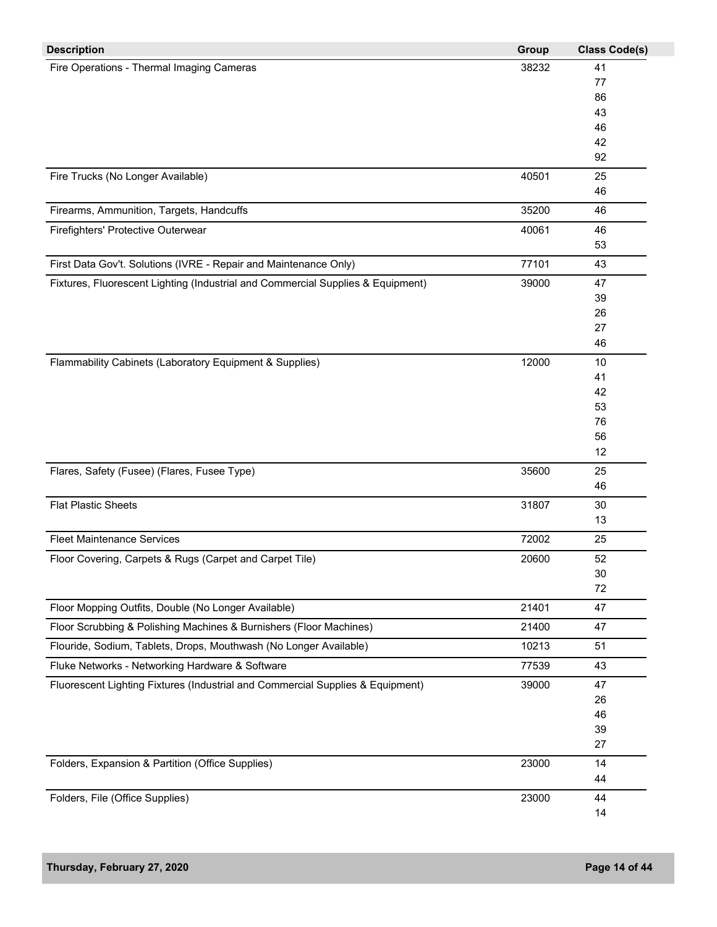| <b>Description</b>                                                              | Group | <b>Class Code(s)</b> |
|---------------------------------------------------------------------------------|-------|----------------------|
| Fire Operations - Thermal Imaging Cameras                                       | 38232 | 41                   |
|                                                                                 |       | 77                   |
|                                                                                 |       | 86                   |
|                                                                                 |       | 43                   |
|                                                                                 |       | 46                   |
|                                                                                 |       | 42                   |
|                                                                                 |       | 92                   |
| Fire Trucks (No Longer Available)                                               | 40501 | 25                   |
|                                                                                 |       | 46                   |
| Firearms, Ammunition, Targets, Handcuffs                                        | 35200 | 46                   |
| Firefighters' Protective Outerwear                                              | 40061 | 46                   |
|                                                                                 |       | 53                   |
| First Data Gov't. Solutions (IVRE - Repair and Maintenance Only)                | 77101 | 43                   |
| Fixtures, Fluorescent Lighting (Industrial and Commercial Supplies & Equipment) | 39000 | 47                   |
|                                                                                 |       | 39                   |
|                                                                                 |       | 26                   |
|                                                                                 |       | 27                   |
|                                                                                 |       | 46                   |
| Flammability Cabinets (Laboratory Equipment & Supplies)                         | 12000 | 10                   |
|                                                                                 |       | 41                   |
|                                                                                 |       | 42                   |
|                                                                                 |       | 53                   |
|                                                                                 |       | 76                   |
|                                                                                 |       | 56<br>12             |
|                                                                                 |       |                      |
| Flares, Safety (Fusee) (Flares, Fusee Type)                                     | 35600 | 25                   |
|                                                                                 |       | 46                   |
| <b>Flat Plastic Sheets</b>                                                      | 31807 | 30                   |
|                                                                                 |       | 13                   |
| <b>Fleet Maintenance Services</b>                                               | 72002 | 25                   |
| Floor Covering, Carpets & Rugs (Carpet and Carpet Tile)                         | 20600 | 52                   |
|                                                                                 |       | 30                   |
|                                                                                 |       | 72                   |
| Floor Mopping Outfits, Double (No Longer Available)                             | 21401 | 47                   |
| Floor Scrubbing & Polishing Machines & Burnishers (Floor Machines)              | 21400 | 47                   |
| Flouride, Sodium, Tablets, Drops, Mouthwash (No Longer Available)               | 10213 | 51                   |
| Fluke Networks - Networking Hardware & Software                                 | 77539 | 43                   |
| Fluorescent Lighting Fixtures (Industrial and Commercial Supplies & Equipment)  | 39000 | 47                   |
|                                                                                 |       | 26                   |
|                                                                                 |       | 46                   |
|                                                                                 |       | 39                   |
|                                                                                 |       | 27                   |
| Folders, Expansion & Partition (Office Supplies)                                | 23000 | 14                   |
|                                                                                 |       | 44                   |
| Folders, File (Office Supplies)                                                 | 23000 | 44                   |
|                                                                                 |       | 14                   |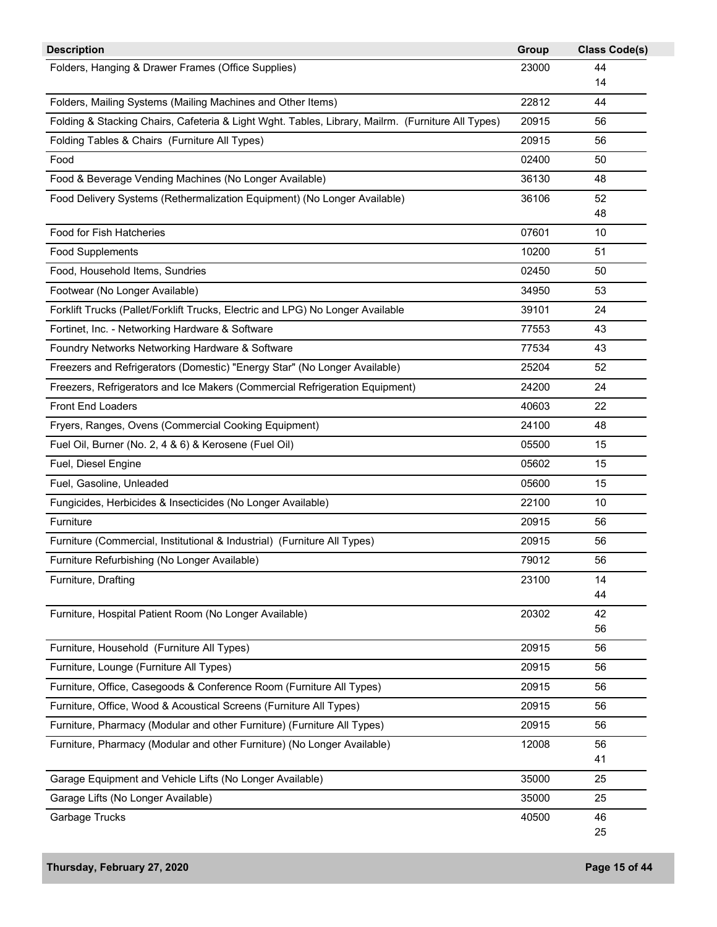| Folders, Hanging & Drawer Frames (Office Supplies)<br>23000<br>44<br>14<br>Folders, Mailing Systems (Mailing Machines and Other Items)<br>22812<br>44<br>20915<br>Folding & Stacking Chairs, Cafeteria & Light Wght. Tables, Library, Mailrm. (Furniture All Types)<br>56<br>Folding Tables & Chairs (Furniture All Types)<br>20915<br>56<br>Food<br>02400<br>50<br>Food & Beverage Vending Machines (No Longer Available)<br>36130<br>48<br>36106<br>52<br>Food Delivery Systems (Rethermalization Equipment) (No Longer Available)<br>48<br><b>Food for Fish Hatcheries</b><br>07601<br>10<br>10200<br><b>Food Supplements</b><br>51<br>Food, Household Items, Sundries<br>02450<br>50<br>Footwear (No Longer Available)<br>34950<br>53<br>Forklift Trucks (Pallet/Forklift Trucks, Electric and LPG) No Longer Available<br>39101<br>24<br>Fortinet, Inc. - Networking Hardware & Software<br>77553<br>43<br>Foundry Networks Networking Hardware & Software<br>77534<br>43<br>Freezers and Refrigerators (Domestic) "Energy Star" (No Longer Available)<br>25204<br>52<br>Freezers, Refrigerators and Ice Makers (Commercial Refrigeration Equipment)<br>24200<br>24<br><b>Front End Loaders</b><br>40603<br>22<br>24100<br>Fryers, Ranges, Ovens (Commercial Cooking Equipment)<br>48<br>05500<br>15<br>Fuel Oil, Burner (No. 2, 4 & 6) & Kerosene (Fuel Oil)<br>05602<br>15<br>Fuel, Diesel Engine<br>Fuel, Gasoline, Unleaded<br>05600<br>15<br>22100<br>10<br>Fungicides, Herbicides & Insecticides (No Longer Available)<br>20915<br>Furniture<br>56<br>20915<br>Furniture (Commercial, Institutional & Industrial) (Furniture All Types)<br>56<br>79012<br>Furniture Refurbishing (No Longer Available)<br>56<br>23100<br>Furniture, Drafting<br>14<br>44<br>Furniture, Hospital Patient Room (No Longer Available)<br>20302<br>42<br>56<br>Furniture, Household (Furniture All Types)<br>20915<br>56<br>Furniture, Lounge (Furniture All Types)<br>20915<br>56<br>Furniture, Office, Casegoods & Conference Room (Furniture All Types)<br>20915<br>56<br>Furniture, Office, Wood & Acoustical Screens (Furniture All Types)<br>20915<br>56<br>Furniture, Pharmacy (Modular and other Furniture) (Furniture All Types)<br>20915<br>56<br>Furniture, Pharmacy (Modular and other Furniture) (No Longer Available)<br>12008<br>56<br>41<br>Garage Equipment and Vehicle Lifts (No Longer Available)<br>35000<br>25<br>Garage Lifts (No Longer Available)<br>35000<br>25<br>40500<br>Garbage Trucks<br>46<br>25 | <b>Description</b> | Group | <b>Class Code(s)</b> |
|------------------------------------------------------------------------------------------------------------------------------------------------------------------------------------------------------------------------------------------------------------------------------------------------------------------------------------------------------------------------------------------------------------------------------------------------------------------------------------------------------------------------------------------------------------------------------------------------------------------------------------------------------------------------------------------------------------------------------------------------------------------------------------------------------------------------------------------------------------------------------------------------------------------------------------------------------------------------------------------------------------------------------------------------------------------------------------------------------------------------------------------------------------------------------------------------------------------------------------------------------------------------------------------------------------------------------------------------------------------------------------------------------------------------------------------------------------------------------------------------------------------------------------------------------------------------------------------------------------------------------------------------------------------------------------------------------------------------------------------------------------------------------------------------------------------------------------------------------------------------------------------------------------------------------------------------------------------------------------------------------------------------------------------------------------------------------------------------------------------------------------------------------------------------------------------------------------------------------------------------------------------------------------------------------------------------------------------------------------------------------------------------------------------------------------------------------------------------------------------------------------------------|--------------------|-------|----------------------|
|                                                                                                                                                                                                                                                                                                                                                                                                                                                                                                                                                                                                                                                                                                                                                                                                                                                                                                                                                                                                                                                                                                                                                                                                                                                                                                                                                                                                                                                                                                                                                                                                                                                                                                                                                                                                                                                                                                                                                                                                                                                                                                                                                                                                                                                                                                                                                                                                                                                                                                                        |                    |       |                      |
|                                                                                                                                                                                                                                                                                                                                                                                                                                                                                                                                                                                                                                                                                                                                                                                                                                                                                                                                                                                                                                                                                                                                                                                                                                                                                                                                                                                                                                                                                                                                                                                                                                                                                                                                                                                                                                                                                                                                                                                                                                                                                                                                                                                                                                                                                                                                                                                                                                                                                                                        |                    |       |                      |
|                                                                                                                                                                                                                                                                                                                                                                                                                                                                                                                                                                                                                                                                                                                                                                                                                                                                                                                                                                                                                                                                                                                                                                                                                                                                                                                                                                                                                                                                                                                                                                                                                                                                                                                                                                                                                                                                                                                                                                                                                                                                                                                                                                                                                                                                                                                                                                                                                                                                                                                        |                    |       |                      |
|                                                                                                                                                                                                                                                                                                                                                                                                                                                                                                                                                                                                                                                                                                                                                                                                                                                                                                                                                                                                                                                                                                                                                                                                                                                                                                                                                                                                                                                                                                                                                                                                                                                                                                                                                                                                                                                                                                                                                                                                                                                                                                                                                                                                                                                                                                                                                                                                                                                                                                                        |                    |       |                      |
|                                                                                                                                                                                                                                                                                                                                                                                                                                                                                                                                                                                                                                                                                                                                                                                                                                                                                                                                                                                                                                                                                                                                                                                                                                                                                                                                                                                                                                                                                                                                                                                                                                                                                                                                                                                                                                                                                                                                                                                                                                                                                                                                                                                                                                                                                                                                                                                                                                                                                                                        |                    |       |                      |
|                                                                                                                                                                                                                                                                                                                                                                                                                                                                                                                                                                                                                                                                                                                                                                                                                                                                                                                                                                                                                                                                                                                                                                                                                                                                                                                                                                                                                                                                                                                                                                                                                                                                                                                                                                                                                                                                                                                                                                                                                                                                                                                                                                                                                                                                                                                                                                                                                                                                                                                        |                    |       |                      |
|                                                                                                                                                                                                                                                                                                                                                                                                                                                                                                                                                                                                                                                                                                                                                                                                                                                                                                                                                                                                                                                                                                                                                                                                                                                                                                                                                                                                                                                                                                                                                                                                                                                                                                                                                                                                                                                                                                                                                                                                                                                                                                                                                                                                                                                                                                                                                                                                                                                                                                                        |                    |       |                      |
|                                                                                                                                                                                                                                                                                                                                                                                                                                                                                                                                                                                                                                                                                                                                                                                                                                                                                                                                                                                                                                                                                                                                                                                                                                                                                                                                                                                                                                                                                                                                                                                                                                                                                                                                                                                                                                                                                                                                                                                                                                                                                                                                                                                                                                                                                                                                                                                                                                                                                                                        |                    |       |                      |
|                                                                                                                                                                                                                                                                                                                                                                                                                                                                                                                                                                                                                                                                                                                                                                                                                                                                                                                                                                                                                                                                                                                                                                                                                                                                                                                                                                                                                                                                                                                                                                                                                                                                                                                                                                                                                                                                                                                                                                                                                                                                                                                                                                                                                                                                                                                                                                                                                                                                                                                        |                    |       |                      |
|                                                                                                                                                                                                                                                                                                                                                                                                                                                                                                                                                                                                                                                                                                                                                                                                                                                                                                                                                                                                                                                                                                                                                                                                                                                                                                                                                                                                                                                                                                                                                                                                                                                                                                                                                                                                                                                                                                                                                                                                                                                                                                                                                                                                                                                                                                                                                                                                                                                                                                                        |                    |       |                      |
|                                                                                                                                                                                                                                                                                                                                                                                                                                                                                                                                                                                                                                                                                                                                                                                                                                                                                                                                                                                                                                                                                                                                                                                                                                                                                                                                                                                                                                                                                                                                                                                                                                                                                                                                                                                                                                                                                                                                                                                                                                                                                                                                                                                                                                                                                                                                                                                                                                                                                                                        |                    |       |                      |
|                                                                                                                                                                                                                                                                                                                                                                                                                                                                                                                                                                                                                                                                                                                                                                                                                                                                                                                                                                                                                                                                                                                                                                                                                                                                                                                                                                                                                                                                                                                                                                                                                                                                                                                                                                                                                                                                                                                                                                                                                                                                                                                                                                                                                                                                                                                                                                                                                                                                                                                        |                    |       |                      |
|                                                                                                                                                                                                                                                                                                                                                                                                                                                                                                                                                                                                                                                                                                                                                                                                                                                                                                                                                                                                                                                                                                                                                                                                                                                                                                                                                                                                                                                                                                                                                                                                                                                                                                                                                                                                                                                                                                                                                                                                                                                                                                                                                                                                                                                                                                                                                                                                                                                                                                                        |                    |       |                      |
|                                                                                                                                                                                                                                                                                                                                                                                                                                                                                                                                                                                                                                                                                                                                                                                                                                                                                                                                                                                                                                                                                                                                                                                                                                                                                                                                                                                                                                                                                                                                                                                                                                                                                                                                                                                                                                                                                                                                                                                                                                                                                                                                                                                                                                                                                                                                                                                                                                                                                                                        |                    |       |                      |
|                                                                                                                                                                                                                                                                                                                                                                                                                                                                                                                                                                                                                                                                                                                                                                                                                                                                                                                                                                                                                                                                                                                                                                                                                                                                                                                                                                                                                                                                                                                                                                                                                                                                                                                                                                                                                                                                                                                                                                                                                                                                                                                                                                                                                                                                                                                                                                                                                                                                                                                        |                    |       |                      |
|                                                                                                                                                                                                                                                                                                                                                                                                                                                                                                                                                                                                                                                                                                                                                                                                                                                                                                                                                                                                                                                                                                                                                                                                                                                                                                                                                                                                                                                                                                                                                                                                                                                                                                                                                                                                                                                                                                                                                                                                                                                                                                                                                                                                                                                                                                                                                                                                                                                                                                                        |                    |       |                      |
|                                                                                                                                                                                                                                                                                                                                                                                                                                                                                                                                                                                                                                                                                                                                                                                                                                                                                                                                                                                                                                                                                                                                                                                                                                                                                                                                                                                                                                                                                                                                                                                                                                                                                                                                                                                                                                                                                                                                                                                                                                                                                                                                                                                                                                                                                                                                                                                                                                                                                                                        |                    |       |                      |
|                                                                                                                                                                                                                                                                                                                                                                                                                                                                                                                                                                                                                                                                                                                                                                                                                                                                                                                                                                                                                                                                                                                                                                                                                                                                                                                                                                                                                                                                                                                                                                                                                                                                                                                                                                                                                                                                                                                                                                                                                                                                                                                                                                                                                                                                                                                                                                                                                                                                                                                        |                    |       |                      |
|                                                                                                                                                                                                                                                                                                                                                                                                                                                                                                                                                                                                                                                                                                                                                                                                                                                                                                                                                                                                                                                                                                                                                                                                                                                                                                                                                                                                                                                                                                                                                                                                                                                                                                                                                                                                                                                                                                                                                                                                                                                                                                                                                                                                                                                                                                                                                                                                                                                                                                                        |                    |       |                      |
|                                                                                                                                                                                                                                                                                                                                                                                                                                                                                                                                                                                                                                                                                                                                                                                                                                                                                                                                                                                                                                                                                                                                                                                                                                                                                                                                                                                                                                                                                                                                                                                                                                                                                                                                                                                                                                                                                                                                                                                                                                                                                                                                                                                                                                                                                                                                                                                                                                                                                                                        |                    |       |                      |
|                                                                                                                                                                                                                                                                                                                                                                                                                                                                                                                                                                                                                                                                                                                                                                                                                                                                                                                                                                                                                                                                                                                                                                                                                                                                                                                                                                                                                                                                                                                                                                                                                                                                                                                                                                                                                                                                                                                                                                                                                                                                                                                                                                                                                                                                                                                                                                                                                                                                                                                        |                    |       |                      |
|                                                                                                                                                                                                                                                                                                                                                                                                                                                                                                                                                                                                                                                                                                                                                                                                                                                                                                                                                                                                                                                                                                                                                                                                                                                                                                                                                                                                                                                                                                                                                                                                                                                                                                                                                                                                                                                                                                                                                                                                                                                                                                                                                                                                                                                                                                                                                                                                                                                                                                                        |                    |       |                      |
|                                                                                                                                                                                                                                                                                                                                                                                                                                                                                                                                                                                                                                                                                                                                                                                                                                                                                                                                                                                                                                                                                                                                                                                                                                                                                                                                                                                                                                                                                                                                                                                                                                                                                                                                                                                                                                                                                                                                                                                                                                                                                                                                                                                                                                                                                                                                                                                                                                                                                                                        |                    |       |                      |
|                                                                                                                                                                                                                                                                                                                                                                                                                                                                                                                                                                                                                                                                                                                                                                                                                                                                                                                                                                                                                                                                                                                                                                                                                                                                                                                                                                                                                                                                                                                                                                                                                                                                                                                                                                                                                                                                                                                                                                                                                                                                                                                                                                                                                                                                                                                                                                                                                                                                                                                        |                    |       |                      |
|                                                                                                                                                                                                                                                                                                                                                                                                                                                                                                                                                                                                                                                                                                                                                                                                                                                                                                                                                                                                                                                                                                                                                                                                                                                                                                                                                                                                                                                                                                                                                                                                                                                                                                                                                                                                                                                                                                                                                                                                                                                                                                                                                                                                                                                                                                                                                                                                                                                                                                                        |                    |       |                      |
|                                                                                                                                                                                                                                                                                                                                                                                                                                                                                                                                                                                                                                                                                                                                                                                                                                                                                                                                                                                                                                                                                                                                                                                                                                                                                                                                                                                                                                                                                                                                                                                                                                                                                                                                                                                                                                                                                                                                                                                                                                                                                                                                                                                                                                                                                                                                                                                                                                                                                                                        |                    |       |                      |
|                                                                                                                                                                                                                                                                                                                                                                                                                                                                                                                                                                                                                                                                                                                                                                                                                                                                                                                                                                                                                                                                                                                                                                                                                                                                                                                                                                                                                                                                                                                                                                                                                                                                                                                                                                                                                                                                                                                                                                                                                                                                                                                                                                                                                                                                                                                                                                                                                                                                                                                        |                    |       |                      |
|                                                                                                                                                                                                                                                                                                                                                                                                                                                                                                                                                                                                                                                                                                                                                                                                                                                                                                                                                                                                                                                                                                                                                                                                                                                                                                                                                                                                                                                                                                                                                                                                                                                                                                                                                                                                                                                                                                                                                                                                                                                                                                                                                                                                                                                                                                                                                                                                                                                                                                                        |                    |       |                      |
|                                                                                                                                                                                                                                                                                                                                                                                                                                                                                                                                                                                                                                                                                                                                                                                                                                                                                                                                                                                                                                                                                                                                                                                                                                                                                                                                                                                                                                                                                                                                                                                                                                                                                                                                                                                                                                                                                                                                                                                                                                                                                                                                                                                                                                                                                                                                                                                                                                                                                                                        |                    |       |                      |
|                                                                                                                                                                                                                                                                                                                                                                                                                                                                                                                                                                                                                                                                                                                                                                                                                                                                                                                                                                                                                                                                                                                                                                                                                                                                                                                                                                                                                                                                                                                                                                                                                                                                                                                                                                                                                                                                                                                                                                                                                                                                                                                                                                                                                                                                                                                                                                                                                                                                                                                        |                    |       |                      |
|                                                                                                                                                                                                                                                                                                                                                                                                                                                                                                                                                                                                                                                                                                                                                                                                                                                                                                                                                                                                                                                                                                                                                                                                                                                                                                                                                                                                                                                                                                                                                                                                                                                                                                                                                                                                                                                                                                                                                                                                                                                                                                                                                                                                                                                                                                                                                                                                                                                                                                                        |                    |       |                      |
|                                                                                                                                                                                                                                                                                                                                                                                                                                                                                                                                                                                                                                                                                                                                                                                                                                                                                                                                                                                                                                                                                                                                                                                                                                                                                                                                                                                                                                                                                                                                                                                                                                                                                                                                                                                                                                                                                                                                                                                                                                                                                                                                                                                                                                                                                                                                                                                                                                                                                                                        |                    |       |                      |
|                                                                                                                                                                                                                                                                                                                                                                                                                                                                                                                                                                                                                                                                                                                                                                                                                                                                                                                                                                                                                                                                                                                                                                                                                                                                                                                                                                                                                                                                                                                                                                                                                                                                                                                                                                                                                                                                                                                                                                                                                                                                                                                                                                                                                                                                                                                                                                                                                                                                                                                        |                    |       |                      |
|                                                                                                                                                                                                                                                                                                                                                                                                                                                                                                                                                                                                                                                                                                                                                                                                                                                                                                                                                                                                                                                                                                                                                                                                                                                                                                                                                                                                                                                                                                                                                                                                                                                                                                                                                                                                                                                                                                                                                                                                                                                                                                                                                                                                                                                                                                                                                                                                                                                                                                                        |                    |       |                      |
|                                                                                                                                                                                                                                                                                                                                                                                                                                                                                                                                                                                                                                                                                                                                                                                                                                                                                                                                                                                                                                                                                                                                                                                                                                                                                                                                                                                                                                                                                                                                                                                                                                                                                                                                                                                                                                                                                                                                                                                                                                                                                                                                                                                                                                                                                                                                                                                                                                                                                                                        |                    |       |                      |
|                                                                                                                                                                                                                                                                                                                                                                                                                                                                                                                                                                                                                                                                                                                                                                                                                                                                                                                                                                                                                                                                                                                                                                                                                                                                                                                                                                                                                                                                                                                                                                                                                                                                                                                                                                                                                                                                                                                                                                                                                                                                                                                                                                                                                                                                                                                                                                                                                                                                                                                        |                    |       |                      |
|                                                                                                                                                                                                                                                                                                                                                                                                                                                                                                                                                                                                                                                                                                                                                                                                                                                                                                                                                                                                                                                                                                                                                                                                                                                                                                                                                                                                                                                                                                                                                                                                                                                                                                                                                                                                                                                                                                                                                                                                                                                                                                                                                                                                                                                                                                                                                                                                                                                                                                                        |                    |       |                      |
|                                                                                                                                                                                                                                                                                                                                                                                                                                                                                                                                                                                                                                                                                                                                                                                                                                                                                                                                                                                                                                                                                                                                                                                                                                                                                                                                                                                                                                                                                                                                                                                                                                                                                                                                                                                                                                                                                                                                                                                                                                                                                                                                                                                                                                                                                                                                                                                                                                                                                                                        |                    |       |                      |
|                                                                                                                                                                                                                                                                                                                                                                                                                                                                                                                                                                                                                                                                                                                                                                                                                                                                                                                                                                                                                                                                                                                                                                                                                                                                                                                                                                                                                                                                                                                                                                                                                                                                                                                                                                                                                                                                                                                                                                                                                                                                                                                                                                                                                                                                                                                                                                                                                                                                                                                        |                    |       |                      |
|                                                                                                                                                                                                                                                                                                                                                                                                                                                                                                                                                                                                                                                                                                                                                                                                                                                                                                                                                                                                                                                                                                                                                                                                                                                                                                                                                                                                                                                                                                                                                                                                                                                                                                                                                                                                                                                                                                                                                                                                                                                                                                                                                                                                                                                                                                                                                                                                                                                                                                                        |                    |       |                      |
|                                                                                                                                                                                                                                                                                                                                                                                                                                                                                                                                                                                                                                                                                                                                                                                                                                                                                                                                                                                                                                                                                                                                                                                                                                                                                                                                                                                                                                                                                                                                                                                                                                                                                                                                                                                                                                                                                                                                                                                                                                                                                                                                                                                                                                                                                                                                                                                                                                                                                                                        |                    |       |                      |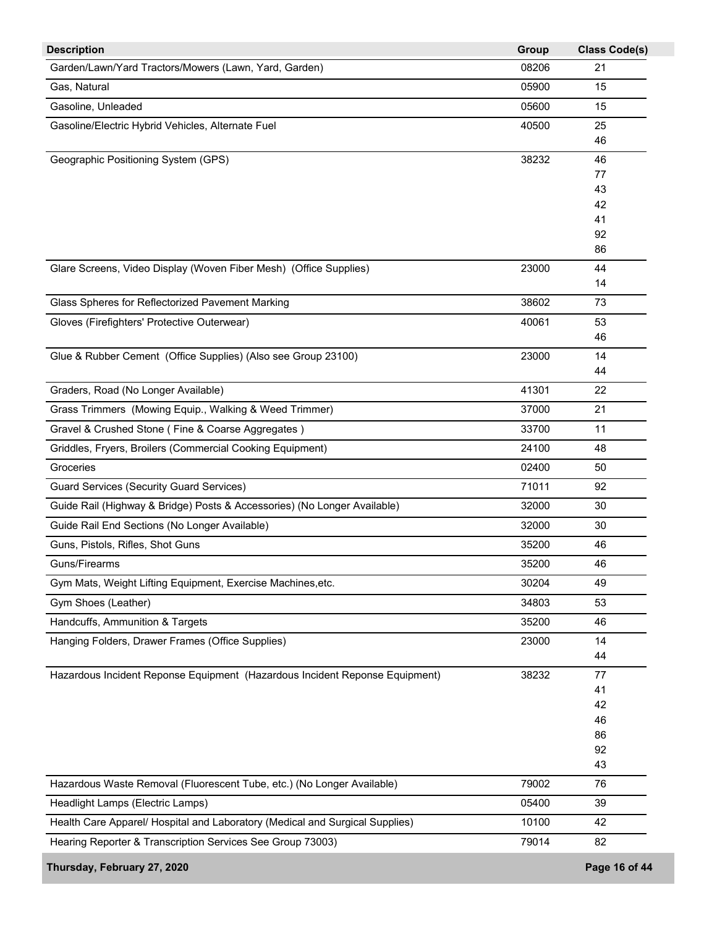| <b>Description</b>                                                           | Group | <b>Class Code(s)</b> |
|------------------------------------------------------------------------------|-------|----------------------|
| Garden/Lawn/Yard Tractors/Mowers (Lawn, Yard, Garden)                        | 08206 | 21                   |
| Gas, Natural                                                                 | 05900 | 15                   |
| Gasoline, Unleaded                                                           | 05600 | 15                   |
| Gasoline/Electric Hybrid Vehicles, Alternate Fuel                            | 40500 | 25                   |
|                                                                              |       | 46                   |
| Geographic Positioning System (GPS)                                          | 38232 | 46                   |
|                                                                              |       | 77                   |
|                                                                              |       | 43<br>42             |
|                                                                              |       | 41                   |
|                                                                              |       | 92                   |
|                                                                              |       | 86                   |
| Glare Screens, Video Display (Woven Fiber Mesh) (Office Supplies)            | 23000 | 44                   |
|                                                                              |       | 14                   |
| Glass Spheres for Reflectorized Pavement Marking                             | 38602 | 73                   |
| Gloves (Firefighters' Protective Outerwear)                                  | 40061 | 53                   |
|                                                                              |       | 46                   |
| Glue & Rubber Cement (Office Supplies) (Also see Group 23100)                | 23000 | 14                   |
|                                                                              |       | 44                   |
| Graders, Road (No Longer Available)                                          | 41301 | 22                   |
| Grass Trimmers (Mowing Equip., Walking & Weed Trimmer)                       | 37000 | 21                   |
| Gravel & Crushed Stone (Fine & Coarse Aggregates)                            | 33700 | 11                   |
| Griddles, Fryers, Broilers (Commercial Cooking Equipment)                    | 24100 | 48                   |
| Groceries                                                                    | 02400 | 50                   |
| <b>Guard Services (Security Guard Services)</b>                              | 71011 | 92                   |
| Guide Rail (Highway & Bridge) Posts & Accessories) (No Longer Available)     | 32000 | 30                   |
| Guide Rail End Sections (No Longer Available)                                | 32000 | 30                   |
| Guns, Pistols, Rifles, Shot Guns                                             | 35200 | 46                   |
| Guns/Firearms                                                                | 35200 | 46                   |
| Gym Mats, Weight Lifting Equipment, Exercise Machines, etc.                  | 30204 | 49                   |
| Gym Shoes (Leather)                                                          | 34803 | 53                   |
| Handcuffs, Ammunition & Targets                                              | 35200 | 46                   |
| Hanging Folders, Drawer Frames (Office Supplies)                             | 23000 | 14                   |
|                                                                              |       | 44                   |
| Hazardous Incident Reponse Equipment (Hazardous Incident Reponse Equipment)  | 38232 | 77                   |
|                                                                              |       | 41                   |
|                                                                              |       | 42                   |
|                                                                              |       | 46                   |
|                                                                              |       | 86<br>92             |
|                                                                              |       | 43                   |
| Hazardous Waste Removal (Fluorescent Tube, etc.) (No Longer Available)       | 79002 | 76                   |
| Headlight Lamps (Electric Lamps)                                             | 05400 | 39                   |
| Health Care Apparel/ Hospital and Laboratory (Medical and Surgical Supplies) | 10100 | 42                   |
| Hearing Reporter & Transcription Services See Group 73003)                   | 79014 | 82                   |
|                                                                              |       |                      |
| Thursday, February 27, 2020                                                  |       | Page 16 of 44        |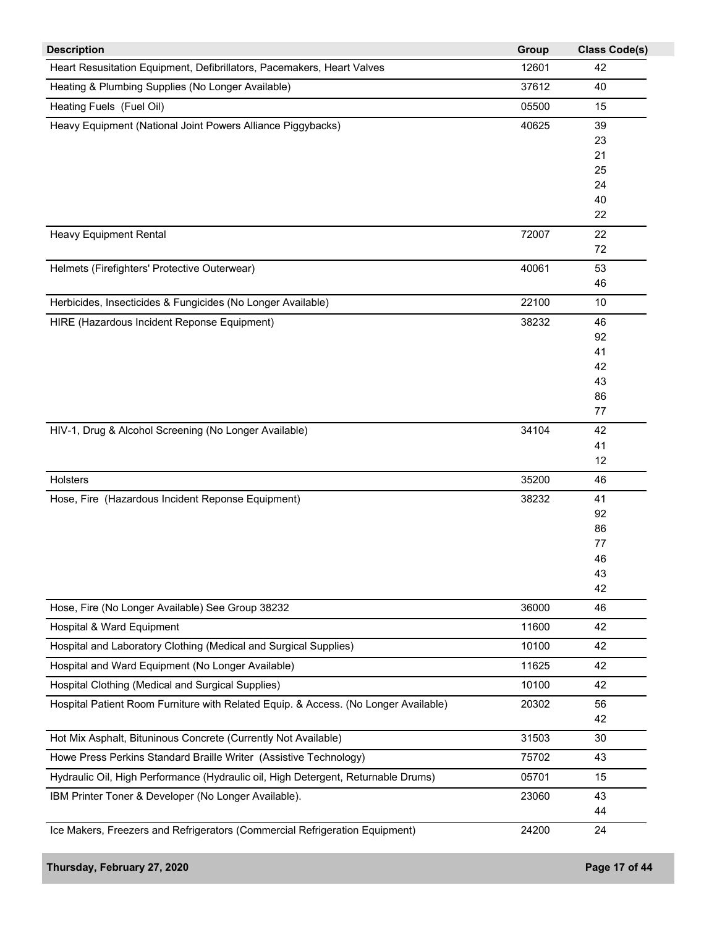| <b>Description</b>                                                                  | Group | <b>Class Code(s)</b> |
|-------------------------------------------------------------------------------------|-------|----------------------|
| Heart Resusitation Equipment, Defibrillators, Pacemakers, Heart Valves              | 12601 | 42                   |
| Heating & Plumbing Supplies (No Longer Available)                                   | 37612 | 40                   |
| Heating Fuels (Fuel Oil)                                                            | 05500 | 15                   |
| Heavy Equipment (National Joint Powers Alliance Piggybacks)                         | 40625 | 39                   |
|                                                                                     |       | 23                   |
|                                                                                     |       | 21                   |
|                                                                                     |       | 25                   |
|                                                                                     |       | 24                   |
|                                                                                     |       | 40                   |
|                                                                                     |       | 22                   |
| <b>Heavy Equipment Rental</b>                                                       | 72007 | 22                   |
|                                                                                     |       | 72                   |
| Helmets (Firefighters' Protective Outerwear)                                        | 40061 | 53                   |
|                                                                                     |       | 46                   |
| Herbicides, Insecticides & Fungicides (No Longer Available)                         | 22100 | 10                   |
| HIRE (Hazardous Incident Reponse Equipment)                                         | 38232 | 46                   |
|                                                                                     |       | 92                   |
|                                                                                     |       | 41                   |
|                                                                                     |       | 42<br>43             |
|                                                                                     |       | 86                   |
|                                                                                     |       | 77                   |
| HIV-1, Drug & Alcohol Screening (No Longer Available)                               | 34104 | 42                   |
|                                                                                     |       | 41                   |
|                                                                                     |       | 12                   |
| Holsters                                                                            | 35200 | 46                   |
| Hose, Fire (Hazardous Incident Reponse Equipment)                                   | 38232 | 41                   |
|                                                                                     |       | 92                   |
|                                                                                     |       | 86                   |
|                                                                                     |       | 77                   |
|                                                                                     |       | 46                   |
|                                                                                     |       | 43<br>42             |
| Hose, Fire (No Longer Available) See Group 38232                                    | 36000 | 46                   |
| Hospital & Ward Equipment                                                           | 11600 | 42                   |
| Hospital and Laboratory Clothing (Medical and Surgical Supplies)                    | 10100 |                      |
|                                                                                     |       | 42                   |
| Hospital and Ward Equipment (No Longer Available)                                   | 11625 | 42                   |
| Hospital Clothing (Medical and Surgical Supplies)                                   | 10100 | 42                   |
| Hospital Patient Room Furniture with Related Equip. & Access. (No Longer Available) | 20302 | 56<br>42             |
| Hot Mix Asphalt, Bituninous Concrete (Currently Not Available)                      | 31503 | 30                   |
|                                                                                     |       |                      |
| Howe Press Perkins Standard Braille Writer (Assistive Technology)                   | 75702 | 43                   |
| Hydraulic Oil, High Performance (Hydraulic oil, High Detergent, Returnable Drums)   | 05701 | 15                   |
| IBM Printer Toner & Developer (No Longer Available).                                | 23060 | 43                   |
|                                                                                     |       | 44                   |
| Ice Makers, Freezers and Refrigerators (Commercial Refrigeration Equipment)         | 24200 | 24                   |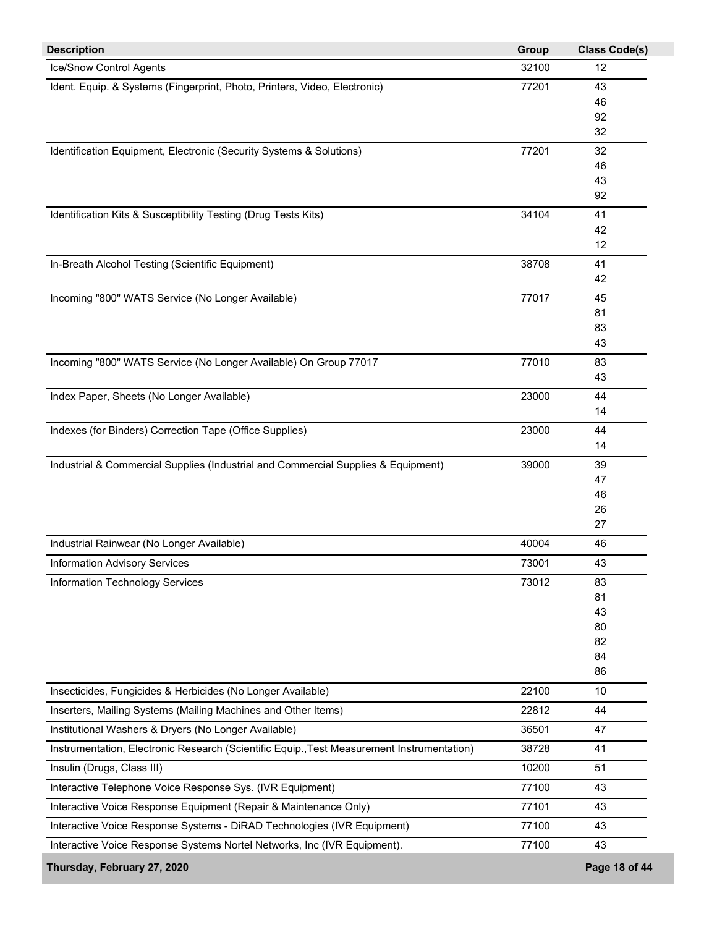| <b>Description</b>                                                                         | Group | <b>Class Code(s)</b> |
|--------------------------------------------------------------------------------------------|-------|----------------------|
| Ice/Snow Control Agents                                                                    | 32100 | 12                   |
| Ident. Equip. & Systems (Fingerprint, Photo, Printers, Video, Electronic)                  | 77201 | 43                   |
|                                                                                            |       | 46                   |
|                                                                                            |       | 92                   |
|                                                                                            |       | 32                   |
| Identification Equipment, Electronic (Security Systems & Solutions)                        | 77201 | 32                   |
|                                                                                            |       | 46                   |
|                                                                                            |       | 43                   |
|                                                                                            |       | 92                   |
| Identification Kits & Susceptibility Testing (Drug Tests Kits)                             | 34104 | 41                   |
|                                                                                            |       | 42<br>12             |
|                                                                                            |       |                      |
| In-Breath Alcohol Testing (Scientific Equipment)                                           | 38708 | 41                   |
|                                                                                            |       | 42                   |
| Incoming "800" WATS Service (No Longer Available)                                          | 77017 | 45                   |
|                                                                                            |       | 81                   |
|                                                                                            |       | 83<br>43             |
|                                                                                            |       |                      |
| Incoming "800" WATS Service (No Longer Available) On Group 77017                           | 77010 | 83                   |
|                                                                                            |       | 43                   |
| Index Paper, Sheets (No Longer Available)                                                  | 23000 | 44                   |
|                                                                                            |       | 14                   |
| Indexes (for Binders) Correction Tape (Office Supplies)                                    | 23000 | 44                   |
|                                                                                            |       | 14                   |
| Industrial & Commercial Supplies (Industrial and Commercial Supplies & Equipment)          | 39000 | 39                   |
|                                                                                            |       | 47                   |
|                                                                                            |       | 46<br>26             |
|                                                                                            |       | 27                   |
| Industrial Rainwear (No Longer Available)                                                  | 40004 | 46                   |
| <b>Information Advisory Services</b>                                                       | 73001 | 43                   |
|                                                                                            |       |                      |
| Information Technology Services                                                            | 73012 | 83<br>81             |
|                                                                                            |       | 43                   |
|                                                                                            |       | 80                   |
|                                                                                            |       | 82                   |
|                                                                                            |       | 84                   |
|                                                                                            |       | 86                   |
| Insecticides, Fungicides & Herbicides (No Longer Available)                                | 22100 | 10                   |
| Inserters, Mailing Systems (Mailing Machines and Other Items)                              | 22812 | 44                   |
| Institutional Washers & Dryers (No Longer Available)                                       | 36501 | 47                   |
| Instrumentation, Electronic Research (Scientific Equip., Test Measurement Instrumentation) | 38728 | 41                   |
| Insulin (Drugs, Class III)                                                                 | 10200 | 51                   |
| Interactive Telephone Voice Response Sys. (IVR Equipment)                                  | 77100 | 43                   |
| Interactive Voice Response Equipment (Repair & Maintenance Only)                           | 77101 | 43                   |
| Interactive Voice Response Systems - DiRAD Technologies (IVR Equipment)                    | 77100 | 43                   |
| Interactive Voice Response Systems Nortel Networks, Inc (IVR Equipment).                   | 77100 | 43                   |
| Thursday, February 27, 2020                                                                |       | Page 18 of 44        |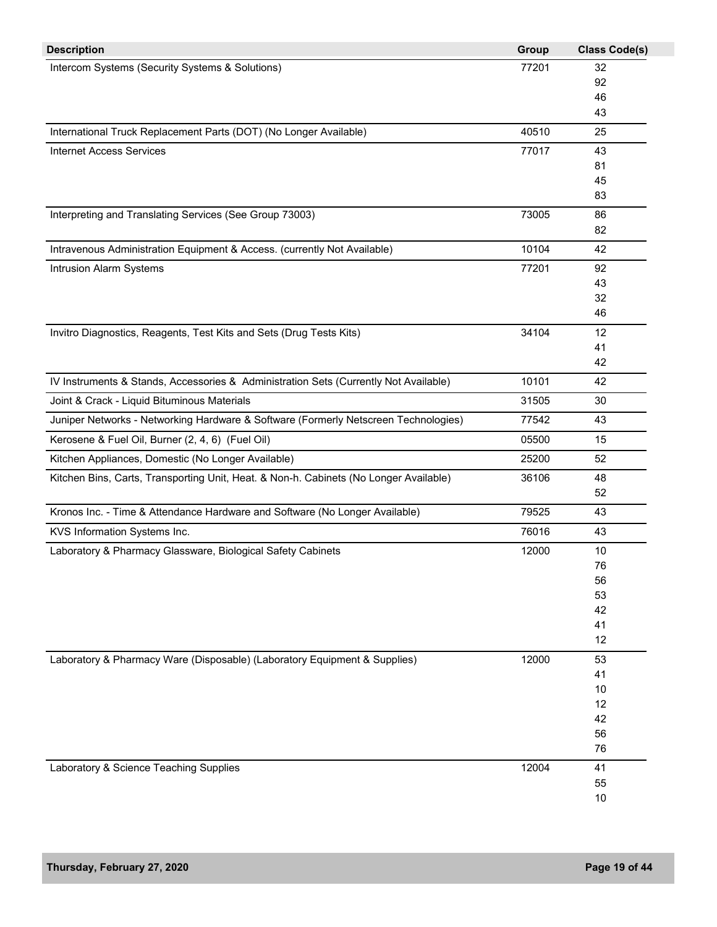| <b>Description</b>                                                                    | Group | <b>Class Code(s)</b> |
|---------------------------------------------------------------------------------------|-------|----------------------|
| Intercom Systems (Security Systems & Solutions)                                       | 77201 | 32                   |
|                                                                                       |       | 92                   |
|                                                                                       |       | 46                   |
|                                                                                       |       | 43                   |
| International Truck Replacement Parts (DOT) (No Longer Available)                     | 40510 | 25                   |
| <b>Internet Access Services</b>                                                       | 77017 | 43                   |
|                                                                                       |       | 81                   |
|                                                                                       |       | 45                   |
|                                                                                       |       | 83                   |
| Interpreting and Translating Services (See Group 73003)                               | 73005 | 86                   |
|                                                                                       |       | 82                   |
| Intravenous Administration Equipment & Access. (currently Not Available)              | 10104 | 42                   |
| Intrusion Alarm Systems                                                               | 77201 | 92                   |
|                                                                                       |       | 43                   |
|                                                                                       |       | 32                   |
|                                                                                       |       | 46                   |
| Invitro Diagnostics, Reagents, Test Kits and Sets (Drug Tests Kits)                   | 34104 | 12                   |
|                                                                                       |       | 41                   |
|                                                                                       |       | 42                   |
| IV Instruments & Stands, Accessories & Administration Sets (Currently Not Available)  | 10101 | 42                   |
| Joint & Crack - Liquid Bituminous Materials                                           | 31505 | 30                   |
| Juniper Networks - Networking Hardware & Software (Formerly Netscreen Technologies)   | 77542 | 43                   |
| Kerosene & Fuel Oil, Burner (2, 4, 6) (Fuel Oil)                                      | 05500 | 15                   |
| Kitchen Appliances, Domestic (No Longer Available)                                    | 25200 | 52                   |
| Kitchen Bins, Carts, Transporting Unit, Heat. & Non-h. Cabinets (No Longer Available) | 36106 | 48                   |
|                                                                                       |       | 52                   |
| Kronos Inc. - Time & Attendance Hardware and Software (No Longer Available)           | 79525 | 43                   |
| KVS Information Systems Inc.                                                          | 76016 | 43                   |
| Laboratory & Pharmacy Glassware, Biological Safety Cabinets                           | 12000 | 10                   |
|                                                                                       |       | 76                   |
|                                                                                       |       | 56                   |
|                                                                                       |       | 53                   |
|                                                                                       |       | 42                   |
|                                                                                       |       | 41                   |
|                                                                                       |       | 12                   |
| Laboratory & Pharmacy Ware (Disposable) (Laboratory Equipment & Supplies)             | 12000 | 53                   |
|                                                                                       |       | 41                   |
|                                                                                       |       | 10                   |
|                                                                                       |       | 12                   |
|                                                                                       |       | 42                   |
|                                                                                       |       | 56                   |
|                                                                                       |       | 76                   |
| Laboratory & Science Teaching Supplies                                                | 12004 | 41                   |
|                                                                                       |       | 55                   |
|                                                                                       |       | 10                   |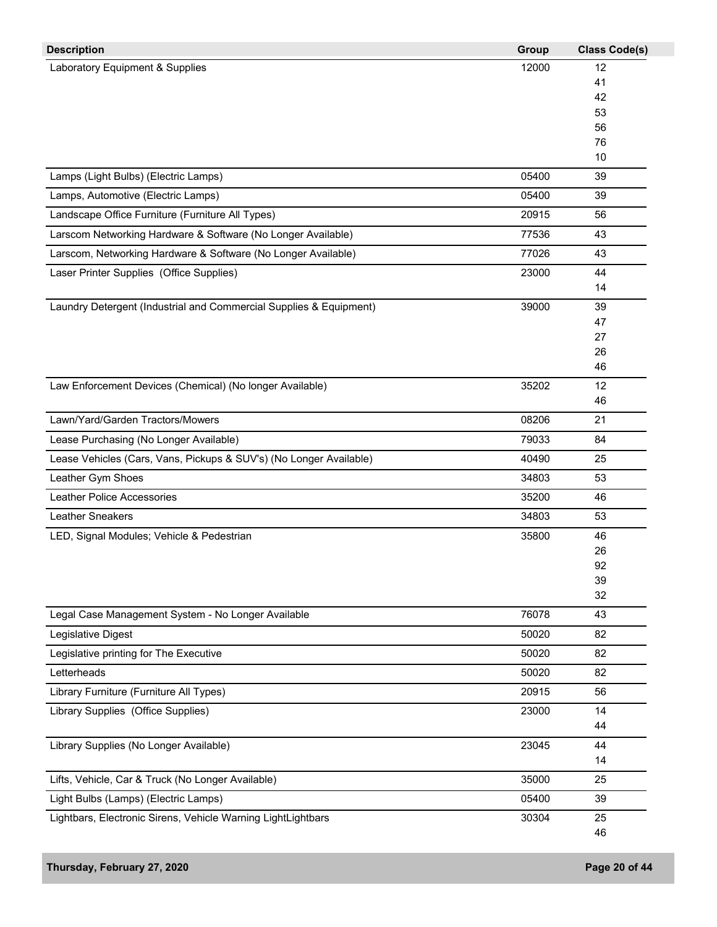| <b>Description</b>                                                 | Group | <b>Class Code(s)</b> |
|--------------------------------------------------------------------|-------|----------------------|
| Laboratory Equipment & Supplies                                    | 12000 | 12                   |
|                                                                    |       | 41                   |
|                                                                    |       | 42                   |
|                                                                    |       | 53                   |
|                                                                    |       | 56<br>76             |
|                                                                    |       | 10                   |
| Lamps (Light Bulbs) (Electric Lamps)                               | 05400 | 39                   |
| Lamps, Automotive (Electric Lamps)                                 | 05400 | 39                   |
| Landscape Office Furniture (Furniture All Types)                   | 20915 | 56                   |
| Larscom Networking Hardware & Software (No Longer Available)       | 77536 | 43                   |
| Larscom, Networking Hardware & Software (No Longer Available)      | 77026 | 43                   |
| Laser Printer Supplies (Office Supplies)                           | 23000 | 44                   |
|                                                                    |       | 14                   |
| Laundry Detergent (Industrial and Commercial Supplies & Equipment) | 39000 | 39                   |
|                                                                    |       | 47                   |
|                                                                    |       | 27                   |
|                                                                    |       | 26                   |
|                                                                    |       | 46                   |
| Law Enforcement Devices (Chemical) (No longer Available)           | 35202 | 12                   |
|                                                                    |       | 46                   |
| Lawn/Yard/Garden Tractors/Mowers                                   | 08206 | 21                   |
| Lease Purchasing (No Longer Available)                             | 79033 | 84                   |
| Lease Vehicles (Cars, Vans, Pickups & SUV's) (No Longer Available) | 40490 | 25                   |
| Leather Gym Shoes                                                  | 34803 | 53                   |
| <b>Leather Police Accessories</b>                                  | 35200 | 46                   |
| Leather Sneakers                                                   | 34803 | 53                   |
| LED, Signal Modules; Vehicle & Pedestrian                          | 35800 | 46                   |
|                                                                    |       | 26                   |
|                                                                    |       | 92                   |
|                                                                    |       | 39                   |
|                                                                    |       | 32                   |
| Legal Case Management System - No Longer Available                 | 76078 | 43                   |
| Legislative Digest                                                 | 50020 | 82                   |
| Legislative printing for The Executive                             | 50020 | 82                   |
| Letterheads                                                        | 50020 | 82                   |
| Library Furniture (Furniture All Types)                            | 20915 | 56                   |
| Library Supplies (Office Supplies)                                 | 23000 | 14                   |
|                                                                    |       | 44                   |
| Library Supplies (No Longer Available)                             | 23045 | 44<br>14             |
| Lifts, Vehicle, Car & Truck (No Longer Available)                  | 35000 | 25                   |
| Light Bulbs (Lamps) (Electric Lamps)                               | 05400 | 39                   |
|                                                                    |       |                      |
| Lightbars, Electronic Sirens, Vehicle Warning LightLightbars       | 30304 | 25<br>46             |
|                                                                    |       |                      |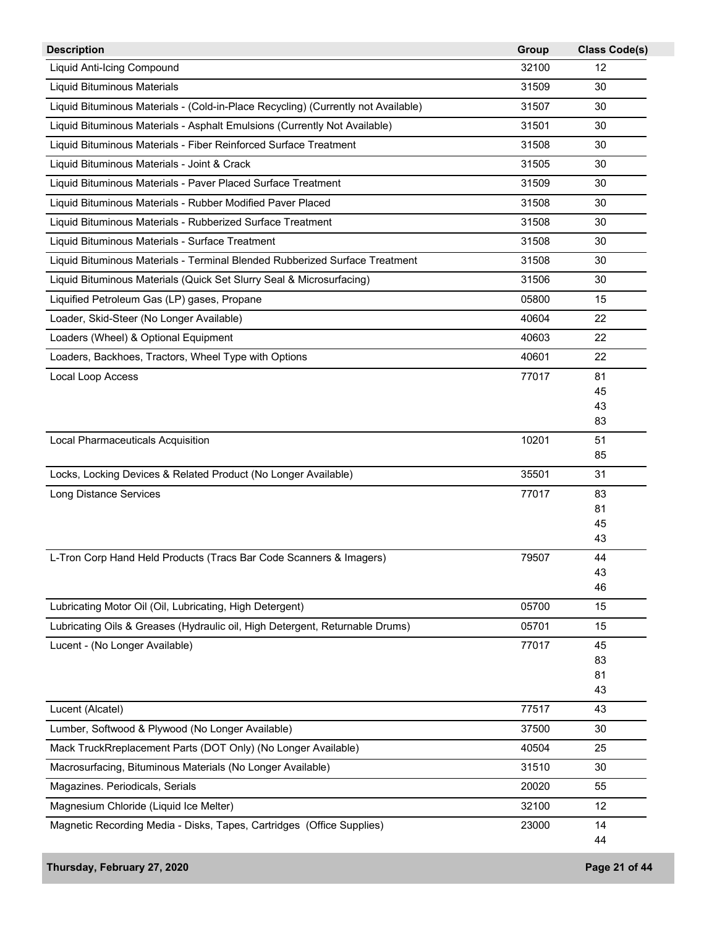| <b>Description</b>                                                                | Group | <b>Class Code(s)</b> |
|-----------------------------------------------------------------------------------|-------|----------------------|
| Liquid Anti-Icing Compound                                                        | 32100 | 12                   |
| Liquid Bituminous Materials                                                       | 31509 | 30                   |
| Liquid Bituminous Materials - (Cold-in-Place Recycling) (Currently not Available) | 31507 | 30                   |
| Liquid Bituminous Materials - Asphalt Emulsions (Currently Not Available)         | 31501 | 30                   |
| Liquid Bituminous Materials - Fiber Reinforced Surface Treatment                  | 31508 | 30                   |
| Liquid Bituminous Materials - Joint & Crack                                       | 31505 | 30                   |
| Liquid Bituminous Materials - Paver Placed Surface Treatment                      | 31509 | 30                   |
| Liquid Bituminous Materials - Rubber Modified Paver Placed                        | 31508 | 30                   |
| Liquid Bituminous Materials - Rubberized Surface Treatment                        | 31508 | 30                   |
| Liquid Bituminous Materials - Surface Treatment                                   | 31508 | 30                   |
| Liquid Bituminous Materials - Terminal Blended Rubberized Surface Treatment       | 31508 | 30                   |
| Liquid Bituminous Materials (Quick Set Slurry Seal & Microsurfacing)              | 31506 | 30                   |
| Liquified Petroleum Gas (LP) gases, Propane                                       | 05800 | 15                   |
| Loader, Skid-Steer (No Longer Available)                                          | 40604 | 22                   |
| Loaders (Wheel) & Optional Equipment                                              | 40603 | 22                   |
|                                                                                   |       |                      |
| Loaders, Backhoes, Tractors, Wheel Type with Options                              | 40601 | 22                   |
| Local Loop Access                                                                 | 77017 | 81<br>45             |
|                                                                                   |       | 43                   |
|                                                                                   |       | 83                   |
| Local Pharmaceuticals Acquisition                                                 | 10201 | 51                   |
|                                                                                   |       | 85                   |
| Locks, Locking Devices & Related Product (No Longer Available)                    | 35501 | 31                   |
| <b>Long Distance Services</b>                                                     | 77017 | 83                   |
|                                                                                   |       | 81                   |
|                                                                                   |       | 45                   |
|                                                                                   |       | 43                   |
| L-Tron Corp Hand Held Products (Tracs Bar Code Scanners & Imagers)                | 79507 | 44                   |
|                                                                                   |       | 43                   |
|                                                                                   |       | 46                   |
| Lubricating Motor Oil (Oil, Lubricating, High Detergent)                          | 05700 | 15                   |
| Lubricating Oils & Greases (Hydraulic oil, High Detergent, Returnable Drums)      | 05701 | 15                   |
| Lucent - (No Longer Available)                                                    | 77017 | 45                   |
|                                                                                   |       | 83                   |
|                                                                                   |       | 81                   |
|                                                                                   |       | 43                   |
| Lucent (Alcatel)                                                                  | 77517 | 43                   |
| Lumber, Softwood & Plywood (No Longer Available)                                  | 37500 | 30                   |
| Mack TruckRreplacement Parts (DOT Only) (No Longer Available)                     | 40504 | 25                   |
| Macrosurfacing, Bituminous Materials (No Longer Available)                        | 31510 | 30                   |
| Magazines. Periodicals, Serials                                                   | 20020 | 55                   |
| Magnesium Chloride (Liquid Ice Melter)                                            | 32100 | 12                   |
| Magnetic Recording Media - Disks, Tapes, Cartridges (Office Supplies)             | 23000 | 14                   |
|                                                                                   |       | 44                   |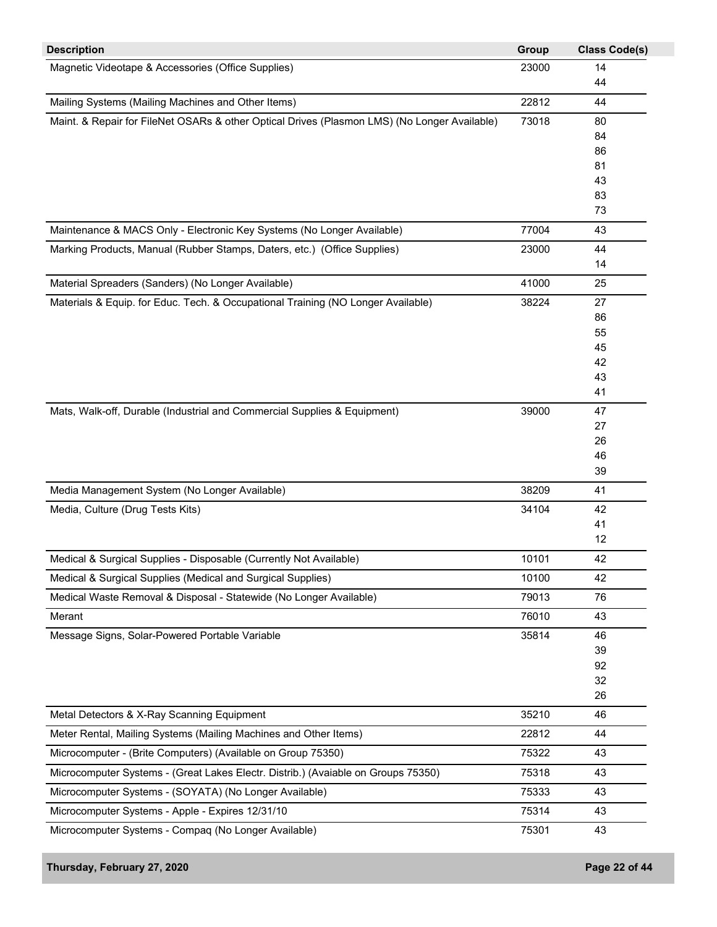| <b>Description</b>                                                                           | Group | <b>Class Code(s)</b> |
|----------------------------------------------------------------------------------------------|-------|----------------------|
| Magnetic Videotape & Accessories (Office Supplies)                                           | 23000 | 14                   |
|                                                                                              |       | 44                   |
| Mailing Systems (Mailing Machines and Other Items)                                           | 22812 | 44                   |
| Maint. & Repair for FileNet OSARs & other Optical Drives (Plasmon LMS) (No Longer Available) | 73018 | 80                   |
|                                                                                              |       | 84                   |
|                                                                                              |       | 86                   |
|                                                                                              |       | 81                   |
|                                                                                              |       | 43                   |
|                                                                                              |       | 83<br>73             |
| Maintenance & MACS Only - Electronic Key Systems (No Longer Available)                       | 77004 | 43                   |
| Marking Products, Manual (Rubber Stamps, Daters, etc.) (Office Supplies)                     | 23000 | 44                   |
|                                                                                              |       | 14                   |
| Material Spreaders (Sanders) (No Longer Available)                                           | 41000 | 25                   |
| Materials & Equip. for Educ. Tech. & Occupational Training (NO Longer Available)             | 38224 | 27                   |
|                                                                                              |       | 86                   |
|                                                                                              |       | 55                   |
|                                                                                              |       | 45                   |
|                                                                                              |       | 42                   |
|                                                                                              |       | 43                   |
|                                                                                              |       | 41                   |
| Mats, Walk-off, Durable (Industrial and Commercial Supplies & Equipment)                     | 39000 | 47                   |
|                                                                                              |       | 27                   |
|                                                                                              |       | 26                   |
|                                                                                              |       | 46                   |
|                                                                                              |       | 39                   |
| Media Management System (No Longer Available)                                                | 38209 | 41                   |
| Media, Culture (Drug Tests Kits)                                                             | 34104 | 42                   |
|                                                                                              |       | 41                   |
|                                                                                              |       | 12                   |
| Medical & Surgical Supplies - Disposable (Currently Not Available)                           | 10101 | 42                   |
| Medical & Surgical Supplies (Medical and Surgical Supplies)                                  | 10100 | 42                   |
| Medical Waste Removal & Disposal - Statewide (No Longer Available)                           | 79013 | 76                   |
| Merant                                                                                       | 76010 | 43                   |
| Message Signs, Solar-Powered Portable Variable                                               | 35814 | 46                   |
|                                                                                              |       | 39                   |
|                                                                                              |       | 92                   |
|                                                                                              |       | 32                   |
|                                                                                              |       | 26                   |
| Metal Detectors & X-Ray Scanning Equipment                                                   | 35210 | 46                   |
| Meter Rental, Mailing Systems (Mailing Machines and Other Items)                             | 22812 | 44                   |
| Microcomputer - (Brite Computers) (Available on Group 75350)                                 | 75322 | 43                   |
| Microcomputer Systems - (Great Lakes Electr. Distrib.) (Avaiable on Groups 75350)            | 75318 | 43                   |
| Microcomputer Systems - (SOYATA) (No Longer Available)                                       | 75333 | 43                   |
| Microcomputer Systems - Apple - Expires 12/31/10                                             | 75314 | 43                   |
| Microcomputer Systems - Compaq (No Longer Available)                                         | 75301 | 43                   |
|                                                                                              |       |                      |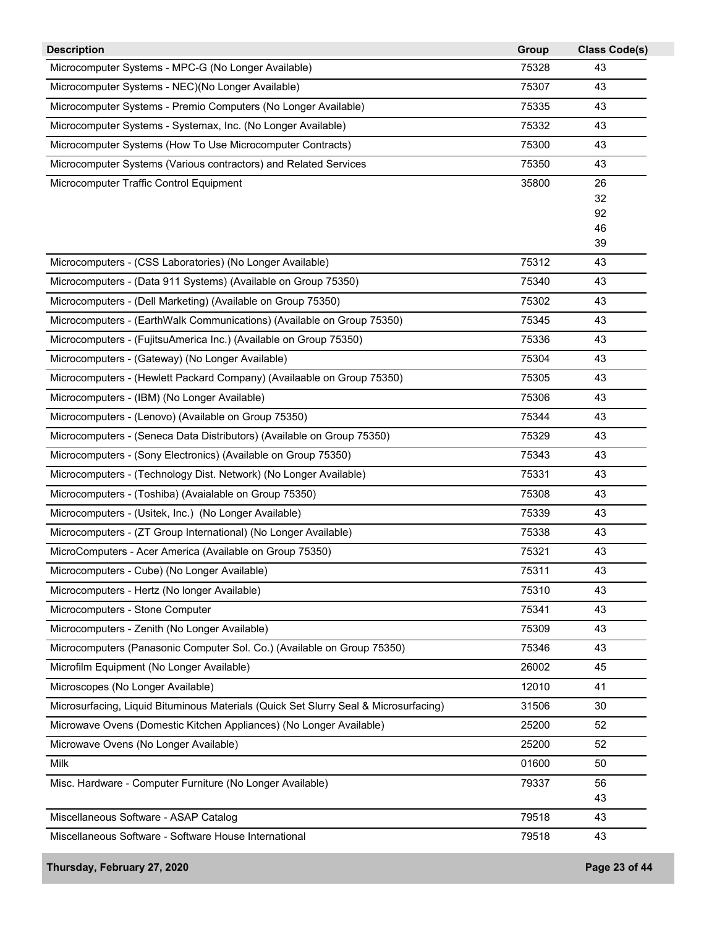| <b>Description</b>                                                                   | Group | <b>Class Code(s)</b> |
|--------------------------------------------------------------------------------------|-------|----------------------|
| Microcomputer Systems - MPC-G (No Longer Available)                                  | 75328 | 43                   |
| Microcomputer Systems - NEC)(No Longer Available)                                    | 75307 | 43                   |
| Microcomputer Systems - Premio Computers (No Longer Available)                       | 75335 | 43                   |
| Microcomputer Systems - Systemax, Inc. (No Longer Available)                         | 75332 | 43                   |
| Microcomputer Systems (How To Use Microcomputer Contracts)                           | 75300 | 43                   |
| Microcomputer Systems (Various contractors) and Related Services                     | 75350 | 43                   |
| Microcomputer Traffic Control Equipment                                              | 35800 | 26                   |
|                                                                                      |       | 32                   |
|                                                                                      |       | 92<br>46             |
|                                                                                      |       | 39                   |
| Microcomputers - (CSS Laboratories) (No Longer Available)                            | 75312 | 43                   |
| Microcomputers - (Data 911 Systems) (Available on Group 75350)                       | 75340 | 43                   |
| Microcomputers - (Dell Marketing) (Available on Group 75350)                         | 75302 | 43                   |
| Microcomputers - (EarthWalk Communications) (Available on Group 75350)               | 75345 | 43                   |
| Microcomputers - (FujitsuAmerica Inc.) (Available on Group 75350)                    | 75336 | 43                   |
| Microcomputers - (Gateway) (No Longer Available)                                     | 75304 | 43                   |
| Microcomputers - (Hewlett Packard Company) (Availaable on Group 75350)               | 75305 | 43                   |
| Microcomputers - (IBM) (No Longer Available)                                         | 75306 | 43                   |
| Microcomputers - (Lenovo) (Available on Group 75350)                                 | 75344 | 43                   |
| Microcomputers - (Seneca Data Distributors) (Available on Group 75350)               | 75329 | 43                   |
| Microcomputers - (Sony Electronics) (Available on Group 75350)                       | 75343 | 43                   |
| Microcomputers - (Technology Dist. Network) (No Longer Available)                    | 75331 | 43                   |
| Microcomputers - (Toshiba) (Avaialable on Group 75350)                               | 75308 | 43                   |
| Microcomputers - (Usitek, Inc.) (No Longer Available)                                | 75339 | 43                   |
| Microcomputers - (ZT Group International) (No Longer Available)                      | 75338 | 43                   |
| MicroComputers - Acer America (Available on Group 75350)                             | 75321 | 43                   |
| Microcomputers - Cube) (No Longer Available)                                         | 75311 | 43                   |
| Microcomputers - Hertz (No longer Available)                                         | 75310 | 43                   |
| Microcomputers - Stone Computer                                                      | 75341 | 43                   |
| Microcomputers - Zenith (No Longer Available)                                        | 75309 | 43                   |
| Microcomputers (Panasonic Computer Sol. Co.) (Available on Group 75350)              | 75346 | 43                   |
| Microfilm Equipment (No Longer Available)                                            | 26002 | 45                   |
| Microscopes (No Longer Available)                                                    | 12010 | 41                   |
| Microsurfacing, Liquid Bituminous Materials (Quick Set Slurry Seal & Microsurfacing) | 31506 | 30                   |
| Microwave Ovens (Domestic Kitchen Appliances) (No Longer Available)                  | 25200 | 52                   |
| Microwave Ovens (No Longer Available)                                                | 25200 | 52                   |
| Milk                                                                                 | 01600 | 50                   |
| Misc. Hardware - Computer Furniture (No Longer Available)                            | 79337 | 56                   |
|                                                                                      |       | 43                   |
| Miscellaneous Software - ASAP Catalog                                                | 79518 | 43                   |
| Miscellaneous Software - Software House International                                | 79518 | 43                   |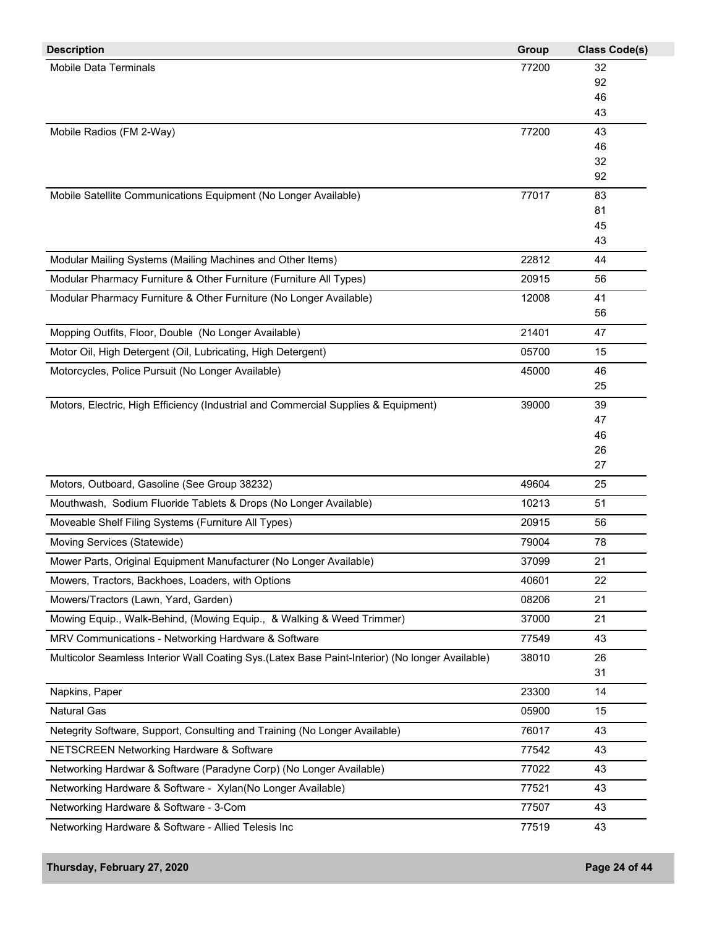| <b>Description</b>                                                                               | <b>Group</b> | <b>Class Code(s)</b> |
|--------------------------------------------------------------------------------------------------|--------------|----------------------|
| Mobile Data Terminals                                                                            | 77200        | 32                   |
|                                                                                                  |              | 92                   |
|                                                                                                  |              | 46                   |
|                                                                                                  |              | 43                   |
| Mobile Radios (FM 2-Way)                                                                         | 77200        | 43                   |
|                                                                                                  |              | 46<br>32             |
|                                                                                                  |              | 92                   |
| Mobile Satellite Communications Equipment (No Longer Available)                                  | 77017        | 83                   |
|                                                                                                  |              | 81                   |
|                                                                                                  |              | 45                   |
|                                                                                                  |              | 43                   |
| Modular Mailing Systems (Mailing Machines and Other Items)                                       | 22812        | 44                   |
| Modular Pharmacy Furniture & Other Furniture (Furniture All Types)                               | 20915        | 56                   |
| Modular Pharmacy Furniture & Other Furniture (No Longer Available)                               | 12008        | 41                   |
|                                                                                                  |              | 56                   |
| Mopping Outfits, Floor, Double (No Longer Available)                                             | 21401        | 47                   |
| Motor Oil, High Detergent (Oil, Lubricating, High Detergent)                                     | 05700        | 15                   |
| Motorcycles, Police Pursuit (No Longer Available)                                                | 45000        | 46                   |
|                                                                                                  |              | 25                   |
| Motors, Electric, High Efficiency (Industrial and Commercial Supplies & Equipment)               | 39000        | 39                   |
|                                                                                                  |              | 47                   |
|                                                                                                  |              | 46                   |
|                                                                                                  |              | 26                   |
|                                                                                                  |              | 27                   |
| Motors, Outboard, Gasoline (See Group 38232)                                                     | 49604        | 25                   |
| Mouthwash, Sodium Fluoride Tablets & Drops (No Longer Available)                                 | 10213        | 51                   |
| Moveable Shelf Filing Systems (Furniture All Types)                                              | 20915        | 56                   |
| Moving Services (Statewide)                                                                      | 79004        | 78                   |
| Mower Parts, Original Equipment Manufacturer (No Longer Available)                               | 37099        | 21                   |
| Mowers, Tractors, Backhoes, Loaders, with Options                                                | 40601        | 22                   |
| Mowers/Tractors (Lawn, Yard, Garden)                                                             | 08206        | 21                   |
| Mowing Equip., Walk-Behind, (Mowing Equip., & Walking & Weed Trimmer)                            | 37000        | 21                   |
| MRV Communications - Networking Hardware & Software                                              | 77549        | 43                   |
| Multicolor Seamless Interior Wall Coating Sys. (Latex Base Paint-Interior) (No longer Available) | 38010        | 26                   |
|                                                                                                  |              | 31                   |
| Napkins, Paper                                                                                   | 23300        | 14                   |
| <b>Natural Gas</b>                                                                               | 05900        | 15                   |
| Netegrity Software, Support, Consulting and Training (No Longer Available)                       | 76017        | 43                   |
| NETSCREEN Networking Hardware & Software                                                         | 77542        | 43                   |
| Networking Hardwar & Software (Paradyne Corp) (No Longer Available)                              | 77022        | 43                   |
| Networking Hardware & Software - Xylan(No Longer Available)                                      | 77521        | 43                   |
| Networking Hardware & Software - 3-Com                                                           | 77507        | 43                   |
| Networking Hardware & Software - Allied Telesis Inc                                              | 77519        | 43                   |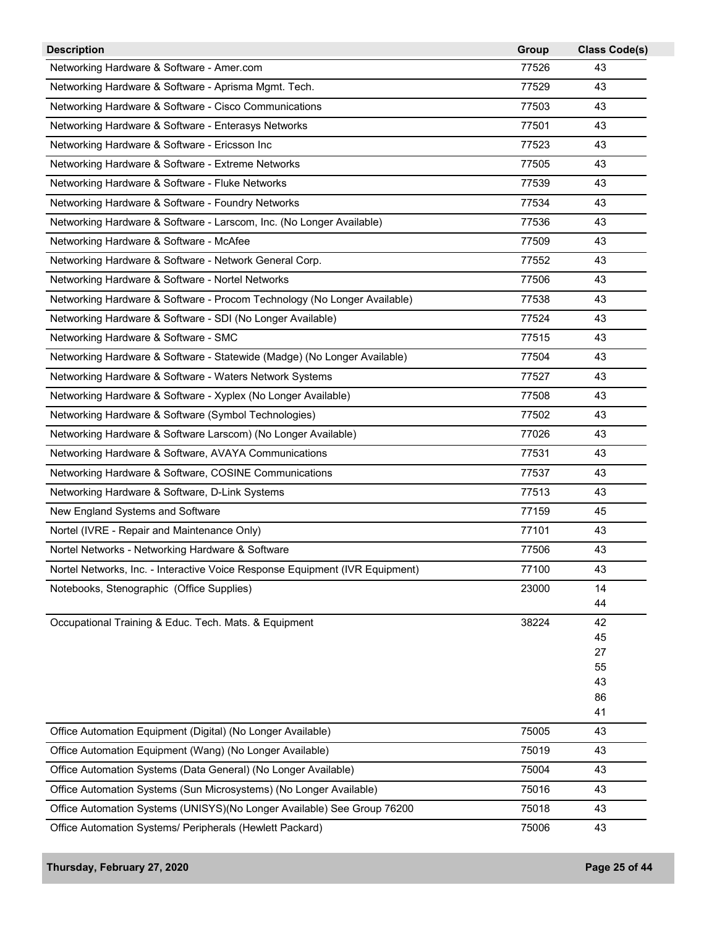| <b>Description</b>                                                           | Group | <b>Class Code(s)</b> |
|------------------------------------------------------------------------------|-------|----------------------|
| Networking Hardware & Software - Amer.com                                    | 77526 | 43                   |
| Networking Hardware & Software - Aprisma Mgmt. Tech.                         | 77529 | 43                   |
| Networking Hardware & Software - Cisco Communications                        | 77503 | 43                   |
| Networking Hardware & Software - Enterasys Networks                          | 77501 | 43                   |
| Networking Hardware & Software - Ericsson Inc                                | 77523 | 43                   |
| Networking Hardware & Software - Extreme Networks                            | 77505 | 43                   |
| Networking Hardware & Software - Fluke Networks                              | 77539 | 43                   |
| Networking Hardware & Software - Foundry Networks                            | 77534 | 43                   |
| Networking Hardware & Software - Larscom, Inc. (No Longer Available)         | 77536 | 43                   |
| Networking Hardware & Software - McAfee                                      | 77509 | 43                   |
| Networking Hardware & Software - Network General Corp.                       | 77552 | 43                   |
| Networking Hardware & Software - Nortel Networks                             | 77506 | 43                   |
| Networking Hardware & Software - Procom Technology (No Longer Available)     | 77538 | 43                   |
| Networking Hardware & Software - SDI (No Longer Available)                   | 77524 | 43                   |
| Networking Hardware & Software - SMC                                         | 77515 | 43                   |
| Networking Hardware & Software - Statewide (Madge) (No Longer Available)     | 77504 | 43                   |
| Networking Hardware & Software - Waters Network Systems                      | 77527 | 43                   |
| Networking Hardware & Software - Xyplex (No Longer Available)                | 77508 | 43                   |
| Networking Hardware & Software (Symbol Technologies)                         | 77502 | 43                   |
| Networking Hardware & Software Larscom) (No Longer Available)                | 77026 | 43                   |
| Networking Hardware & Software, AVAYA Communications                         | 77531 | 43                   |
| Networking Hardware & Software, COSINE Communications                        | 77537 | 43                   |
| Networking Hardware & Software, D-Link Systems                               | 77513 | 43                   |
| New England Systems and Software                                             | 77159 | 45                   |
| Nortel (IVRE - Repair and Maintenance Only)                                  | 77101 | 43                   |
| Nortel Networks - Networking Hardware & Software                             | 77506 | 43                   |
| Nortel Networks, Inc. - Interactive Voice Response Equipment (IVR Equipment) | 77100 | 43                   |
| Notebooks, Stenographic (Office Supplies)                                    | 23000 | 14                   |
|                                                                              |       | 44                   |
| Occupational Training & Educ. Tech. Mats. & Equipment                        | 38224 | 42                   |
|                                                                              |       | 45                   |
|                                                                              |       | 27<br>55             |
|                                                                              |       | 43                   |
|                                                                              |       | 86                   |
|                                                                              |       | 41                   |
| Office Automation Equipment (Digital) (No Longer Available)                  | 75005 | 43                   |
| Office Automation Equipment (Wang) (No Longer Available)                     | 75019 | 43                   |
| Office Automation Systems (Data General) (No Longer Available)               | 75004 | 43                   |
| Office Automation Systems (Sun Microsystems) (No Longer Available)           | 75016 | 43                   |
| Office Automation Systems (UNISYS)(No Longer Available) See Group 76200      | 75018 | 43                   |
| Office Automation Systems/ Peripherals (Hewlett Packard)                     | 75006 | 43                   |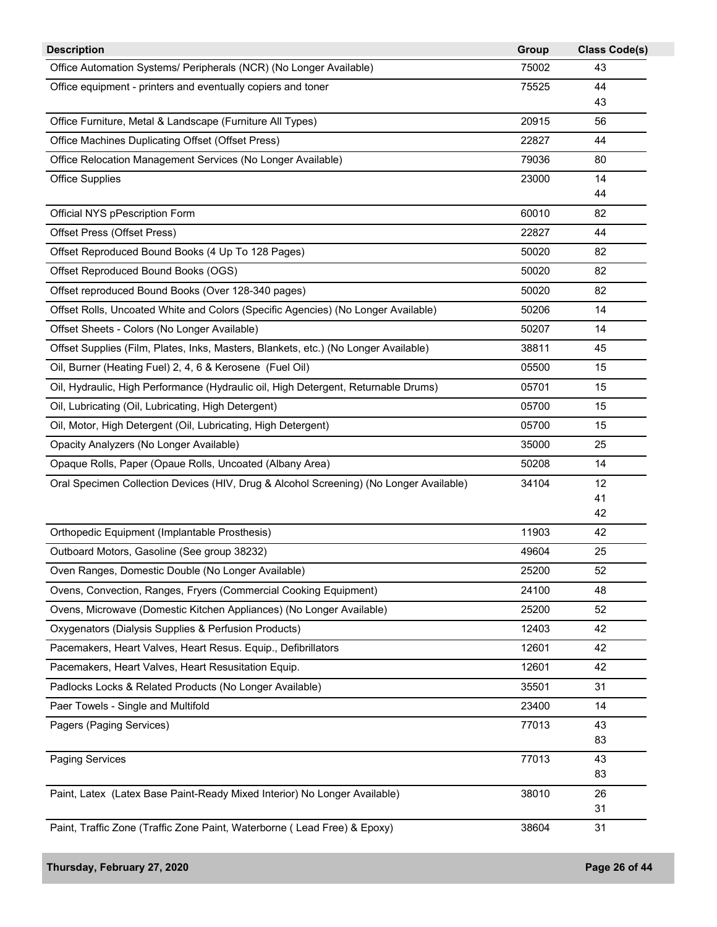| <b>Description</b>                                                                     | Group | <b>Class Code(s)</b> |
|----------------------------------------------------------------------------------------|-------|----------------------|
| Office Automation Systems/ Peripherals (NCR) (No Longer Available)                     | 75002 | 43                   |
| Office equipment - printers and eventually copiers and toner                           | 75525 | 44                   |
|                                                                                        |       | 43                   |
| Office Furniture, Metal & Landscape (Furniture All Types)                              | 20915 | 56                   |
| Office Machines Duplicating Offset (Offset Press)                                      | 22827 | 44                   |
| Office Relocation Management Services (No Longer Available)                            | 79036 | 80                   |
| <b>Office Supplies</b>                                                                 | 23000 | 14                   |
|                                                                                        |       | 44                   |
| Official NYS pPescription Form                                                         | 60010 | 82                   |
| Offset Press (Offset Press)                                                            | 22827 | 44                   |
| Offset Reproduced Bound Books (4 Up To 128 Pages)                                      | 50020 | 82                   |
| Offset Reproduced Bound Books (OGS)                                                    | 50020 | 82                   |
| Offset reproduced Bound Books (Over 128-340 pages)                                     | 50020 | 82                   |
| Offset Rolls, Uncoated White and Colors (Specific Agencies) (No Longer Available)      | 50206 | 14                   |
| Offset Sheets - Colors (No Longer Available)                                           | 50207 | 14                   |
| Offset Supplies (Film, Plates, Inks, Masters, Blankets, etc.) (No Longer Available)    | 38811 | 45                   |
| Oil, Burner (Heating Fuel) 2, 4, 6 & Kerosene (Fuel Oil)                               | 05500 | 15                   |
| Oil, Hydraulic, High Performance (Hydraulic oil, High Detergent, Returnable Drums)     | 05701 | 15                   |
| Oil, Lubricating (Oil, Lubricating, High Detergent)                                    | 05700 | 15                   |
| Oil, Motor, High Detergent (Oil, Lubricating, High Detergent)                          | 05700 | 15                   |
| Opacity Analyzers (No Longer Available)                                                | 35000 | 25                   |
| Opaque Rolls, Paper (Opaue Rolls, Uncoated (Albany Area)                               | 50208 | 14                   |
| Oral Specimen Collection Devices (HIV, Drug & Alcohol Screening) (No Longer Available) | 34104 | 12                   |
|                                                                                        |       | 41                   |
|                                                                                        |       | 42                   |
| Orthopedic Equipment (Implantable Prosthesis)                                          | 11903 | 42                   |
| Outboard Motors, Gasoline (See group 38232)                                            | 49604 | 25                   |
| Oven Ranges, Domestic Double (No Longer Available)                                     | 25200 | 52                   |
| Ovens, Convection, Ranges, Fryers (Commercial Cooking Equipment)                       | 24100 | 48                   |
| Ovens, Microwave (Domestic Kitchen Appliances) (No Longer Available)                   | 25200 | 52                   |
| Oxygenators (Dialysis Supplies & Perfusion Products)                                   | 12403 | 42                   |
| Pacemakers, Heart Valves, Heart Resus. Equip., Defibrillators                          | 12601 | 42                   |
| Pacemakers, Heart Valves, Heart Resusitation Equip.                                    | 12601 | 42                   |
| Padlocks Locks & Related Products (No Longer Available)                                | 35501 | 31                   |
| Paer Towels - Single and Multifold                                                     | 23400 | 14                   |
| Pagers (Paging Services)                                                               | 77013 | 43                   |
|                                                                                        |       | 83                   |
| <b>Paging Services</b>                                                                 | 77013 | 43                   |
|                                                                                        |       | 83                   |
| Paint, Latex (Latex Base Paint-Ready Mixed Interior) No Longer Available)              | 38010 | 26                   |
|                                                                                        |       | 31                   |
| Paint, Traffic Zone (Traffic Zone Paint, Waterborne (Lead Free) & Epoxy)               | 38604 | 31                   |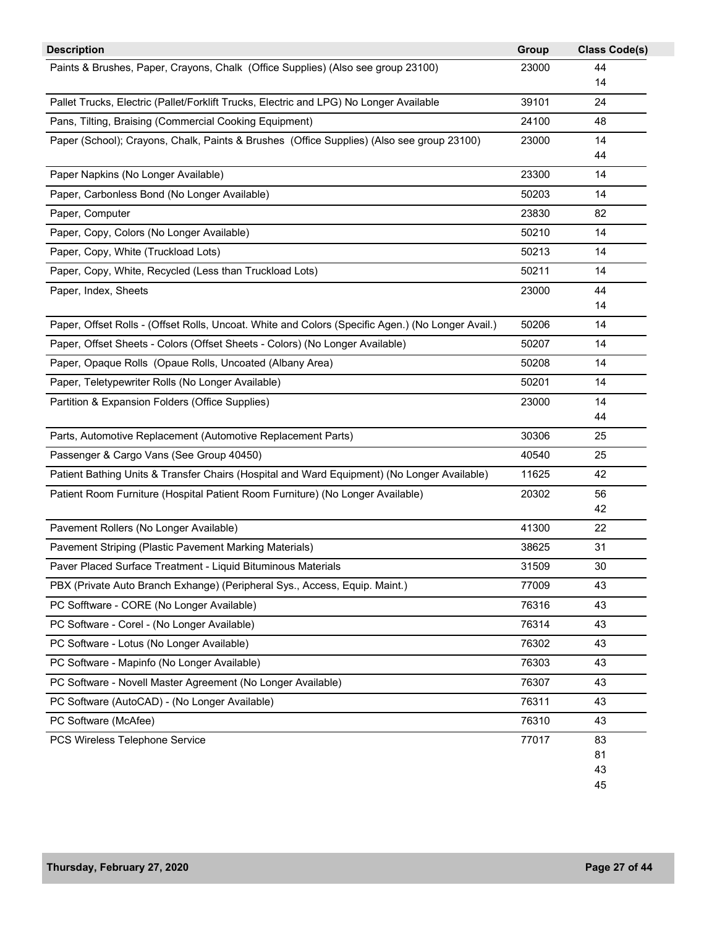| <b>Description</b>                                                                                | Group | <b>Class Code(s)</b> |
|---------------------------------------------------------------------------------------------------|-------|----------------------|
| Paints & Brushes, Paper, Crayons, Chalk (Office Supplies) (Also see group 23100)                  | 23000 | 44                   |
|                                                                                                   |       | 14                   |
| Pallet Trucks, Electric (Pallet/Forklift Trucks, Electric and LPG) No Longer Available            | 39101 | 24                   |
| Pans, Tilting, Braising (Commercial Cooking Equipment)                                            | 24100 | 48                   |
| Paper (School); Crayons, Chalk, Paints & Brushes (Office Supplies) (Also see group 23100)         | 23000 | 14                   |
|                                                                                                   |       | 44                   |
| Paper Napkins (No Longer Available)                                                               | 23300 | 14                   |
| Paper, Carbonless Bond (No Longer Available)                                                      | 50203 | 14                   |
| Paper, Computer                                                                                   | 23830 | 82                   |
| Paper, Copy, Colors (No Longer Available)                                                         | 50210 | 14                   |
| Paper, Copy, White (Truckload Lots)                                                               | 50213 | 14                   |
| Paper, Copy, White, Recycled (Less than Truckload Lots)                                           | 50211 | 14                   |
| Paper, Index, Sheets                                                                              | 23000 | 44                   |
|                                                                                                   |       | 14                   |
| Paper, Offset Rolls - (Offset Rolls, Uncoat. White and Colors (Specific Agen.) (No Longer Avail.) | 50206 | 14                   |
| Paper, Offset Sheets - Colors (Offset Sheets - Colors) (No Longer Available)                      | 50207 | 14                   |
| Paper, Opaque Rolls (Opaue Rolls, Uncoated (Albany Area)                                          | 50208 | 14                   |
| Paper, Teletypewriter Rolls (No Longer Available)                                                 | 50201 | 14                   |
| Partition & Expansion Folders (Office Supplies)                                                   | 23000 | 14                   |
|                                                                                                   |       | 44                   |
| Parts, Automotive Replacement (Automotive Replacement Parts)                                      | 30306 | 25                   |
| Passenger & Cargo Vans (See Group 40450)                                                          | 40540 | 25                   |
| Patient Bathing Units & Transfer Chairs (Hospital and Ward Equipment) (No Longer Available)       | 11625 | 42                   |
| Patient Room Furniture (Hospital Patient Room Furniture) (No Longer Available)                    | 20302 | 56                   |
|                                                                                                   |       | 42                   |
| Pavement Rollers (No Longer Available)                                                            | 41300 | 22                   |
| Pavement Striping (Plastic Pavement Marking Materials)                                            | 38625 | 31                   |
| Paver Placed Surface Treatment - Liquid Bituminous Materials                                      | 31509 | 30                   |
| PBX (Private Auto Branch Exhange) (Peripheral Sys., Access, Equip. Maint.)                        | 77009 | 43                   |
| PC Sofftware - CORE (No Longer Available)                                                         | 76316 | 43                   |
| PC Software - Corel - (No Longer Available)                                                       | 76314 | 43                   |
| PC Software - Lotus (No Longer Available)                                                         | 76302 | 43                   |
| PC Software - Mapinfo (No Longer Available)                                                       | 76303 | 43                   |
| PC Software - Novell Master Agreement (No Longer Available)                                       | 76307 | 43                   |
| PC Software (AutoCAD) - (No Longer Available)                                                     | 76311 | 43                   |
| PC Software (McAfee)                                                                              | 76310 | 43                   |
| PCS Wireless Telephone Service                                                                    | 77017 | 83                   |
|                                                                                                   |       | 81                   |
|                                                                                                   |       | 43                   |
|                                                                                                   |       | 45                   |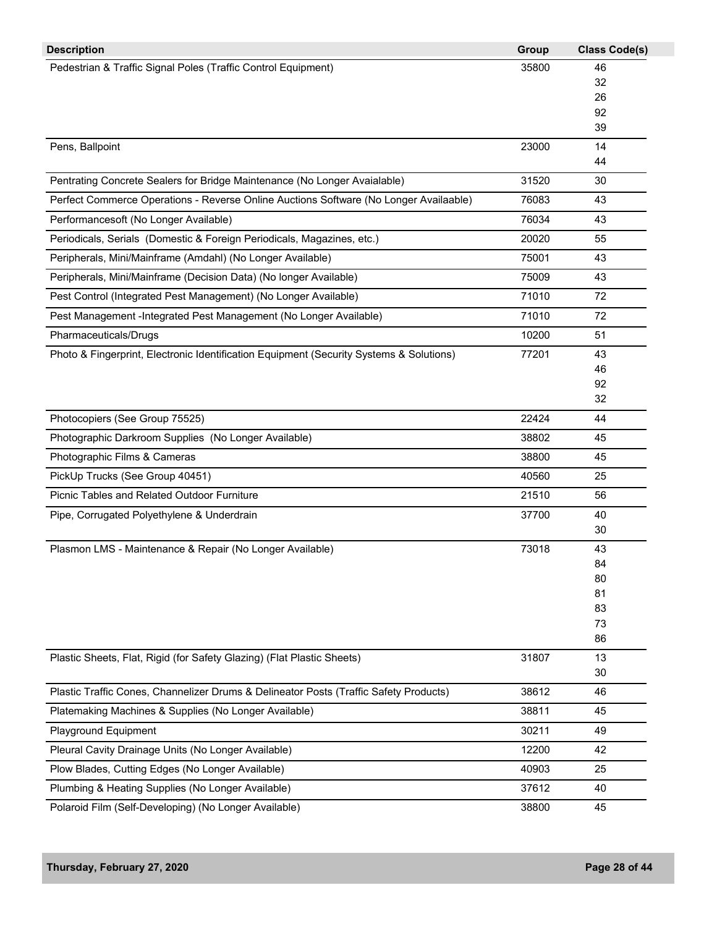| <b>Description</b>                                                                      | Group | <b>Class Code(s)</b> |
|-----------------------------------------------------------------------------------------|-------|----------------------|
| Pedestrian & Traffic Signal Poles (Traffic Control Equipment)                           | 35800 | 46                   |
|                                                                                         |       | 32                   |
|                                                                                         |       | 26                   |
|                                                                                         |       | 92<br>39             |
| Pens, Ballpoint                                                                         | 23000 | 14                   |
|                                                                                         |       | 44                   |
| Pentrating Concrete Sealers for Bridge Maintenance (No Longer Avaialable)               | 31520 | 30                   |
| Perfect Commerce Operations - Reverse Online Auctions Software (No Longer Availaable)   | 76083 | 43                   |
| Performancesoft (No Longer Available)                                                   | 76034 | 43                   |
| Periodicals, Serials (Domestic & Foreign Periodicals, Magazines, etc.)                  | 20020 | 55                   |
| Peripherals, Mini/Mainframe (Amdahl) (No Longer Available)                              | 75001 | 43                   |
| Peripherals, Mini/Mainframe (Decision Data) (No longer Available)                       | 75009 | 43                   |
| Pest Control (Integrated Pest Management) (No Longer Available)                         | 71010 | 72                   |
| Pest Management -Integrated Pest Management (No Longer Available)                       | 71010 | 72                   |
| Pharmaceuticals/Drugs                                                                   | 10200 | 51                   |
| Photo & Fingerprint, Electronic Identification Equipment (Security Systems & Solutions) | 77201 | 43                   |
|                                                                                         |       | 46                   |
|                                                                                         |       | 92                   |
|                                                                                         |       | 32                   |
| Photocopiers (See Group 75525)                                                          | 22424 | 44                   |
| Photographic Darkroom Supplies (No Longer Available)                                    | 38802 | 45                   |
| Photographic Films & Cameras                                                            | 38800 | 45                   |
| PickUp Trucks (See Group 40451)                                                         | 40560 | 25                   |
| Picnic Tables and Related Outdoor Furniture                                             | 21510 | 56                   |
| Pipe, Corrugated Polyethylene & Underdrain                                              | 37700 | 40                   |
|                                                                                         |       | 30                   |
| Plasmon LMS - Maintenance & Repair (No Longer Available)                                | 73018 | 43<br>84             |
|                                                                                         |       | 80                   |
|                                                                                         |       | 81                   |
|                                                                                         |       | 83                   |
|                                                                                         |       | 73                   |
|                                                                                         |       | 86                   |
| Plastic Sheets, Flat, Rigid (for Safety Glazing) (Flat Plastic Sheets)                  | 31807 | 13                   |
|                                                                                         |       | 30                   |
| Plastic Traffic Cones, Channelizer Drums & Delineator Posts (Traffic Safety Products)   | 38612 | 46                   |
| Platemaking Machines & Supplies (No Longer Available)                                   | 38811 | 45                   |
| <b>Playground Equipment</b>                                                             | 30211 | 49                   |
| Pleural Cavity Drainage Units (No Longer Available)                                     | 12200 | 42                   |
| Plow Blades, Cutting Edges (No Longer Available)                                        | 40903 | 25                   |
| Plumbing & Heating Supplies (No Longer Available)                                       | 37612 | 40                   |
| Polaroid Film (Self-Developing) (No Longer Available)                                   | 38800 | 45                   |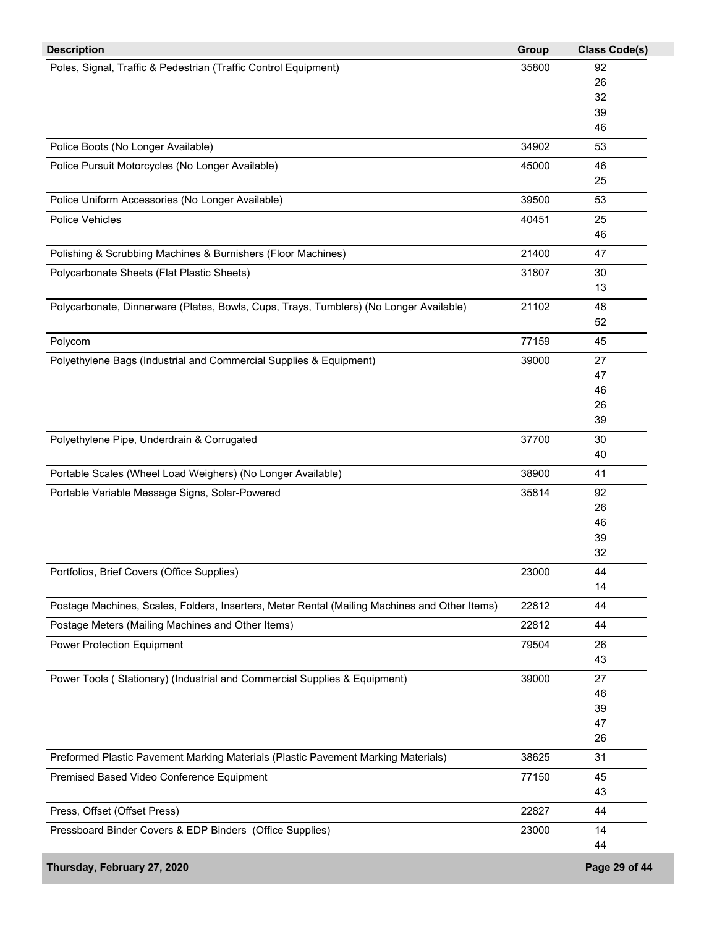| <b>Description</b>                                                                            | Group | <b>Class Code(s)</b> |
|-----------------------------------------------------------------------------------------------|-------|----------------------|
| Poles, Signal, Traffic & Pedestrian (Traffic Control Equipment)                               | 35800 | 92                   |
|                                                                                               |       | 26                   |
|                                                                                               |       | 32                   |
|                                                                                               |       | 39                   |
|                                                                                               |       | 46                   |
| Police Boots (No Longer Available)                                                            | 34902 | 53                   |
| Police Pursuit Motorcycles (No Longer Available)                                              | 45000 | 46                   |
|                                                                                               |       | 25                   |
| Police Uniform Accessories (No Longer Available)                                              | 39500 | 53                   |
| Police Vehicles                                                                               | 40451 | 25                   |
|                                                                                               |       | 46                   |
| Polishing & Scrubbing Machines & Burnishers (Floor Machines)                                  | 21400 | 47                   |
| Polycarbonate Sheets (Flat Plastic Sheets)                                                    | 31807 | 30                   |
|                                                                                               |       | 13                   |
| Polycarbonate, Dinnerware (Plates, Bowls, Cups, Trays, Tumblers) (No Longer Available)        | 21102 | 48                   |
|                                                                                               |       | 52                   |
| Polycom                                                                                       | 77159 | 45                   |
| Polyethylene Bags (Industrial and Commercial Supplies & Equipment)                            | 39000 | 27                   |
|                                                                                               |       | 47                   |
|                                                                                               |       | 46                   |
|                                                                                               |       | 26                   |
|                                                                                               |       | 39                   |
| Polyethylene Pipe, Underdrain & Corrugated                                                    | 37700 | 30                   |
|                                                                                               |       | 40                   |
| Portable Scales (Wheel Load Weighers) (No Longer Available)                                   | 38900 | 41                   |
| Portable Variable Message Signs, Solar-Powered                                                | 35814 | 92                   |
|                                                                                               |       | 26                   |
|                                                                                               |       | 46                   |
|                                                                                               |       | 39                   |
|                                                                                               |       | 32                   |
| Portfolios, Brief Covers (Office Supplies)                                                    | 23000 | 44                   |
|                                                                                               |       | 14                   |
| Postage Machines, Scales, Folders, Inserters, Meter Rental (Mailing Machines and Other Items) | 22812 | 44                   |
| Postage Meters (Mailing Machines and Other Items)                                             | 22812 | 44                   |
| <b>Power Protection Equipment</b>                                                             | 79504 | 26                   |
|                                                                                               |       | 43                   |
| Power Tools (Stationary) (Industrial and Commercial Supplies & Equipment)                     | 39000 | 27                   |
|                                                                                               |       | 46                   |
|                                                                                               |       | 39                   |
|                                                                                               |       | 47                   |
|                                                                                               |       | 26                   |
| Preformed Plastic Pavement Marking Materials (Plastic Pavement Marking Materials)             | 38625 | 31                   |
| Premised Based Video Conference Equipment                                                     | 77150 | 45                   |
|                                                                                               |       | 43                   |
| Press, Offset (Offset Press)                                                                  | 22827 | 44                   |
| Pressboard Binder Covers & EDP Binders (Office Supplies)                                      | 23000 | 14                   |
|                                                                                               |       | 44                   |
| Thursday, February 27, 2020                                                                   |       | Page 29 of 44        |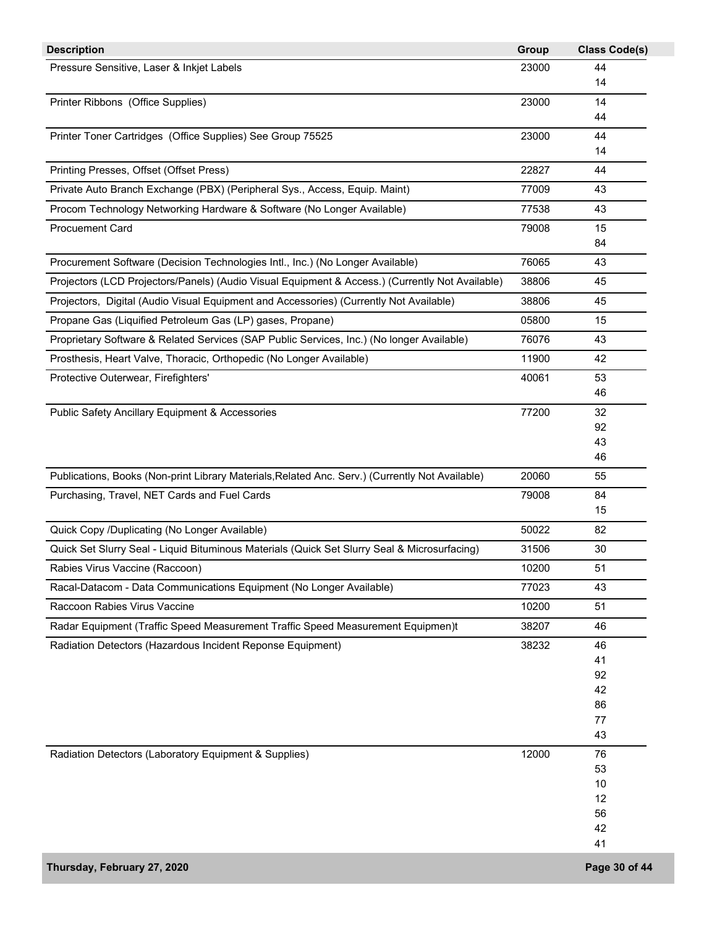| <b>Description</b>                                                                              | Group | <b>Class Code(s)</b> |
|-------------------------------------------------------------------------------------------------|-------|----------------------|
| Pressure Sensitive, Laser & Inkjet Labels                                                       | 23000 | 44                   |
|                                                                                                 |       | 14                   |
| Printer Ribbons (Office Supplies)                                                               | 23000 | 14                   |
|                                                                                                 |       | 44                   |
| Printer Toner Cartridges (Office Supplies) See Group 75525                                      | 23000 | 44                   |
|                                                                                                 |       | 14                   |
| Printing Presses, Offset (Offset Press)                                                         | 22827 | 44                   |
| Private Auto Branch Exchange (PBX) (Peripheral Sys., Access, Equip. Maint)                      | 77009 | 43                   |
| Procom Technology Networking Hardware & Software (No Longer Available)                          | 77538 | 43                   |
| <b>Procuement Card</b>                                                                          | 79008 | 15                   |
|                                                                                                 |       | 84                   |
| Procurement Software (Decision Technologies Intl., Inc.) (No Longer Available)                  | 76065 | 43                   |
| Projectors (LCD Projectors/Panels) (Audio Visual Equipment & Access.) (Currently Not Available) | 38806 | 45                   |
| Projectors, Digital (Audio Visual Equipment and Accessories) (Currently Not Available)          | 38806 | 45                   |
| Propane Gas (Liquified Petroleum Gas (LP) gases, Propane)                                       | 05800 | 15                   |
| Proprietary Software & Related Services (SAP Public Services, Inc.) (No longer Available)       | 76076 | 43                   |
| Prosthesis, Heart Valve, Thoracic, Orthopedic (No Longer Available)                             | 11900 | 42                   |
| Protective Outerwear, Firefighters'                                                             | 40061 | 53                   |
|                                                                                                 |       | 46                   |
| <b>Public Safety Ancillary Equipment &amp; Accessories</b>                                      | 77200 | 32                   |
|                                                                                                 |       | 92                   |
|                                                                                                 |       | 43                   |
|                                                                                                 |       | 46                   |
| Publications, Books (Non-print Library Materials, Related Anc. Serv.) (Currently Not Available) | 20060 | 55                   |
| Purchasing, Travel, NET Cards and Fuel Cards                                                    | 79008 | 84<br>15             |
| Quick Copy /Duplicating (No Longer Available)                                                   | 50022 | 82                   |
| Quick Set Slurry Seal - Liquid Bituminous Materials (Quick Set Slurry Seal & Microsurfacing)    | 31506 | 30                   |
| Rabies Virus Vaccine (Raccoon)                                                                  | 10200 | 51                   |
|                                                                                                 |       |                      |
| Racal-Datacom - Data Communications Equipment (No Longer Available)                             | 77023 | 43                   |
| Raccoon Rabies Virus Vaccine                                                                    | 10200 | 51                   |
| Radar Equipment (Traffic Speed Measurement Traffic Speed Measurement Equipmen)t                 | 38207 | 46                   |
| Radiation Detectors (Hazardous Incident Reponse Equipment)                                      | 38232 | 46                   |
|                                                                                                 |       | 41                   |
|                                                                                                 |       | 92<br>42             |
|                                                                                                 |       | 86                   |
|                                                                                                 |       | 77                   |
|                                                                                                 |       | 43                   |
| Radiation Detectors (Laboratory Equipment & Supplies)                                           | 12000 | 76                   |
|                                                                                                 |       | 53                   |
|                                                                                                 |       | 10                   |
|                                                                                                 |       | 12                   |
|                                                                                                 |       | 56                   |
|                                                                                                 |       | 42                   |
|                                                                                                 |       | 41                   |
| Thursday, February 27, 2020                                                                     |       | Page 30 of 44        |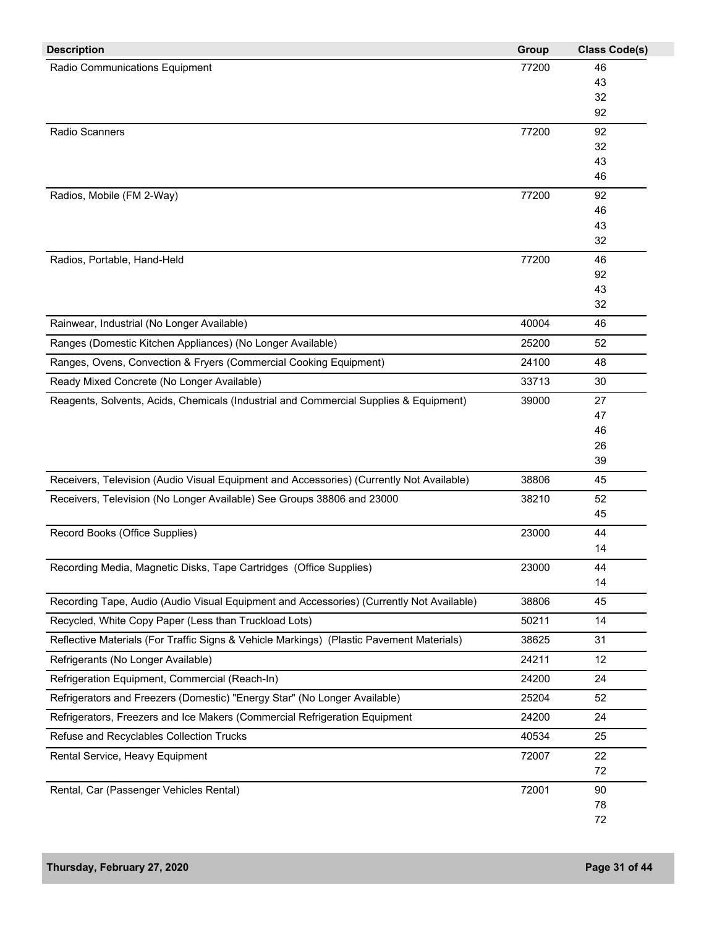| <b>Description</b>                                                                       | Group | <b>Class Code(s)</b> |
|------------------------------------------------------------------------------------------|-------|----------------------|
| Radio Communications Equipment                                                           | 77200 | 46                   |
|                                                                                          |       | 43                   |
|                                                                                          |       | 32                   |
|                                                                                          |       | 92                   |
| Radio Scanners                                                                           | 77200 | 92                   |
|                                                                                          |       | 32                   |
|                                                                                          |       | 43                   |
|                                                                                          |       | 46                   |
| Radios, Mobile (FM 2-Way)                                                                | 77200 | 92                   |
|                                                                                          |       | 46                   |
|                                                                                          |       | 43<br>32             |
|                                                                                          |       |                      |
| Radios, Portable, Hand-Held                                                              | 77200 | 46<br>92             |
|                                                                                          |       | 43                   |
|                                                                                          |       | 32                   |
| Rainwear, Industrial (No Longer Available)                                               | 40004 | 46                   |
| Ranges (Domestic Kitchen Appliances) (No Longer Available)                               | 25200 | 52                   |
| Ranges, Ovens, Convection & Fryers (Commercial Cooking Equipment)                        | 24100 | 48                   |
| Ready Mixed Concrete (No Longer Available)                                               | 33713 | 30                   |
| Reagents, Solvents, Acids, Chemicals (Industrial and Commercial Supplies & Equipment)    | 39000 | 27                   |
|                                                                                          |       | 47                   |
|                                                                                          |       | 46                   |
|                                                                                          |       | 26                   |
|                                                                                          |       | 39                   |
| Receivers, Television (Audio Visual Equipment and Accessories) (Currently Not Available) | 38806 | 45                   |
| Receivers, Television (No Longer Available) See Groups 38806 and 23000                   | 38210 | 52                   |
|                                                                                          |       | 45                   |
| Record Books (Office Supplies)                                                           | 23000 | 44                   |
|                                                                                          |       | 14                   |
| Recording Media, Magnetic Disks, Tape Cartridges (Office Supplies)                       | 23000 | 44                   |
|                                                                                          |       | 14                   |
| Recording Tape, Audio (Audio Visual Equipment and Accessories) (Currently Not Available) | 38806 | 45                   |
| Recycled, White Copy Paper (Less than Truckload Lots)                                    | 50211 | 14                   |
| Reflective Materials (For Traffic Signs & Vehicle Markings) (Plastic Pavement Materials) | 38625 | 31                   |
| Refrigerants (No Longer Available)                                                       | 24211 | 12                   |
| Refrigeration Equipment, Commercial (Reach-In)                                           | 24200 | 24                   |
| Refrigerators and Freezers (Domestic) "Energy Star" (No Longer Available)                | 25204 | 52                   |
| Refrigerators, Freezers and Ice Makers (Commercial Refrigeration Equipment               | 24200 | 24                   |
| Refuse and Recyclables Collection Trucks                                                 | 40534 | 25                   |
| Rental Service, Heavy Equipment                                                          | 72007 | 22                   |
|                                                                                          |       | 72                   |
| Rental, Car (Passenger Vehicles Rental)                                                  | 72001 | 90                   |
|                                                                                          |       | 78                   |
|                                                                                          |       | 72                   |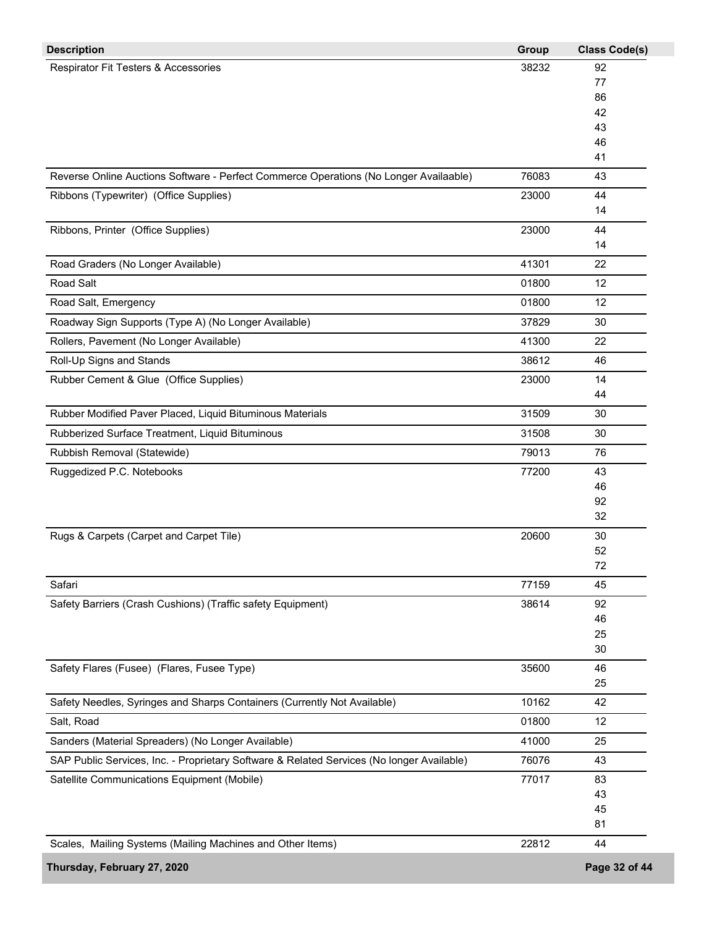| <b>Description</b>                                                                        | Group | <b>Class Code(s)</b> |
|-------------------------------------------------------------------------------------------|-------|----------------------|
| Respirator Fit Testers & Accessories                                                      | 38232 | 92                   |
|                                                                                           |       | 77                   |
|                                                                                           |       | 86                   |
|                                                                                           |       | 42                   |
|                                                                                           |       | 43<br>46             |
|                                                                                           |       | 41                   |
| Reverse Online Auctions Software - Perfect Commerce Operations (No Longer Availaable)     | 76083 | 43                   |
| Ribbons (Typewriter) (Office Supplies)                                                    | 23000 | 44                   |
|                                                                                           |       | 14                   |
| Ribbons, Printer (Office Supplies)                                                        | 23000 | 44                   |
|                                                                                           |       | 14                   |
| Road Graders (No Longer Available)                                                        | 41301 | 22                   |
| <b>Road Salt</b>                                                                          | 01800 | 12                   |
| Road Salt, Emergency                                                                      | 01800 | 12                   |
| Roadway Sign Supports (Type A) (No Longer Available)                                      | 37829 | 30                   |
| Rollers, Pavement (No Longer Available)                                                   | 41300 | 22                   |
| Roll-Up Signs and Stands                                                                  | 38612 | 46                   |
| Rubber Cement & Glue (Office Supplies)                                                    | 23000 | 14                   |
|                                                                                           |       | 44                   |
| Rubber Modified Paver Placed, Liquid Bituminous Materials                                 | 31509 | 30                   |
| Rubberized Surface Treatment, Liquid Bituminous                                           | 31508 | 30                   |
| Rubbish Removal (Statewide)                                                               | 79013 | 76                   |
| Ruggedized P.C. Notebooks                                                                 | 77200 | 43                   |
|                                                                                           |       | 46                   |
|                                                                                           |       | 92                   |
|                                                                                           |       | 32                   |
| Rugs & Carpets (Carpet and Carpet Tile)                                                   | 20600 | 30                   |
|                                                                                           |       | 52                   |
|                                                                                           |       | 72                   |
| Safari                                                                                    | 77159 | 45                   |
| Safety Barriers (Crash Cushions) (Traffic safety Equipment)                               | 38614 | 92                   |
|                                                                                           |       | 46                   |
|                                                                                           |       | 25                   |
|                                                                                           |       | 30                   |
| Safety Flares (Fusee) (Flares, Fusee Type)                                                | 35600 | 46                   |
|                                                                                           |       | 25                   |
| Safety Needles, Syringes and Sharps Containers (Currently Not Available)                  | 10162 | 42                   |
| Salt, Road                                                                                | 01800 | 12                   |
| Sanders (Material Spreaders) (No Longer Available)                                        | 41000 | 25                   |
| SAP Public Services, Inc. - Proprietary Software & Related Services (No longer Available) | 76076 | 43                   |
| Satellite Communications Equipment (Mobile)                                               | 77017 | 83                   |
|                                                                                           |       | 43                   |
|                                                                                           |       | 45<br>81             |
| Scales, Mailing Systems (Mailing Machines and Other Items)                                | 22812 | 44                   |
|                                                                                           |       |                      |
| Thursday, February 27, 2020                                                               |       | Page 32 of 44        |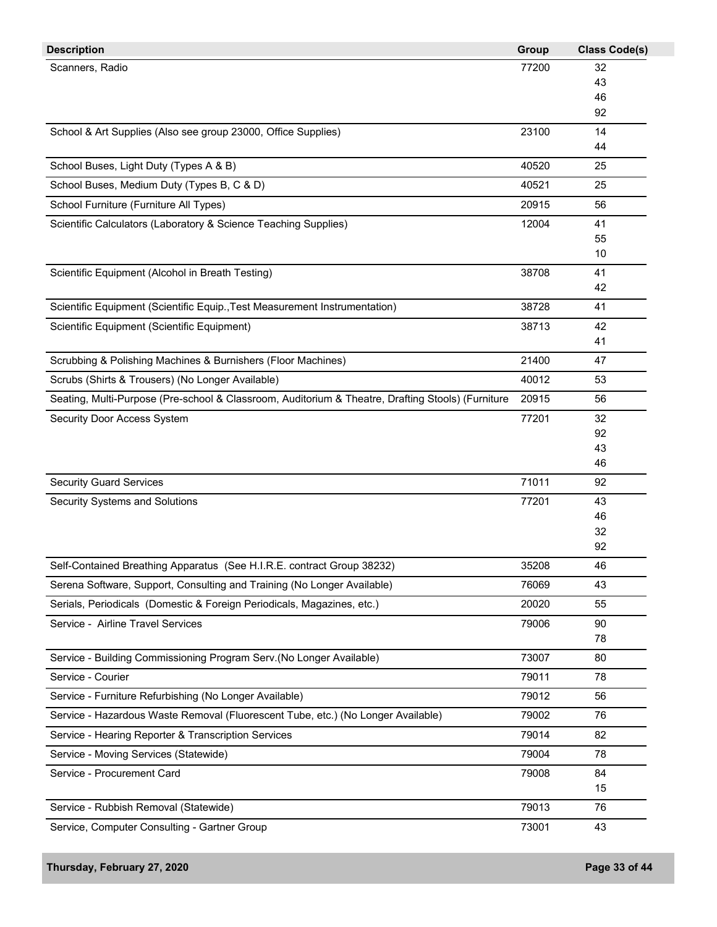| <b>Description</b>                                                                                | Group | <b>Class Code(s)</b> |
|---------------------------------------------------------------------------------------------------|-------|----------------------|
| Scanners, Radio                                                                                   | 77200 | 32                   |
|                                                                                                   |       | 43                   |
|                                                                                                   |       | 46                   |
|                                                                                                   |       | 92                   |
| School & Art Supplies (Also see group 23000, Office Supplies)                                     | 23100 | 14                   |
|                                                                                                   |       | 44                   |
| School Buses, Light Duty (Types A & B)                                                            | 40520 | 25                   |
| School Buses, Medium Duty (Types B, C & D)                                                        | 40521 | 25                   |
| School Furniture (Furniture All Types)                                                            | 20915 | 56                   |
| Scientific Calculators (Laboratory & Science Teaching Supplies)                                   | 12004 | 41                   |
|                                                                                                   |       | 55                   |
|                                                                                                   |       | 10                   |
| Scientific Equipment (Alcohol in Breath Testing)                                                  | 38708 | 41                   |
|                                                                                                   |       | 42                   |
| Scientific Equipment (Scientific Equip., Test Measurement Instrumentation)                        | 38728 | 41                   |
| Scientific Equipment (Scientific Equipment)                                                       | 38713 | 42                   |
|                                                                                                   |       | 41                   |
| Scrubbing & Polishing Machines & Burnishers (Floor Machines)                                      | 21400 | 47                   |
| Scrubs (Shirts & Trousers) (No Longer Available)                                                  | 40012 | 53                   |
| Seating, Multi-Purpose (Pre-school & Classroom, Auditorium & Theatre, Drafting Stools) (Furniture | 20915 | 56                   |
| Security Door Access System                                                                       | 77201 | 32                   |
|                                                                                                   |       | 92                   |
|                                                                                                   |       | 43                   |
|                                                                                                   |       | 46                   |
| <b>Security Guard Services</b>                                                                    | 71011 | 92                   |
| Security Systems and Solutions                                                                    | 77201 | 43                   |
|                                                                                                   |       | 46                   |
|                                                                                                   |       | 32                   |
|                                                                                                   |       | 92                   |
| Self-Contained Breathing Apparatus (See H.I.R.E. contract Group 38232)                            | 35208 | 46                   |
| Serena Software, Support, Consulting and Training (No Longer Available)                           | 76069 | 43                   |
| Serials, Periodicals (Domestic & Foreign Periodicals, Magazines, etc.)                            | 20020 | 55                   |
| Service - Airline Travel Services                                                                 | 79006 | 90                   |
|                                                                                                   |       | 78                   |
| Service - Building Commissioning Program Serv.(No Longer Available)                               | 73007 | 80                   |
| Service - Courier                                                                                 | 79011 | 78                   |
| Service - Furniture Refurbishing (No Longer Available)                                            | 79012 | 56                   |
| Service - Hazardous Waste Removal (Fluorescent Tube, etc.) (No Longer Available)                  | 79002 | 76                   |
| Service - Hearing Reporter & Transcription Services                                               | 79014 | 82                   |
| Service - Moving Services (Statewide)                                                             | 79004 | 78                   |
| Service - Procurement Card                                                                        | 79008 | 84                   |
|                                                                                                   |       | 15                   |
| Service - Rubbish Removal (Statewide)                                                             | 79013 | 76                   |
| Service, Computer Consulting - Gartner Group                                                      | 73001 | 43                   |
|                                                                                                   |       |                      |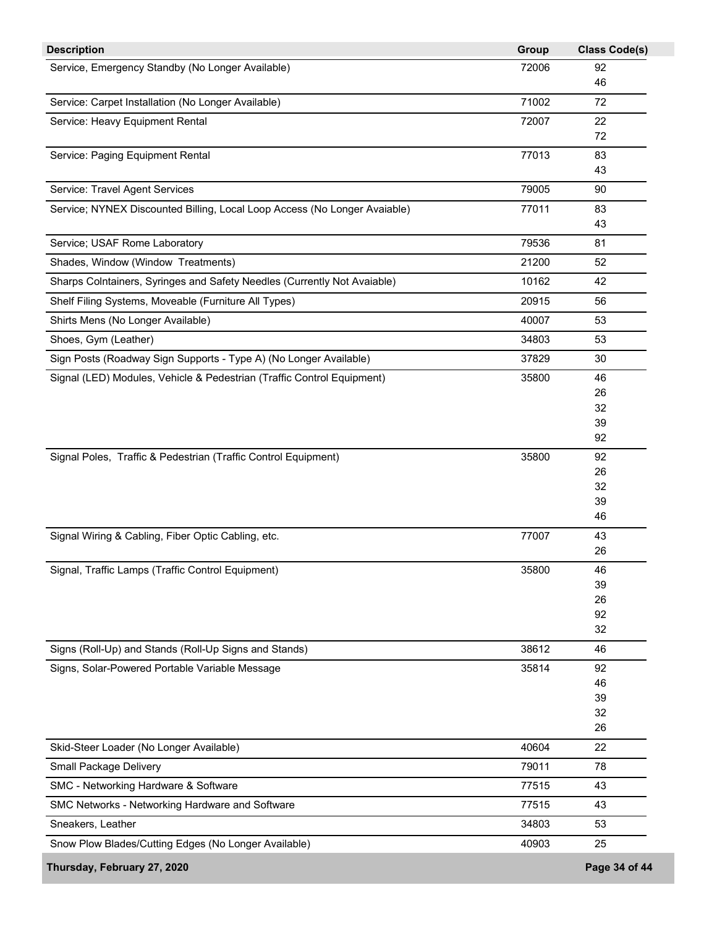| <b>Description</b>                                                        | Group | <b>Class Code(s)</b> |
|---------------------------------------------------------------------------|-------|----------------------|
| Service, Emergency Standby (No Longer Available)                          | 72006 | 92                   |
|                                                                           |       | 46                   |
| Service: Carpet Installation (No Longer Available)                        | 71002 | 72                   |
| Service: Heavy Equipment Rental                                           | 72007 | 22                   |
|                                                                           |       | 72                   |
| Service: Paging Equipment Rental                                          | 77013 | 83                   |
|                                                                           |       | 43                   |
| Service: Travel Agent Services                                            | 79005 | 90                   |
| Service; NYNEX Discounted Billing, Local Loop Access (No Longer Avaiable) | 77011 | 83                   |
|                                                                           |       | 43                   |
| Service; USAF Rome Laboratory                                             | 79536 | 81                   |
| Shades, Window (Window Treatments)                                        | 21200 | 52                   |
| Sharps Colntainers, Syringes and Safety Needles (Currently Not Avaiable)  | 10162 | 42                   |
| Shelf Filing Systems, Moveable (Furniture All Types)                      | 20915 | 56                   |
| Shirts Mens (No Longer Available)                                         | 40007 | 53                   |
| Shoes, Gym (Leather)                                                      | 34803 | 53                   |
| Sign Posts (Roadway Sign Supports - Type A) (No Longer Available)         | 37829 | 30                   |
| Signal (LED) Modules, Vehicle & Pedestrian (Traffic Control Equipment)    | 35800 | 46                   |
|                                                                           |       | 26                   |
|                                                                           |       | 32                   |
|                                                                           |       | 39                   |
|                                                                           |       | 92                   |
| Signal Poles, Traffic & Pedestrian (Traffic Control Equipment)            | 35800 | 92                   |
|                                                                           |       | 26                   |
|                                                                           |       | 32                   |
|                                                                           |       | 39                   |
|                                                                           |       | 46                   |
| Signal Wiring & Cabling, Fiber Optic Cabling, etc.                        | 77007 | 43                   |
|                                                                           |       | 26                   |
| Signal, Traffic Lamps (Traffic Control Equipment)                         | 35800 | 46                   |
|                                                                           |       | 39                   |
|                                                                           |       | 26                   |
|                                                                           |       | 92                   |
|                                                                           |       | 32                   |
| Signs (Roll-Up) and Stands (Roll-Up Signs and Stands)                     | 38612 | 46                   |
| Signs, Solar-Powered Portable Variable Message                            | 35814 | 92                   |
|                                                                           |       | 46                   |
|                                                                           |       | 39                   |
|                                                                           |       | 32                   |
|                                                                           |       | 26                   |
| Skid-Steer Loader (No Longer Available)                                   | 40604 | 22                   |
| Small Package Delivery                                                    | 79011 | 78                   |
| SMC - Networking Hardware & Software                                      | 77515 | 43                   |
| SMC Networks - Networking Hardware and Software                           | 77515 | 43                   |
| Sneakers, Leather                                                         | 34803 | 53                   |
| Snow Plow Blades/Cutting Edges (No Longer Available)                      | 40903 | 25                   |
| Thursday, February 27, 2020                                               |       | Page 34 of 44        |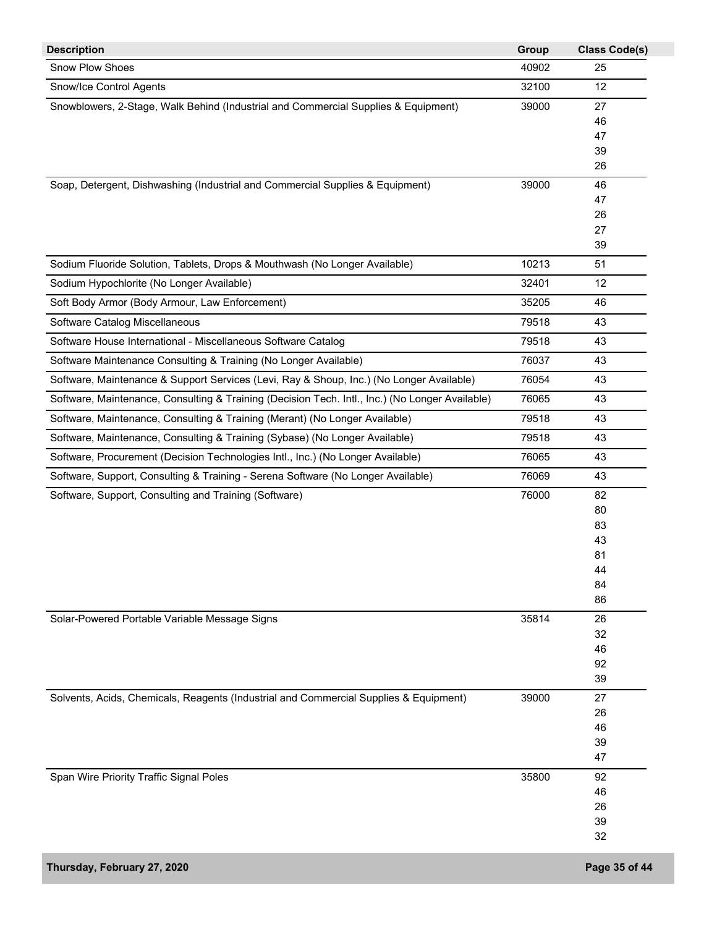| <b>Description</b>                                                                              | Group | <b>Class Code(s)</b> |
|-------------------------------------------------------------------------------------------------|-------|----------------------|
| Snow Plow Shoes                                                                                 | 40902 | 25                   |
| Snow/Ice Control Agents                                                                         | 32100 | 12                   |
| Snowblowers, 2-Stage, Walk Behind (Industrial and Commercial Supplies & Equipment)              | 39000 | 27                   |
|                                                                                                 |       | 46                   |
|                                                                                                 |       | 47                   |
|                                                                                                 |       | 39                   |
|                                                                                                 |       | 26                   |
| Soap, Detergent, Dishwashing (Industrial and Commercial Supplies & Equipment)                   | 39000 | 46                   |
|                                                                                                 |       | 47                   |
|                                                                                                 |       | 26                   |
|                                                                                                 |       | 27                   |
|                                                                                                 |       | 39                   |
| Sodium Fluoride Solution, Tablets, Drops & Mouthwash (No Longer Available)                      | 10213 | 51                   |
| Sodium Hypochlorite (No Longer Available)                                                       | 32401 | 12                   |
| Soft Body Armor (Body Armour, Law Enforcement)                                                  | 35205 | 46                   |
| Software Catalog Miscellaneous                                                                  | 79518 | 43                   |
| Software House International - Miscellaneous Software Catalog                                   | 79518 | 43                   |
| Software Maintenance Consulting & Training (No Longer Available)                                | 76037 | 43                   |
| Software, Maintenance & Support Services (Levi, Ray & Shoup, Inc.) (No Longer Available)        | 76054 | 43                   |
| Software, Maintenance, Consulting & Training (Decision Tech. Intl., Inc.) (No Longer Available) | 76065 | 43                   |
| Software, Maintenance, Consulting & Training (Merant) (No Longer Available)                     | 79518 | 43                   |
| Software, Maintenance, Consulting & Training (Sybase) (No Longer Available)                     | 79518 | 43                   |
| Software, Procurement (Decision Technologies Intl., Inc.) (No Longer Available)                 | 76065 | 43                   |
| Software, Support, Consulting & Training - Serena Software (No Longer Available)                | 76069 | 43                   |
| Software, Support, Consulting and Training (Software)                                           | 76000 | 82                   |
|                                                                                                 |       | 80                   |
|                                                                                                 |       | 83                   |
|                                                                                                 |       | 43                   |
|                                                                                                 |       | 81                   |
|                                                                                                 |       | 44                   |
|                                                                                                 |       | 84                   |
|                                                                                                 |       | 86                   |
| Solar-Powered Portable Variable Message Signs                                                   | 35814 | 26                   |
|                                                                                                 |       | 32                   |
|                                                                                                 |       | 46                   |
|                                                                                                 |       | 92                   |
|                                                                                                 |       | 39                   |
| Solvents, Acids, Chemicals, Reagents (Industrial and Commercial Supplies & Equipment)           | 39000 | 27                   |
|                                                                                                 |       | 26                   |
|                                                                                                 |       | 46                   |
|                                                                                                 |       | 39                   |
|                                                                                                 |       | 47                   |
| Span Wire Priority Traffic Signal Poles                                                         | 35800 | 92                   |
|                                                                                                 |       | 46                   |
|                                                                                                 |       | 26                   |
|                                                                                                 |       | 39                   |
|                                                                                                 |       | 32                   |
| Thursday, February 27, 2020                                                                     |       | Page 35 of 44        |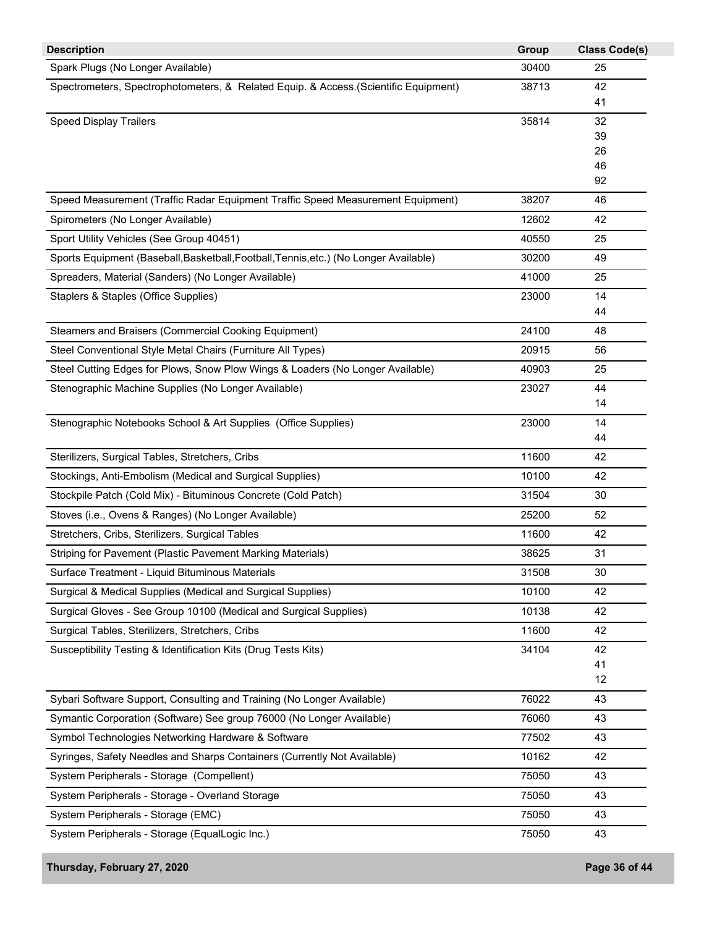| <b>Description</b>                                                                    | Group | <b>Class Code(s)</b> |
|---------------------------------------------------------------------------------------|-------|----------------------|
| Spark Plugs (No Longer Available)                                                     | 30400 | 25                   |
| Spectrometers, Spectrophotometers, & Related Equip. & Access.(Scientific Equipment)   | 38713 | 42                   |
|                                                                                       |       | 41                   |
| <b>Speed Display Trailers</b>                                                         | 35814 | 32                   |
|                                                                                       |       | 39                   |
|                                                                                       |       | 26<br>46             |
|                                                                                       |       | 92                   |
| Speed Measurement (Traffic Radar Equipment Traffic Speed Measurement Equipment)       | 38207 | 46                   |
| Spirometers (No Longer Available)                                                     | 12602 | 42                   |
| Sport Utility Vehicles (See Group 40451)                                              | 40550 | 25                   |
| Sports Equipment (Baseball, Basketball, Football, Tennis, etc.) (No Longer Available) | 30200 | 49                   |
| Spreaders, Material (Sanders) (No Longer Available)                                   | 41000 | 25                   |
| Staplers & Staples (Office Supplies)                                                  | 23000 | 14                   |
|                                                                                       |       | 44                   |
| Steamers and Braisers (Commercial Cooking Equipment)                                  | 24100 | 48                   |
| Steel Conventional Style Metal Chairs (Furniture All Types)                           | 20915 | 56                   |
| Steel Cutting Edges for Plows, Snow Plow Wings & Loaders (No Longer Available)        | 40903 | 25                   |
| Stenographic Machine Supplies (No Longer Available)                                   | 23027 | 44                   |
|                                                                                       |       | 14                   |
| Stenographic Notebooks School & Art Supplies (Office Supplies)                        | 23000 | 14                   |
|                                                                                       |       | 44                   |
| Sterilizers, Surgical Tables, Stretchers, Cribs                                       | 11600 | 42                   |
| Stockings, Anti-Embolism (Medical and Surgical Supplies)                              | 10100 | 42                   |
| Stockpile Patch (Cold Mix) - Bituminous Concrete (Cold Patch)                         | 31504 | 30                   |
| Stoves (i.e., Ovens & Ranges) (No Longer Available)                                   | 25200 | 52                   |
| Stretchers, Cribs, Sterilizers, Surgical Tables                                       | 11600 | 42                   |
| Striping for Pavement (Plastic Pavement Marking Materials)                            | 38625 | 31                   |
| Surface Treatment - Liquid Bituminous Materials                                       | 31508 | 30                   |
| Surgical & Medical Supplies (Medical and Surgical Supplies)                           | 10100 | 42                   |
| Surgical Gloves - See Group 10100 (Medical and Surgical Supplies)                     | 10138 | 42                   |
| Surgical Tables, Sterilizers, Stretchers, Cribs                                       | 11600 | 42                   |
| Susceptibility Testing & Identification Kits (Drug Tests Kits)                        | 34104 | 42                   |
|                                                                                       |       | 41                   |
|                                                                                       |       | 12                   |
| Sybari Software Support, Consulting and Training (No Longer Available)                | 76022 | 43                   |
| Symantic Corporation (Software) See group 76000 (No Longer Available)                 | 76060 | 43                   |
| Symbol Technologies Networking Hardware & Software                                    | 77502 | 43                   |
| Syringes, Safety Needles and Sharps Containers (Currently Not Available)              | 10162 | 42                   |
| System Peripherals - Storage (Compellent)                                             | 75050 | 43                   |
| System Peripherals - Storage - Overland Storage                                       | 75050 | 43                   |
| System Peripherals - Storage (EMC)                                                    | 75050 | 43                   |
| System Peripherals - Storage (EqualLogic Inc.)                                        | 75050 | 43                   |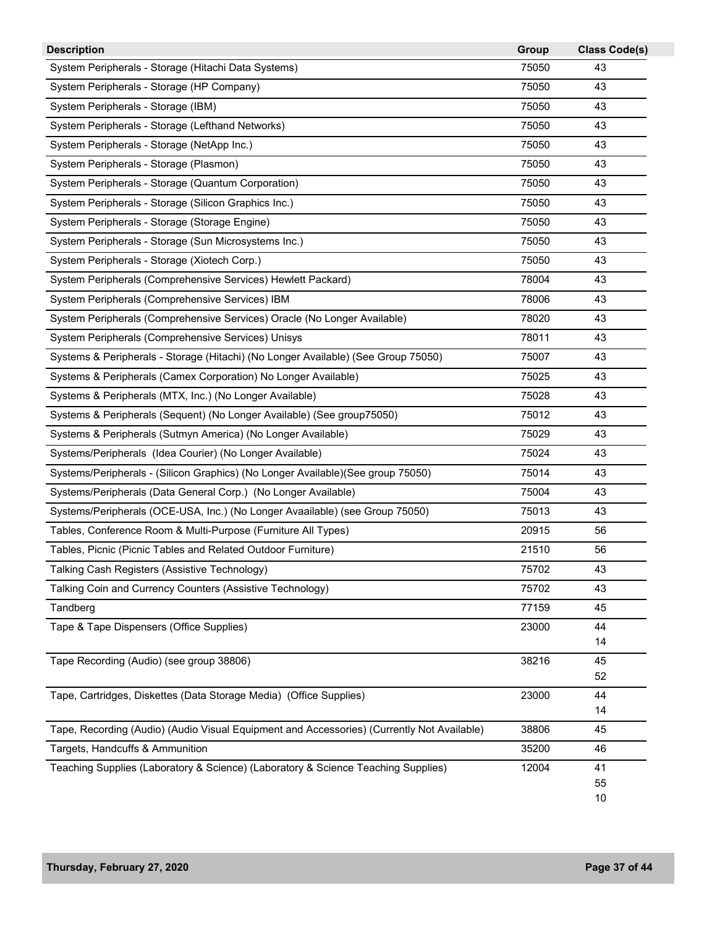| <b>Description</b>                                                                         | Group | <b>Class Code(s)</b> |
|--------------------------------------------------------------------------------------------|-------|----------------------|
| System Peripherals - Storage (Hitachi Data Systems)                                        | 75050 | 43                   |
| System Peripherals - Storage (HP Company)                                                  | 75050 | 43                   |
| System Peripherals - Storage (IBM)                                                         | 75050 | 43                   |
| System Peripherals - Storage (Lefthand Networks)                                           | 75050 | 43                   |
| System Peripherals - Storage (NetApp Inc.)                                                 | 75050 | 43                   |
| System Peripherals - Storage (Plasmon)                                                     | 75050 | 43                   |
| System Peripherals - Storage (Quantum Corporation)                                         | 75050 | 43                   |
| System Peripherals - Storage (Silicon Graphics Inc.)                                       | 75050 | 43                   |
| System Peripherals - Storage (Storage Engine)                                              | 75050 | 43                   |
| System Peripherals - Storage (Sun Microsystems Inc.)                                       | 75050 | 43                   |
| System Peripherals - Storage (Xiotech Corp.)                                               | 75050 | 43                   |
| System Peripherals (Comprehensive Services) Hewlett Packard)                               | 78004 | 43                   |
| System Peripherals (Comprehensive Services) IBM                                            | 78006 | 43                   |
| System Peripherals (Comprehensive Services) Oracle (No Longer Available)                   | 78020 | 43                   |
| System Peripherals (Comprehensive Services) Unisys                                         | 78011 | 43                   |
| Systems & Peripherals - Storage (Hitachi) (No Longer Available) (See Group 75050)          | 75007 | 43                   |
| Systems & Peripherals (Camex Corporation) No Longer Available)                             | 75025 | 43                   |
| Systems & Peripherals (MTX, Inc.) (No Longer Available)                                    | 75028 | 43                   |
| Systems & Peripherals (Sequent) (No Longer Available) (See group75050)                     | 75012 | 43                   |
| Systems & Peripherals (Sutmyn America) (No Longer Available)                               | 75029 | 43                   |
| Systems/Peripherals (Idea Courier) (No Longer Available)                                   | 75024 | 43                   |
| Systems/Peripherals - (Silicon Graphics) (No Longer Available) (See group 75050)           | 75014 | 43                   |
| Systems/Peripherals (Data General Corp.) (No Longer Available)                             | 75004 | 43                   |
| Systems/Peripherals (OCE-USA, Inc.) (No Longer Avaailable) (see Group 75050)               | 75013 | 43                   |
| Tables, Conference Room & Multi-Purpose (Furniture All Types)                              | 20915 | 56                   |
| Tables, Picnic (Picnic Tables and Related Outdoor Furniture)                               | 21510 | 56                   |
| Talking Cash Registers (Assistive Technology)                                              | 75702 | 43                   |
| Talking Coin and Currency Counters (Assistive Technology)                                  | 75702 | 43                   |
| Tandberg                                                                                   | 77159 | 45                   |
| Tape & Tape Dispensers (Office Supplies)                                                   | 23000 | 44                   |
|                                                                                            |       | 14                   |
| Tape Recording (Audio) (see group 38806)                                                   | 38216 | 45                   |
|                                                                                            |       | 52                   |
| Tape, Cartridges, Diskettes (Data Storage Media) (Office Supplies)                         | 23000 | 44<br>14             |
| Tape, Recording (Audio) (Audio Visual Equipment and Accessories) (Currently Not Available) | 38806 | 45                   |
| Targets, Handcuffs & Ammunition                                                            | 35200 | 46                   |
| Teaching Supplies (Laboratory & Science) (Laboratory & Science Teaching Supplies)          | 12004 | 41                   |
|                                                                                            |       | 55                   |
|                                                                                            |       | 10                   |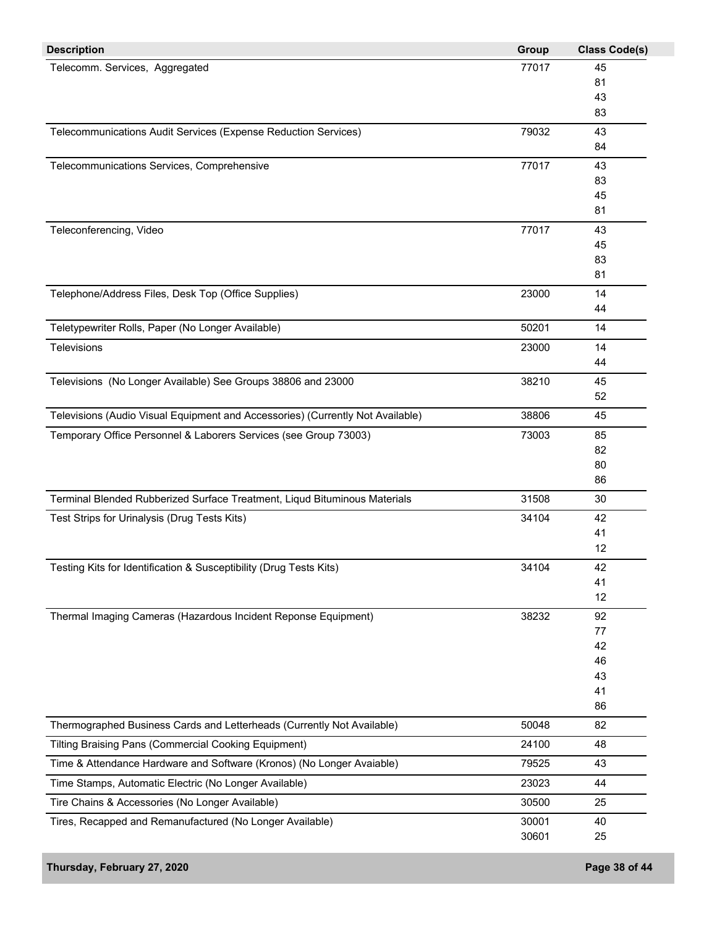| <b>Description</b>                                                             | Group | <b>Class Code(s)</b> |
|--------------------------------------------------------------------------------|-------|----------------------|
| Telecomm. Services, Aggregated                                                 | 77017 | 45                   |
|                                                                                |       | 81                   |
|                                                                                |       | 43                   |
|                                                                                |       | 83                   |
| Telecommunications Audit Services (Expense Reduction Services)                 | 79032 | 43                   |
|                                                                                |       | 84                   |
| Telecommunications Services, Comprehensive                                     | 77017 | 43                   |
|                                                                                |       | 83                   |
|                                                                                |       | 45                   |
|                                                                                |       | 81                   |
| Teleconferencing, Video                                                        | 77017 | 43                   |
|                                                                                |       | 45                   |
|                                                                                |       | 83                   |
|                                                                                |       | 81                   |
| Telephone/Address Files, Desk Top (Office Supplies)                            | 23000 | 14                   |
|                                                                                |       | 44                   |
| Teletypewriter Rolls, Paper (No Longer Available)                              | 50201 | 14                   |
| Televisions                                                                    | 23000 | 14                   |
|                                                                                |       | 44                   |
| Televisions (No Longer Available) See Groups 38806 and 23000                   | 38210 | 45                   |
|                                                                                |       | 52                   |
| Televisions (Audio Visual Equipment and Accessories) (Currently Not Available) | 38806 | 45                   |
| Temporary Office Personnel & Laborers Services (see Group 73003)               | 73003 | 85                   |
|                                                                                |       | 82                   |
|                                                                                |       | 80                   |
|                                                                                |       | 86                   |
| Terminal Blended Rubberized Surface Treatment, Liqud Bituminous Materials      | 31508 | 30                   |
| Test Strips for Urinalysis (Drug Tests Kits)                                   | 34104 | 42                   |
|                                                                                |       | 41                   |
|                                                                                |       | 12                   |
| Testing Kits for Identification & Susceptibility (Drug Tests Kits)             | 34104 | 42                   |
|                                                                                |       | 41                   |
|                                                                                |       | 12                   |
| Thermal Imaging Cameras (Hazardous Incident Reponse Equipment)                 | 38232 | 92                   |
|                                                                                |       | 77                   |
|                                                                                |       | 42                   |
|                                                                                |       | 46                   |
|                                                                                |       | 43                   |
|                                                                                |       | 41                   |
|                                                                                |       | 86                   |
| Thermographed Business Cards and Letterheads (Currently Not Available)         | 50048 | 82                   |
| Tilting Braising Pans (Commercial Cooking Equipment)                           | 24100 | 48                   |
| Time & Attendance Hardware and Software (Kronos) (No Longer Avaiable)          | 79525 | 43                   |
| Time Stamps, Automatic Electric (No Longer Available)                          | 23023 | 44                   |
| Tire Chains & Accessories (No Longer Available)                                | 30500 | 25                   |
| Tires, Recapped and Remanufactured (No Longer Available)                       | 30001 | 40                   |
|                                                                                |       |                      |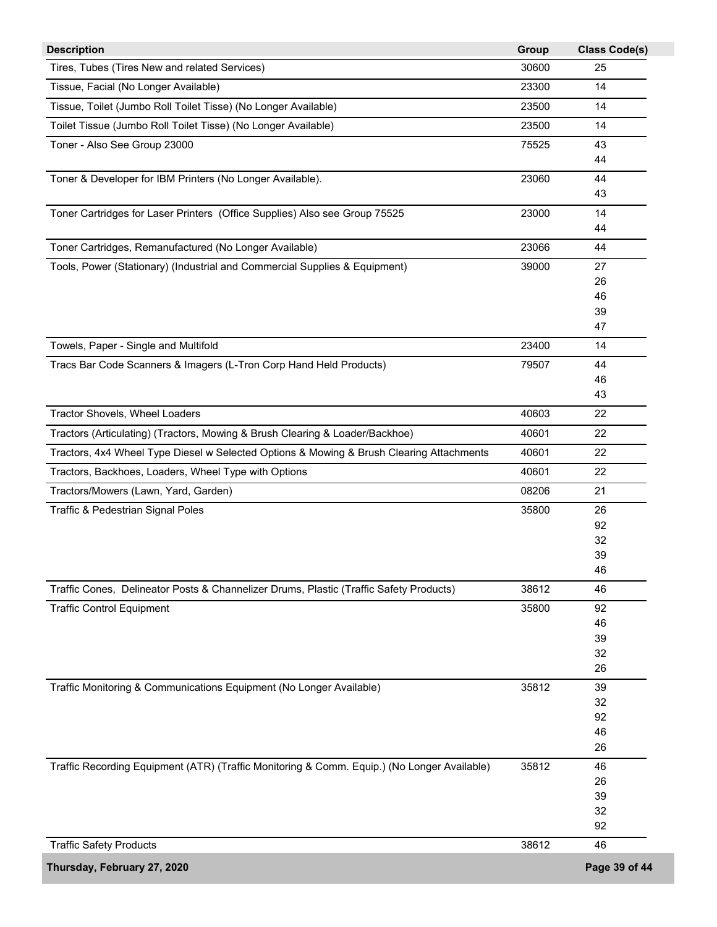| <b>Description</b>                                                                          | Group | <b>Class Code(s)</b> |
|---------------------------------------------------------------------------------------------|-------|----------------------|
| Tires, Tubes (Tires New and related Services)                                               | 30600 | 25                   |
| Tissue, Facial (No Longer Available)                                                        | 23300 | 14                   |
| Tissue, Toilet (Jumbo Roll Toilet Tisse) (No Longer Available)                              | 23500 | 14                   |
| Toilet Tissue (Jumbo Roll Toilet Tisse) (No Longer Available)                               | 23500 | 14                   |
| Toner - Also See Group 23000                                                                | 75525 | 43                   |
|                                                                                             |       | 44                   |
| Toner & Developer for IBM Printers (No Longer Available).                                   | 23060 | 44                   |
|                                                                                             |       | 43                   |
| Toner Cartridges for Laser Printers (Office Supplies) Also see Group 75525                  | 23000 | 14                   |
|                                                                                             |       | 44                   |
| Toner Cartridges, Remanufactured (No Longer Available)                                      | 23066 | 44                   |
|                                                                                             |       |                      |
| Tools, Power (Stationary) (Industrial and Commercial Supplies & Equipment)                  | 39000 | 27                   |
|                                                                                             |       | 26<br>46             |
|                                                                                             |       | 39                   |
|                                                                                             |       | 47                   |
| Towels, Paper - Single and Multifold                                                        | 23400 | 14                   |
|                                                                                             |       |                      |
| Tracs Bar Code Scanners & Imagers (L-Tron Corp Hand Held Products)                          | 79507 | 44                   |
|                                                                                             |       | 46<br>43             |
|                                                                                             |       |                      |
| Tractor Shovels, Wheel Loaders                                                              | 40603 | 22                   |
| Tractors (Articulating) (Tractors, Mowing & Brush Clearing & Loader/Backhoe)                | 40601 | 22                   |
| Tractors, 4x4 Wheel Type Diesel w Selected Options & Mowing & Brush Clearing Attachments    | 40601 | 22                   |
| Tractors, Backhoes, Loaders, Wheel Type with Options                                        | 40601 | 22                   |
| Tractors/Mowers (Lawn, Yard, Garden)                                                        | 08206 | 21                   |
| Traffic & Pedestrian Signal Poles                                                           | 35800 | 26                   |
|                                                                                             |       | 92                   |
|                                                                                             |       | 32                   |
|                                                                                             |       | 39                   |
|                                                                                             |       | 46                   |
| Traffic Cones, Delineator Posts & Channelizer Drums, Plastic (Traffic Safety Products)      | 38612 | 46                   |
| <b>Traffic Control Equipment</b>                                                            | 35800 | 92                   |
|                                                                                             |       | 46                   |
|                                                                                             |       | 39                   |
|                                                                                             |       | 32                   |
|                                                                                             |       | 26                   |
| Traffic Monitoring & Communications Equipment (No Longer Available)                         | 35812 | 39                   |
|                                                                                             |       | 32                   |
|                                                                                             |       | 92                   |
|                                                                                             |       | 46                   |
|                                                                                             |       | 26                   |
| Traffic Recording Equipment (ATR) (Traffic Monitoring & Comm. Equip.) (No Longer Available) | 35812 | 46                   |
|                                                                                             |       | 26                   |
|                                                                                             |       | 39                   |
|                                                                                             |       | 32                   |
|                                                                                             |       | 92                   |
| <b>Traffic Safety Products</b>                                                              | 38612 | 46                   |
| Thursday, February 27, 2020                                                                 |       | Page 39 of 44        |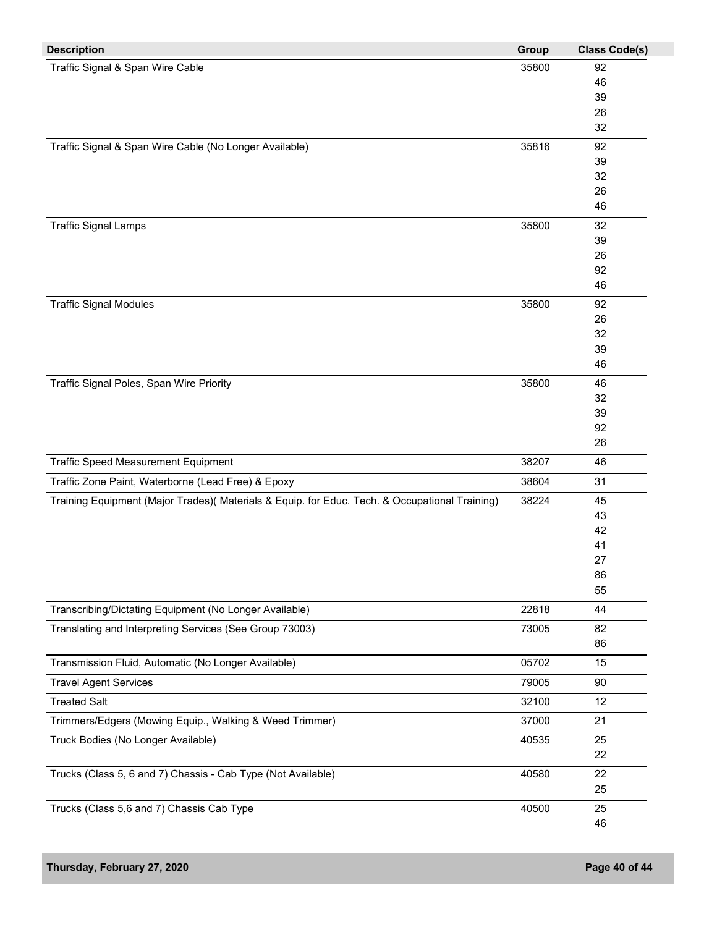| Traffic Signal & Span Wire Cable<br>35800<br>92<br>46<br>39<br>26<br>32<br>35816<br>92<br>39<br>32<br>26<br>46<br><b>Traffic Signal Lamps</b><br>35800<br>32<br>39<br>26<br>92<br>46<br>35800<br>92<br>26<br>32<br>39<br>46<br>Traffic Signal Poles, Span Wire Priority<br>35800<br>46<br>32<br>39<br>92<br>26<br>Traffic Speed Measurement Equipment<br>38207<br>46<br>Traffic Zone Paint, Waterborne (Lead Free) & Epoxy<br>38604<br>31<br>38224<br>Training Equipment (Major Trades)( Materials & Equip. for Educ. Tech. & Occupational Training)<br>45<br>43<br>42<br>41<br>27<br>86<br>55<br>Transcribing/Dictating Equipment (No Longer Available)<br>22818<br>44<br>Translating and Interpreting Services (See Group 73003)<br>73005<br>82<br>86<br>05702<br>Transmission Fluid, Automatic (No Longer Available)<br>15<br><b>Travel Agent Services</b><br>79005<br>90<br><b>Treated Salt</b><br>32100<br>12<br>Trimmers/Edgers (Mowing Equip., Walking & Weed Trimmer)<br>37000<br>21<br>Truck Bodies (No Longer Available)<br>40535<br>25<br>22<br>40580<br>Trucks (Class 5, 6 and 7) Chassis - Cab Type (Not Available)<br>22<br>25<br>Trucks (Class 5,6 and 7) Chassis Cab Type<br>40500<br>25 | <b>Description</b>                                     | Group | <b>Class Code(s)</b> |
|----------------------------------------------------------------------------------------------------------------------------------------------------------------------------------------------------------------------------------------------------------------------------------------------------------------------------------------------------------------------------------------------------------------------------------------------------------------------------------------------------------------------------------------------------------------------------------------------------------------------------------------------------------------------------------------------------------------------------------------------------------------------------------------------------------------------------------------------------------------------------------------------------------------------------------------------------------------------------------------------------------------------------------------------------------------------------------------------------------------------------------------------------------------------------------------------------------|--------------------------------------------------------|-------|----------------------|
|                                                                                                                                                                                                                                                                                                                                                                                                                                                                                                                                                                                                                                                                                                                                                                                                                                                                                                                                                                                                                                                                                                                                                                                                          |                                                        |       |                      |
|                                                                                                                                                                                                                                                                                                                                                                                                                                                                                                                                                                                                                                                                                                                                                                                                                                                                                                                                                                                                                                                                                                                                                                                                          |                                                        |       |                      |
|                                                                                                                                                                                                                                                                                                                                                                                                                                                                                                                                                                                                                                                                                                                                                                                                                                                                                                                                                                                                                                                                                                                                                                                                          |                                                        |       |                      |
|                                                                                                                                                                                                                                                                                                                                                                                                                                                                                                                                                                                                                                                                                                                                                                                                                                                                                                                                                                                                                                                                                                                                                                                                          |                                                        |       |                      |
|                                                                                                                                                                                                                                                                                                                                                                                                                                                                                                                                                                                                                                                                                                                                                                                                                                                                                                                                                                                                                                                                                                                                                                                                          |                                                        |       |                      |
|                                                                                                                                                                                                                                                                                                                                                                                                                                                                                                                                                                                                                                                                                                                                                                                                                                                                                                                                                                                                                                                                                                                                                                                                          | Traffic Signal & Span Wire Cable (No Longer Available) |       |                      |
|                                                                                                                                                                                                                                                                                                                                                                                                                                                                                                                                                                                                                                                                                                                                                                                                                                                                                                                                                                                                                                                                                                                                                                                                          |                                                        |       |                      |
|                                                                                                                                                                                                                                                                                                                                                                                                                                                                                                                                                                                                                                                                                                                                                                                                                                                                                                                                                                                                                                                                                                                                                                                                          |                                                        |       |                      |
|                                                                                                                                                                                                                                                                                                                                                                                                                                                                                                                                                                                                                                                                                                                                                                                                                                                                                                                                                                                                                                                                                                                                                                                                          |                                                        |       |                      |
|                                                                                                                                                                                                                                                                                                                                                                                                                                                                                                                                                                                                                                                                                                                                                                                                                                                                                                                                                                                                                                                                                                                                                                                                          |                                                        |       |                      |
|                                                                                                                                                                                                                                                                                                                                                                                                                                                                                                                                                                                                                                                                                                                                                                                                                                                                                                                                                                                                                                                                                                                                                                                                          |                                                        |       |                      |
|                                                                                                                                                                                                                                                                                                                                                                                                                                                                                                                                                                                                                                                                                                                                                                                                                                                                                                                                                                                                                                                                                                                                                                                                          |                                                        |       |                      |
|                                                                                                                                                                                                                                                                                                                                                                                                                                                                                                                                                                                                                                                                                                                                                                                                                                                                                                                                                                                                                                                                                                                                                                                                          |                                                        |       |                      |
|                                                                                                                                                                                                                                                                                                                                                                                                                                                                                                                                                                                                                                                                                                                                                                                                                                                                                                                                                                                                                                                                                                                                                                                                          |                                                        |       |                      |
|                                                                                                                                                                                                                                                                                                                                                                                                                                                                                                                                                                                                                                                                                                                                                                                                                                                                                                                                                                                                                                                                                                                                                                                                          |                                                        |       |                      |
|                                                                                                                                                                                                                                                                                                                                                                                                                                                                                                                                                                                                                                                                                                                                                                                                                                                                                                                                                                                                                                                                                                                                                                                                          | <b>Traffic Signal Modules</b>                          |       |                      |
|                                                                                                                                                                                                                                                                                                                                                                                                                                                                                                                                                                                                                                                                                                                                                                                                                                                                                                                                                                                                                                                                                                                                                                                                          |                                                        |       |                      |
|                                                                                                                                                                                                                                                                                                                                                                                                                                                                                                                                                                                                                                                                                                                                                                                                                                                                                                                                                                                                                                                                                                                                                                                                          |                                                        |       |                      |
|                                                                                                                                                                                                                                                                                                                                                                                                                                                                                                                                                                                                                                                                                                                                                                                                                                                                                                                                                                                                                                                                                                                                                                                                          |                                                        |       |                      |
|                                                                                                                                                                                                                                                                                                                                                                                                                                                                                                                                                                                                                                                                                                                                                                                                                                                                                                                                                                                                                                                                                                                                                                                                          |                                                        |       |                      |
|                                                                                                                                                                                                                                                                                                                                                                                                                                                                                                                                                                                                                                                                                                                                                                                                                                                                                                                                                                                                                                                                                                                                                                                                          |                                                        |       |                      |
|                                                                                                                                                                                                                                                                                                                                                                                                                                                                                                                                                                                                                                                                                                                                                                                                                                                                                                                                                                                                                                                                                                                                                                                                          |                                                        |       |                      |
|                                                                                                                                                                                                                                                                                                                                                                                                                                                                                                                                                                                                                                                                                                                                                                                                                                                                                                                                                                                                                                                                                                                                                                                                          |                                                        |       |                      |
|                                                                                                                                                                                                                                                                                                                                                                                                                                                                                                                                                                                                                                                                                                                                                                                                                                                                                                                                                                                                                                                                                                                                                                                                          |                                                        |       |                      |
|                                                                                                                                                                                                                                                                                                                                                                                                                                                                                                                                                                                                                                                                                                                                                                                                                                                                                                                                                                                                                                                                                                                                                                                                          |                                                        |       |                      |
|                                                                                                                                                                                                                                                                                                                                                                                                                                                                                                                                                                                                                                                                                                                                                                                                                                                                                                                                                                                                                                                                                                                                                                                                          |                                                        |       |                      |
|                                                                                                                                                                                                                                                                                                                                                                                                                                                                                                                                                                                                                                                                                                                                                                                                                                                                                                                                                                                                                                                                                                                                                                                                          |                                                        |       |                      |
|                                                                                                                                                                                                                                                                                                                                                                                                                                                                                                                                                                                                                                                                                                                                                                                                                                                                                                                                                                                                                                                                                                                                                                                                          |                                                        |       |                      |
|                                                                                                                                                                                                                                                                                                                                                                                                                                                                                                                                                                                                                                                                                                                                                                                                                                                                                                                                                                                                                                                                                                                                                                                                          |                                                        |       |                      |
|                                                                                                                                                                                                                                                                                                                                                                                                                                                                                                                                                                                                                                                                                                                                                                                                                                                                                                                                                                                                                                                                                                                                                                                                          |                                                        |       |                      |
|                                                                                                                                                                                                                                                                                                                                                                                                                                                                                                                                                                                                                                                                                                                                                                                                                                                                                                                                                                                                                                                                                                                                                                                                          |                                                        |       |                      |
|                                                                                                                                                                                                                                                                                                                                                                                                                                                                                                                                                                                                                                                                                                                                                                                                                                                                                                                                                                                                                                                                                                                                                                                                          |                                                        |       |                      |
|                                                                                                                                                                                                                                                                                                                                                                                                                                                                                                                                                                                                                                                                                                                                                                                                                                                                                                                                                                                                                                                                                                                                                                                                          |                                                        |       |                      |
|                                                                                                                                                                                                                                                                                                                                                                                                                                                                                                                                                                                                                                                                                                                                                                                                                                                                                                                                                                                                                                                                                                                                                                                                          |                                                        |       |                      |
|                                                                                                                                                                                                                                                                                                                                                                                                                                                                                                                                                                                                                                                                                                                                                                                                                                                                                                                                                                                                                                                                                                                                                                                                          |                                                        |       |                      |
|                                                                                                                                                                                                                                                                                                                                                                                                                                                                                                                                                                                                                                                                                                                                                                                                                                                                                                                                                                                                                                                                                                                                                                                                          |                                                        |       |                      |
|                                                                                                                                                                                                                                                                                                                                                                                                                                                                                                                                                                                                                                                                                                                                                                                                                                                                                                                                                                                                                                                                                                                                                                                                          |                                                        |       |                      |
|                                                                                                                                                                                                                                                                                                                                                                                                                                                                                                                                                                                                                                                                                                                                                                                                                                                                                                                                                                                                                                                                                                                                                                                                          |                                                        |       |                      |
|                                                                                                                                                                                                                                                                                                                                                                                                                                                                                                                                                                                                                                                                                                                                                                                                                                                                                                                                                                                                                                                                                                                                                                                                          |                                                        |       |                      |
|                                                                                                                                                                                                                                                                                                                                                                                                                                                                                                                                                                                                                                                                                                                                                                                                                                                                                                                                                                                                                                                                                                                                                                                                          |                                                        |       |                      |
|                                                                                                                                                                                                                                                                                                                                                                                                                                                                                                                                                                                                                                                                                                                                                                                                                                                                                                                                                                                                                                                                                                                                                                                                          |                                                        |       |                      |
|                                                                                                                                                                                                                                                                                                                                                                                                                                                                                                                                                                                                                                                                                                                                                                                                                                                                                                                                                                                                                                                                                                                                                                                                          |                                                        |       |                      |
|                                                                                                                                                                                                                                                                                                                                                                                                                                                                                                                                                                                                                                                                                                                                                                                                                                                                                                                                                                                                                                                                                                                                                                                                          |                                                        |       |                      |
|                                                                                                                                                                                                                                                                                                                                                                                                                                                                                                                                                                                                                                                                                                                                                                                                                                                                                                                                                                                                                                                                                                                                                                                                          |                                                        |       |                      |
|                                                                                                                                                                                                                                                                                                                                                                                                                                                                                                                                                                                                                                                                                                                                                                                                                                                                                                                                                                                                                                                                                                                                                                                                          |                                                        |       |                      |
|                                                                                                                                                                                                                                                                                                                                                                                                                                                                                                                                                                                                                                                                                                                                                                                                                                                                                                                                                                                                                                                                                                                                                                                                          |                                                        |       |                      |
|                                                                                                                                                                                                                                                                                                                                                                                                                                                                                                                                                                                                                                                                                                                                                                                                                                                                                                                                                                                                                                                                                                                                                                                                          |                                                        |       | 46                   |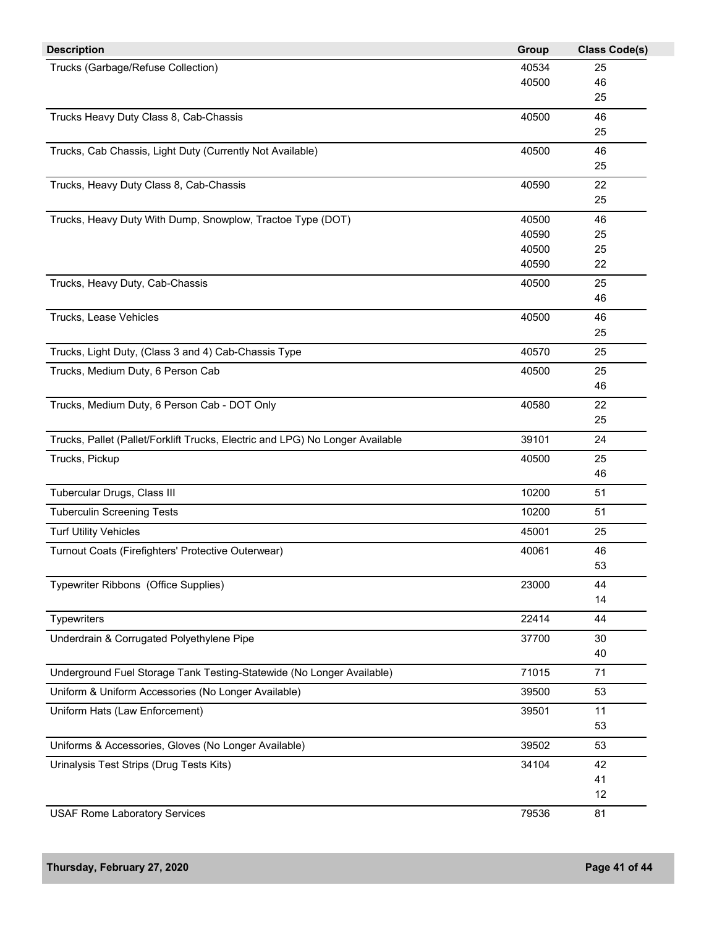| <b>Description</b>                                                            | Group | <b>Class Code(s)</b> |
|-------------------------------------------------------------------------------|-------|----------------------|
| Trucks (Garbage/Refuse Collection)                                            | 40534 | 25                   |
|                                                                               | 40500 | 46                   |
|                                                                               |       | 25                   |
| Trucks Heavy Duty Class 8, Cab-Chassis                                        | 40500 | 46                   |
|                                                                               |       | 25                   |
| Trucks, Cab Chassis, Light Duty (Currently Not Available)                     | 40500 | 46                   |
|                                                                               |       | 25                   |
| Trucks, Heavy Duty Class 8, Cab-Chassis                                       | 40590 | 22                   |
|                                                                               |       | 25                   |
| Trucks, Heavy Duty With Dump, Snowplow, Tractoe Type (DOT)                    | 40500 | 46                   |
|                                                                               | 40590 | 25                   |
|                                                                               | 40500 | 25                   |
|                                                                               | 40590 | 22                   |
| Trucks, Heavy Duty, Cab-Chassis                                               | 40500 | 25                   |
|                                                                               |       | 46                   |
| Trucks, Lease Vehicles                                                        | 40500 | 46                   |
|                                                                               |       | 25                   |
| Trucks, Light Duty, (Class 3 and 4) Cab-Chassis Type                          | 40570 | 25                   |
| Trucks, Medium Duty, 6 Person Cab                                             | 40500 | 25                   |
|                                                                               |       | 46                   |
| Trucks, Medium Duty, 6 Person Cab - DOT Only                                  | 40580 | 22                   |
|                                                                               |       | 25                   |
| Trucks, Pallet (Pallet/Forklift Trucks, Electric and LPG) No Longer Available | 39101 | 24                   |
| Trucks, Pickup                                                                | 40500 | 25                   |
|                                                                               |       | 46                   |
| Tubercular Drugs, Class III                                                   | 10200 | 51                   |
| <b>Tuberculin Screening Tests</b>                                             | 10200 | 51                   |
| <b>Turf Utility Vehicles</b>                                                  | 45001 | 25                   |
| Turnout Coats (Firefighters' Protective Outerwear)                            | 40061 | 46                   |
|                                                                               |       | 53                   |
| Typewriter Ribbons (Office Supplies)                                          | 23000 | 44                   |
|                                                                               |       | 14                   |
| Typewriters                                                                   | 22414 | 44                   |
| Underdrain & Corrugated Polyethylene Pipe                                     | 37700 | 30                   |
|                                                                               |       | 40                   |
| Underground Fuel Storage Tank Testing-Statewide (No Longer Available)         | 71015 | 71                   |
| Uniform & Uniform Accessories (No Longer Available)                           | 39500 | 53                   |
|                                                                               |       |                      |
| Uniform Hats (Law Enforcement)                                                | 39501 | 11<br>53             |
|                                                                               |       |                      |
| Uniforms & Accessories, Gloves (No Longer Available)                          | 39502 | 53                   |
| Urinalysis Test Strips (Drug Tests Kits)                                      | 34104 | 42                   |
|                                                                               |       | 41                   |
|                                                                               |       | 12                   |
| <b>USAF Rome Laboratory Services</b>                                          | 79536 | 81                   |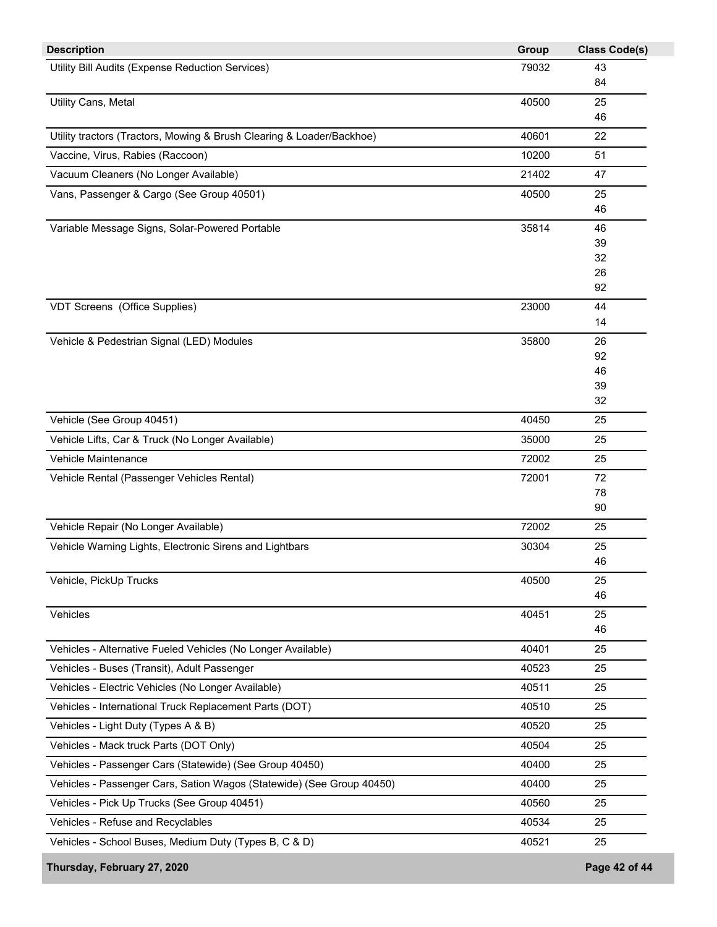| <b>Description</b>                                                    | Group | <b>Class Code(s)</b> |
|-----------------------------------------------------------------------|-------|----------------------|
| Utility Bill Audits (Expense Reduction Services)                      | 79032 | 43                   |
|                                                                       |       | 84                   |
| Utility Cans, Metal                                                   | 40500 | 25                   |
|                                                                       |       | 46                   |
| Utility tractors (Tractors, Mowing & Brush Clearing & Loader/Backhoe) | 40601 | 22                   |
| Vaccine, Virus, Rabies (Raccoon)                                      | 10200 | 51                   |
| Vacuum Cleaners (No Longer Available)                                 | 21402 | 47                   |
| Vans, Passenger & Cargo (See Group 40501)                             | 40500 | 25                   |
|                                                                       |       | 46                   |
| Variable Message Signs, Solar-Powered Portable                        | 35814 | 46                   |
|                                                                       |       | 39                   |
|                                                                       |       | 32<br>26             |
|                                                                       |       | 92                   |
| VDT Screens (Office Supplies)                                         | 23000 | 44                   |
|                                                                       |       | 14                   |
| Vehicle & Pedestrian Signal (LED) Modules                             | 35800 | 26                   |
|                                                                       |       | 92                   |
|                                                                       |       | 46                   |
|                                                                       |       | 39                   |
|                                                                       |       | 32                   |
| Vehicle (See Group 40451)                                             | 40450 | 25                   |
| Vehicle Lifts, Car & Truck (No Longer Available)                      | 35000 | 25                   |
| Vehicle Maintenance                                                   | 72002 | 25                   |
| Vehicle Rental (Passenger Vehicles Rental)                            | 72001 | 72                   |
|                                                                       |       | 78                   |
|                                                                       |       | 90                   |
| Vehicle Repair (No Longer Available)                                  | 72002 | 25                   |
| Vehicle Warning Lights, Electronic Sirens and Lightbars               | 30304 | 25                   |
|                                                                       |       | 46                   |
| Vehicle, PickUp Trucks                                                | 40500 | 25                   |
|                                                                       |       | 46                   |
| Vehicles                                                              | 40451 | 25                   |
|                                                                       |       | 46                   |
| Vehicles - Alternative Fueled Vehicles (No Longer Available)          | 40401 | 25                   |
| Vehicles - Buses (Transit), Adult Passenger                           | 40523 | 25                   |
| Vehicles - Electric Vehicles (No Longer Available)                    | 40511 | 25                   |
| Vehicles - International Truck Replacement Parts (DOT)                | 40510 | 25                   |
| Vehicles - Light Duty (Types A & B)                                   | 40520 | 25                   |
| Vehicles - Mack truck Parts (DOT Only)                                | 40504 | 25                   |
| Vehicles - Passenger Cars (Statewide) (See Group 40450)               | 40400 | 25                   |
| Vehicles - Passenger Cars, Sation Wagos (Statewide) (See Group 40450) | 40400 | 25                   |
| Vehicles - Pick Up Trucks (See Group 40451)                           | 40560 | 25                   |
| Vehicles - Refuse and Recyclables                                     | 40534 | 25                   |
| Vehicles - School Buses, Medium Duty (Types B, C & D)                 | 40521 | 25                   |
|                                                                       |       |                      |
| Thursday, February 27, 2020                                           |       | Page 42 of 44        |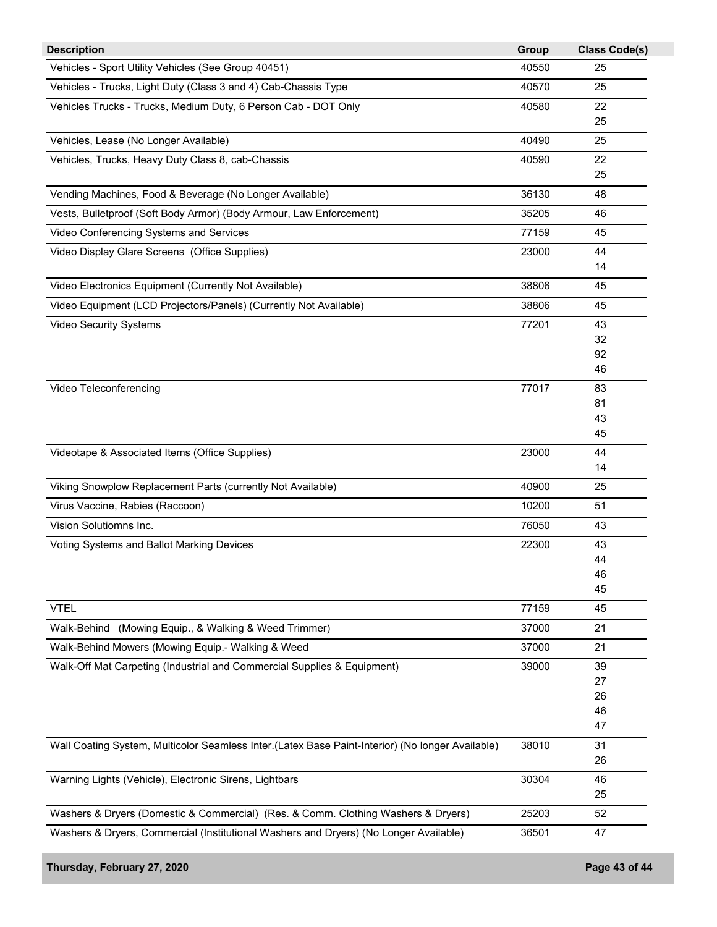| 40550<br>25<br>40570<br>25<br>Vehicles Trucks - Trucks, Medium Duty, 6 Person Cab - DOT Only<br>40580<br>22<br>25<br>40490<br>25<br>Vehicles, Trucks, Heavy Duty Class 8, cab-Chassis<br>40590<br>22<br>25<br>36130<br>48<br>35205<br>46<br>Video Conferencing Systems and Services<br>77159<br>45<br>Video Display Glare Screens (Office Supplies)<br>23000<br>44<br>14<br>Video Electronics Equipment (Currently Not Available)<br>38806<br>45<br>Video Equipment (LCD Projectors/Panels) (Currently Not Available)<br>38806<br>45<br>Video Security Systems<br>77201<br>43<br>32<br>92<br>46<br>77017<br>Video Teleconferencing<br>83<br>81<br>43<br>45<br>23000<br>44<br>14<br>40900<br>25<br>10200<br>51<br>76050<br>43<br>Voting Systems and Ballot Marking Devices<br>22300<br>43<br>44<br>46<br>45<br>77159<br>45<br>(Mowing Equip., & Walking & Weed Trimmer)<br>37000<br>21<br>37000<br>21<br>39000<br>39<br>27<br>26<br>46<br>47<br>38010<br>31<br>26<br>30304<br>46<br>25<br>25203<br>52<br>47<br>36501 | <b>Description</b>                                                                               | Group | <b>Class Code(s)</b> |
|---------------------------------------------------------------------------------------------------------------------------------------------------------------------------------------------------------------------------------------------------------------------------------------------------------------------------------------------------------------------------------------------------------------------------------------------------------------------------------------------------------------------------------------------------------------------------------------------------------------------------------------------------------------------------------------------------------------------------------------------------------------------------------------------------------------------------------------------------------------------------------------------------------------------------------------------------------------------------------------------------------------------|--------------------------------------------------------------------------------------------------|-------|----------------------|
|                                                                                                                                                                                                                                                                                                                                                                                                                                                                                                                                                                                                                                                                                                                                                                                                                                                                                                                                                                                                                     | Vehicles - Sport Utility Vehicles (See Group 40451)                                              |       |                      |
|                                                                                                                                                                                                                                                                                                                                                                                                                                                                                                                                                                                                                                                                                                                                                                                                                                                                                                                                                                                                                     | Vehicles - Trucks, Light Duty (Class 3 and 4) Cab-Chassis Type                                   |       |                      |
|                                                                                                                                                                                                                                                                                                                                                                                                                                                                                                                                                                                                                                                                                                                                                                                                                                                                                                                                                                                                                     |                                                                                                  |       |                      |
|                                                                                                                                                                                                                                                                                                                                                                                                                                                                                                                                                                                                                                                                                                                                                                                                                                                                                                                                                                                                                     |                                                                                                  |       |                      |
|                                                                                                                                                                                                                                                                                                                                                                                                                                                                                                                                                                                                                                                                                                                                                                                                                                                                                                                                                                                                                     | Vehicles, Lease (No Longer Available)                                                            |       |                      |
|                                                                                                                                                                                                                                                                                                                                                                                                                                                                                                                                                                                                                                                                                                                                                                                                                                                                                                                                                                                                                     |                                                                                                  |       |                      |
|                                                                                                                                                                                                                                                                                                                                                                                                                                                                                                                                                                                                                                                                                                                                                                                                                                                                                                                                                                                                                     |                                                                                                  |       |                      |
|                                                                                                                                                                                                                                                                                                                                                                                                                                                                                                                                                                                                                                                                                                                                                                                                                                                                                                                                                                                                                     | Vending Machines, Food & Beverage (No Longer Available)                                          |       |                      |
|                                                                                                                                                                                                                                                                                                                                                                                                                                                                                                                                                                                                                                                                                                                                                                                                                                                                                                                                                                                                                     | Vests, Bulletproof (Soft Body Armor) (Body Armour, Law Enforcement)                              |       |                      |
|                                                                                                                                                                                                                                                                                                                                                                                                                                                                                                                                                                                                                                                                                                                                                                                                                                                                                                                                                                                                                     |                                                                                                  |       |                      |
|                                                                                                                                                                                                                                                                                                                                                                                                                                                                                                                                                                                                                                                                                                                                                                                                                                                                                                                                                                                                                     |                                                                                                  |       |                      |
|                                                                                                                                                                                                                                                                                                                                                                                                                                                                                                                                                                                                                                                                                                                                                                                                                                                                                                                                                                                                                     |                                                                                                  |       |                      |
|                                                                                                                                                                                                                                                                                                                                                                                                                                                                                                                                                                                                                                                                                                                                                                                                                                                                                                                                                                                                                     |                                                                                                  |       |                      |
|                                                                                                                                                                                                                                                                                                                                                                                                                                                                                                                                                                                                                                                                                                                                                                                                                                                                                                                                                                                                                     |                                                                                                  |       |                      |
|                                                                                                                                                                                                                                                                                                                                                                                                                                                                                                                                                                                                                                                                                                                                                                                                                                                                                                                                                                                                                     |                                                                                                  |       |                      |
|                                                                                                                                                                                                                                                                                                                                                                                                                                                                                                                                                                                                                                                                                                                                                                                                                                                                                                                                                                                                                     |                                                                                                  |       |                      |
|                                                                                                                                                                                                                                                                                                                                                                                                                                                                                                                                                                                                                                                                                                                                                                                                                                                                                                                                                                                                                     |                                                                                                  |       |                      |
|                                                                                                                                                                                                                                                                                                                                                                                                                                                                                                                                                                                                                                                                                                                                                                                                                                                                                                                                                                                                                     |                                                                                                  |       |                      |
|                                                                                                                                                                                                                                                                                                                                                                                                                                                                                                                                                                                                                                                                                                                                                                                                                                                                                                                                                                                                                     |                                                                                                  |       |                      |
|                                                                                                                                                                                                                                                                                                                                                                                                                                                                                                                                                                                                                                                                                                                                                                                                                                                                                                                                                                                                                     |                                                                                                  |       |                      |
|                                                                                                                                                                                                                                                                                                                                                                                                                                                                                                                                                                                                                                                                                                                                                                                                                                                                                                                                                                                                                     |                                                                                                  |       |                      |
|                                                                                                                                                                                                                                                                                                                                                                                                                                                                                                                                                                                                                                                                                                                                                                                                                                                                                                                                                                                                                     |                                                                                                  |       |                      |
|                                                                                                                                                                                                                                                                                                                                                                                                                                                                                                                                                                                                                                                                                                                                                                                                                                                                                                                                                                                                                     | Videotape & Associated Items (Office Supplies)                                                   |       |                      |
|                                                                                                                                                                                                                                                                                                                                                                                                                                                                                                                                                                                                                                                                                                                                                                                                                                                                                                                                                                                                                     |                                                                                                  |       |                      |
|                                                                                                                                                                                                                                                                                                                                                                                                                                                                                                                                                                                                                                                                                                                                                                                                                                                                                                                                                                                                                     | Viking Snowplow Replacement Parts (currently Not Available)                                      |       |                      |
|                                                                                                                                                                                                                                                                                                                                                                                                                                                                                                                                                                                                                                                                                                                                                                                                                                                                                                                                                                                                                     | Virus Vaccine, Rabies (Raccoon)                                                                  |       |                      |
|                                                                                                                                                                                                                                                                                                                                                                                                                                                                                                                                                                                                                                                                                                                                                                                                                                                                                                                                                                                                                     | Vision Solutiomns Inc.                                                                           |       |                      |
|                                                                                                                                                                                                                                                                                                                                                                                                                                                                                                                                                                                                                                                                                                                                                                                                                                                                                                                                                                                                                     |                                                                                                  |       |                      |
|                                                                                                                                                                                                                                                                                                                                                                                                                                                                                                                                                                                                                                                                                                                                                                                                                                                                                                                                                                                                                     |                                                                                                  |       |                      |
|                                                                                                                                                                                                                                                                                                                                                                                                                                                                                                                                                                                                                                                                                                                                                                                                                                                                                                                                                                                                                     |                                                                                                  |       |                      |
|                                                                                                                                                                                                                                                                                                                                                                                                                                                                                                                                                                                                                                                                                                                                                                                                                                                                                                                                                                                                                     |                                                                                                  |       |                      |
|                                                                                                                                                                                                                                                                                                                                                                                                                                                                                                                                                                                                                                                                                                                                                                                                                                                                                                                                                                                                                     | <b>VTEL</b>                                                                                      |       |                      |
|                                                                                                                                                                                                                                                                                                                                                                                                                                                                                                                                                                                                                                                                                                                                                                                                                                                                                                                                                                                                                     | Walk-Behind                                                                                      |       |                      |
|                                                                                                                                                                                                                                                                                                                                                                                                                                                                                                                                                                                                                                                                                                                                                                                                                                                                                                                                                                                                                     | Walk-Behind Mowers (Mowing Equip.- Walking & Weed                                                |       |                      |
|                                                                                                                                                                                                                                                                                                                                                                                                                                                                                                                                                                                                                                                                                                                                                                                                                                                                                                                                                                                                                     | Walk-Off Mat Carpeting (Industrial and Commercial Supplies & Equipment)                          |       |                      |
|                                                                                                                                                                                                                                                                                                                                                                                                                                                                                                                                                                                                                                                                                                                                                                                                                                                                                                                                                                                                                     |                                                                                                  |       |                      |
|                                                                                                                                                                                                                                                                                                                                                                                                                                                                                                                                                                                                                                                                                                                                                                                                                                                                                                                                                                                                                     |                                                                                                  |       |                      |
|                                                                                                                                                                                                                                                                                                                                                                                                                                                                                                                                                                                                                                                                                                                                                                                                                                                                                                                                                                                                                     |                                                                                                  |       |                      |
|                                                                                                                                                                                                                                                                                                                                                                                                                                                                                                                                                                                                                                                                                                                                                                                                                                                                                                                                                                                                                     |                                                                                                  |       |                      |
|                                                                                                                                                                                                                                                                                                                                                                                                                                                                                                                                                                                                                                                                                                                                                                                                                                                                                                                                                                                                                     | Wall Coating System, Multicolor Seamless Inter.(Latex Base Paint-Interior) (No longer Available) |       |                      |
|                                                                                                                                                                                                                                                                                                                                                                                                                                                                                                                                                                                                                                                                                                                                                                                                                                                                                                                                                                                                                     |                                                                                                  |       |                      |
|                                                                                                                                                                                                                                                                                                                                                                                                                                                                                                                                                                                                                                                                                                                                                                                                                                                                                                                                                                                                                     | Warning Lights (Vehicle), Electronic Sirens, Lightbars                                           |       |                      |
|                                                                                                                                                                                                                                                                                                                                                                                                                                                                                                                                                                                                                                                                                                                                                                                                                                                                                                                                                                                                                     |                                                                                                  |       |                      |
|                                                                                                                                                                                                                                                                                                                                                                                                                                                                                                                                                                                                                                                                                                                                                                                                                                                                                                                                                                                                                     | Washers & Dryers (Domestic & Commercial) (Res. & Comm. Clothing Washers & Dryers)                |       |                      |
|                                                                                                                                                                                                                                                                                                                                                                                                                                                                                                                                                                                                                                                                                                                                                                                                                                                                                                                                                                                                                     | Washers & Dryers, Commercial (Institutional Washers and Dryers) (No Longer Available)            |       |                      |